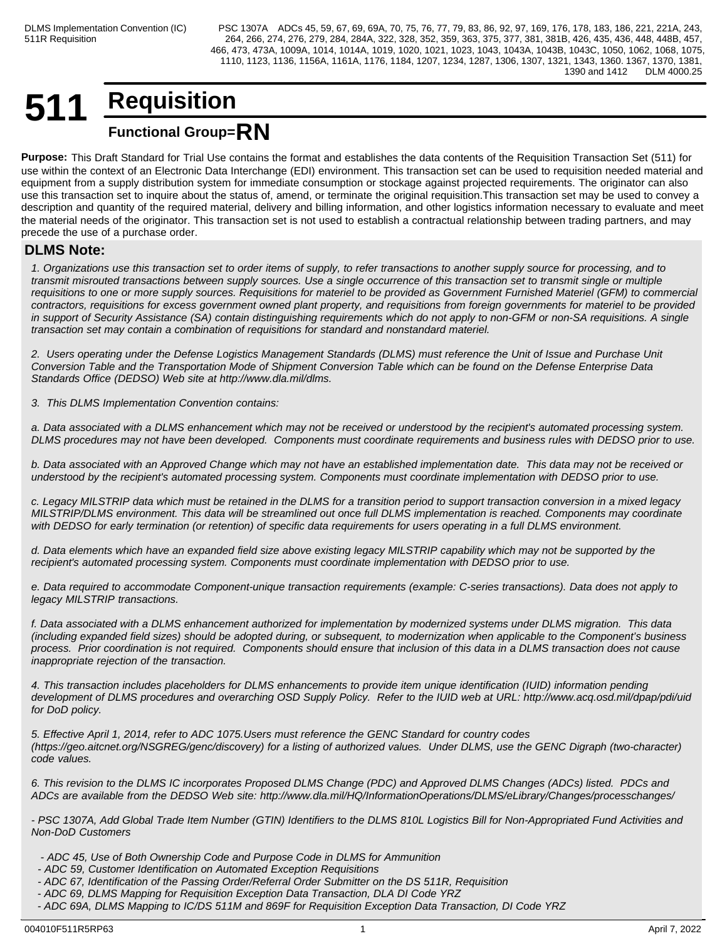## **511 Requisition Functional Group=RN**

**Purpose:** This Draft Standard for Trial Use contains the format and establishes the data contents of the Requisition Transaction Set (511) for use within the context of an Electronic Data Interchange (EDI) environment. This transaction set can be used to requisition needed material and equipment from a supply distribution system for immediate consumption or stockage against projected requirements. The originator can also use this transaction set to inquire about the status of, amend, or terminate the original requisition.This transaction set may be used to convey a description and quantity of the required material, delivery and billing information, and other logistics information necessary to evaluate and meet the material needs of the originator. This transaction set is not used to establish a contractual relationship between trading partners, and may precede the use of a purchase order.

## **DLMS Note:**

*1. Organizations use this transaction set to order items of supply, to refer transactions to another supply source for processing, and to transmit misrouted transactions between supply sources. Use a single occurrence of this transaction set to transmit single or multiple requisitions to one or more supply sources. Requisitions for materiel to be provided as Government Furnished Materiel (GFM) to commercial contractors, requisitions for excess government owned plant property, and requisitions from foreign governments for materiel to be provided in support of Security Assistance (SA) contain distinguishing requirements which do not apply to non-GFM or non-SA requisitions. A single transaction set may contain a combination of requisitions for standard and nonstandard materiel.*

*2. Users operating under the Defense Logistics Management Standards (DLMS) must reference the Unit of Issue and Purchase Unit Conversion Table and the Transportation Mode of Shipment Conversion Table which can be found on the Defense Enterprise Data Standards Office (DEDSO) Web site at http://www.dla.mil/dlms.*

*3. This DLMS Implementation Convention contains:*

*a. Data associated with a DLMS enhancement which may not be received or understood by the recipient's automated processing system. DLMS procedures may not have been developed. Components must coordinate requirements and business rules with DEDSO prior to use.*

*b. Data associated with an Approved Change which may not have an established implementation date. This data may not be received or understood by the recipient's automated processing system. Components must coordinate implementation with DEDSO prior to use.*

*c. Legacy MILSTRIP data which must be retained in the DLMS for a transition period to support transaction conversion in a mixed legacy MILSTRIP/DLMS environment. This data will be streamlined out once full DLMS implementation is reached. Components may coordinate with DEDSO for early termination (or retention) of specific data requirements for users operating in a full DLMS environment.*

*d. Data elements which have an expanded field size above existing legacy MILSTRIP capability which may not be supported by the recipient's automated processing system. Components must coordinate implementation with DEDSO prior to use.*

*e. Data required to accommodate Component-unique transaction requirements (example: C-series transactions). Data does not apply to legacy MILSTRIP transactions.*

*f. Data associated with a DLMS enhancement authorized for implementation by modernized systems under DLMS migration. This data (including expanded field sizes) should be adopted during, or subsequent, to modernization when applicable to the Component's business process. Prior coordination is not required. Components should ensure that inclusion of this data in a DLMS transaction does not cause inappropriate rejection of the transaction.*

*4. This transaction includes placeholders for DLMS enhancements to provide item unique identification (IUID) information pending development of DLMS procedures and overarching OSD Supply Policy. Refer to the IUID web at URL: http://www.acq.osd.mil/dpap/pdi/uid for DoD policy.*

*5. Effective April 1, 2014, refer to ADC 1075.Users must reference the GENC Standard for country codes (https://geo.aitcnet.org/NSGREG/genc/discovery) for a listing of authorized values. Under DLMS, use the GENC Digraph (two-character) code values.*

*6. This revision to the DLMS IC incorporates Proposed DLMS Change (PDC) and Approved DLMS Changes (ADCs) listed. PDCs and ADCs are available from the DEDSO Web site: http://www.dla.mil/HQ/InformationOperations/DLMS/eLibrary/Changes/processchanges/*

*- PSC 1307A, Add Global Trade Item Number (GTIN) Identifiers to the DLMS 810L Logistics Bill for Non-Appropriated Fund Activities and Non-DoD Customers*

- *ADC 45, Use of Both Ownership Code and Purpose Code in DLMS for Ammunition*
- *ADC 59, Customer Identification on Automated Exception Requisitions*
- *ADC 67, Identification of the Passing Order/Referral Order Submitter on the DS 511R, Requisition*
- *ADC 69, DLMS Mapping for Requisition Exception Data Transaction, DLA DI Code YRZ*
- *ADC 69A, DLMS Mapping to IC/DS 511M and 869F for Requisition Exception Data Transaction, DI Code YRZ*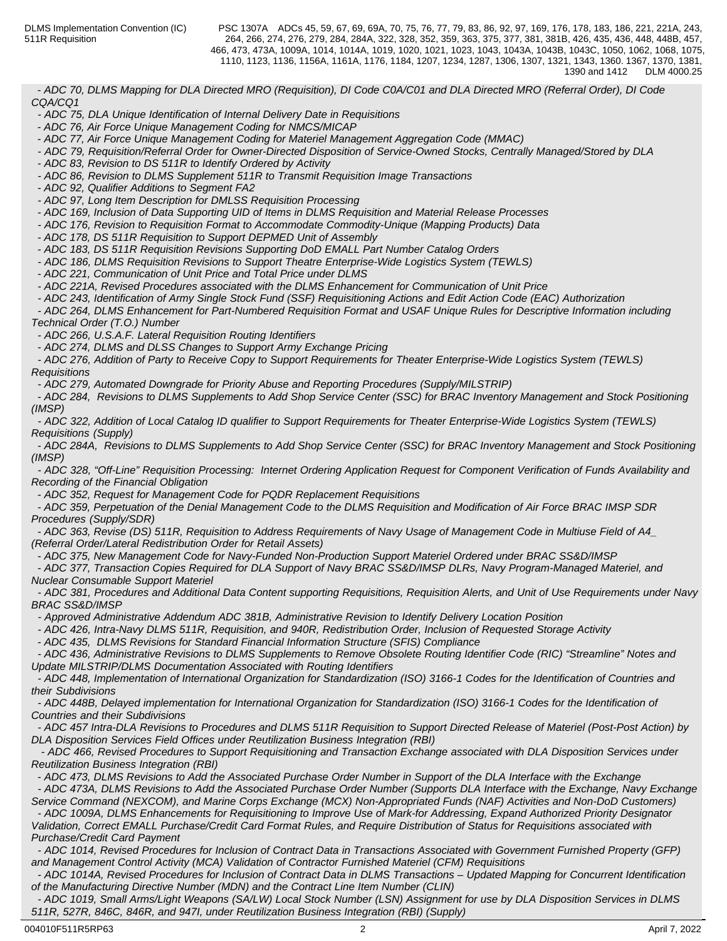*- ADC 70, DLMS Mapping for DLA Directed MRO (Requisition), DI Code C0A/C01 and DLA Directed MRO (Referral Order), DI Code CQA/CQ1*

 *- ADC 75, DLA Unique Identification of Internal Delivery Date in Requisitions*

 *- ADC 76, Air Force Unique Management Coding for NMCS/MICAP*

 *- ADC 77, Air Force Unique Management Coding for Materiel Management Aggregation Code (MMAC)*

 *- ADC 79, Requisition/Referral Order for Owner-Directed Disposition of Service-Owned Stocks, Centrally Managed/Stored by DLA*

 *- ADC 83, Revision to DS 511R to Identify Ordered by Activity*

 *- ADC 86, Revision to DLMS Supplement 511R to Transmit Requisition Image Transactions*

 *- ADC 92, Qualifier Additions to Segment FA2*

 *- ADC 97, Long Item Description for DMLSS Requisition Processing*

 *- ADC 169, Inclusion of Data Supporting UID of Items in DLMS Requisition and Material Release Processes*

 *- ADC 176, Revision to Requisition Format to Accommodate Commodity-Unique (Mapping Products) Data*

 *- ADC 178, DS 511R Requisition to Support DEPMED Unit of Assembly*

 *- ADC 183, DS 511R Requisition Revisions Supporting DoD EMALL Part Number Catalog Orders*

 *- ADC 186, DLMS Requisition Revisions to Support Theatre Enterprise-Wide Logistics System (TEWLS)*

 *- ADC 221, Communication of Unit Price and Total Price under DLMS*

 *- ADC 221A, Revised Procedures associated with the DLMS Enhancement for Communication of Unit Price*

 *- ADC 243, Identification of Army Single Stock Fund (SSF) Requisitioning Actions and Edit Action Code (EAC) Authorization* 

 *- ADC 264, DLMS Enhancement for Part-Numbered Requisition Format and USAF Unique Rules for Descriptive Information including Technical Order (T.O.) Number* 

 *- ADC 266, U.S.A.F. Lateral Requisition Routing Identifiers*

 *- ADC 274, DLMS and DLSS Changes to Support Army Exchange Pricing*

 *- ADC 276, Addition of Party to Receive Copy to Support Requirements for Theater Enterprise-Wide Logistics System (TEWLS) Requisitions*

 *- ADC 279, Automated Downgrade for Priority Abuse and Reporting Procedures (Supply/MILSTRIP)*

 *- ADC 284, Revisions to DLMS Supplements to Add Shop Service Center (SSC) for BRAC Inventory Management and Stock Positioning (IMSP)*

 *- ADC 322, Addition of Local Catalog ID qualifier to Support Requirements for Theater Enterprise-Wide Logistics System (TEWLS) Requisitions (Supply)*

 *- ADC 284A, Revisions to DLMS Supplements to Add Shop Service Center (SSC) for BRAC Inventory Management and Stock Positioning (IMSP)*

 *- ADC 328, "Off-Line" Requisition Processing: Internet Ordering Application Request for Component Verification of Funds Availability and Recording of the Financial Obligation*

 *- ADC 352, Request for Management Code for PQDR Replacement Requisitions*

 *- ADC 359, Perpetuation of the Denial Management Code to the DLMS Requisition and Modification of Air Force BRAC IMSP SDR Procedures (Supply/SDR)*

 *- ADC 363, Revise (DS) 511R, Requisition to Address Requirements of Navy Usage of Management Code in Multiuse Field of A4\_ (Referral Order/Lateral Redistribution Order for Retail Assets)*

 *- ADC 375, New Management Code for Navy-Funded Non-Production Support Materiel Ordered under BRAC SS&D/IMSP*

 *- ADC 377, Transaction Copies Required for DLA Support of Navy BRAC SS&D/IMSP DLRs, Navy Program-Managed Materiel, and Nuclear Consumable Support Materiel*

 *- ADC 381, Procedures and Additional Data Content supporting Requisitions, Requisition Alerts, and Unit of Use Requirements under Navy BRAC SS&D/IMSP*

 *- Approved Administrative Addendum ADC 381B, Administrative Revision to Identify Delivery Location Position*

 *- ADC 426, Intra-Navy DLMS 511R, Requisition, and 940R, Redistribution Order, Inclusion of Requested Storage Activity*

 *- ADC 435, DLMS Revisions for Standard Financial Information Structure (SFIS) Compliance* 

 *- ADC 436, Administrative Revisions to DLMS Supplements to Remove Obsolete Routing Identifier Code (RIC) "Streamline" Notes and Update MILSTRIP/DLMS Documentation Associated with Routing Identifiers*

 *- ADC 448, Implementation of International Organization for Standardization (ISO) 3166-1 Codes for the Identification of Countries and their Subdivisions*

 *- ADC 448B, Delayed implementation for International Organization for Standardization (ISO) 3166-1 Codes for the Identification of Countries and their Subdivisions*

 *- ADC 457 Intra-DLA Revisions to Procedures and DLMS 511R Requisition to Support Directed Release of Materiel (Post-Post Action) by DLA Disposition Services Field Offices under Reutilization Business Integration (RBI)*

 *- ADC 466, Revised Procedures to Support Requisitioning and Transaction Exchange associated with DLA Disposition Services under Reutilization Business Integration (RBI)*

 *- ADC 473, DLMS Revisions to Add the Associated Purchase Order Number in Support of the DLA Interface with the Exchange - ADC 473A, DLMS Revisions to Add the Associated Purchase Order Number (Supports DLA Interface with the Exchange, Navy Exchange*

*Service Command (NEXCOM), and Marine Corps Exchange (MCX) Non-Appropriated Funds (NAF) Activities and Non-DoD Customers) - ADC 1009A, DLMS Enhancements for Requisitioning to Improve Use of Mark-for Addressing, Expand Authorized Priority Designator*

*Validation, Correct EMALL Purchase/Credit Card Format Rules, and Require Distribution of Status for Requisitions associated with Purchase/Credit Card Payment*

 *- ADC 1014, Revised Procedures for Inclusion of Contract Data in Transactions Associated with Government Furnished Property (GFP) and Management Control Activity (MCA) Validation of Contractor Furnished Materiel (CFM) Requisitions*

 *- ADC 1014A, Revised Procedures for Inclusion of Contract Data in DLMS Transactions – Updated Mapping for Concurrent Identification of the Manufacturing Directive Number (MDN) and the Contract Line Item Number (CLIN)*

 *- ADC 1019, Small Arms/Light Weapons (SA/LW) Local Stock Number (LSN) Assignment for use by DLA Disposition Services in DLMS 511R, 527R, 846C, 846R, and 947I, under Reutilization Business Integration (RBI) (Supply)*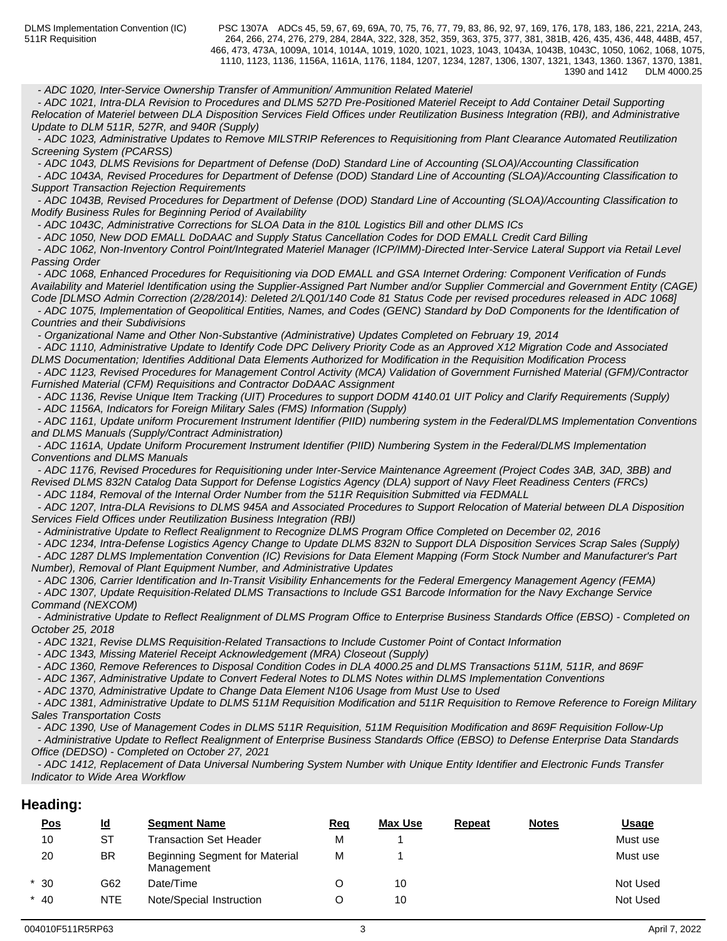*- ADC 1020, Inter-Service Ownership Transfer of Ammunition/ Ammunition Related Materiel*

 *- ADC 1021, Intra-DLA Revision to Procedures and DLMS 527D Pre-Positioned Materiel Receipt to Add Container Detail Supporting Relocation of Materiel between DLA Disposition Services Field Offices under Reutilization Business Integration (RBI), and Administrative Update to DLM 511R, 527R, and 940R (Supply)*

 *- ADC 1023, Administrative Updates to Remove MILSTRIP References to Requisitioning from Plant Clearance Automated Reutilization Screening System (PCARSS)*

 *- ADC 1043, DLMS Revisions for Department of Defense (DoD) Standard Line of Accounting (SLOA)/Accounting Classification*

 *- ADC 1043A, Revised Procedures for Department of Defense (DOD) Standard Line of Accounting (SLOA)/Accounting Classification to Support Transaction Rejection Requirements*

 *- ADC 1043B, Revised Procedures for Department of Defense (DOD) Standard Line of Accounting (SLOA)/Accounting Classification to Modify Business Rules for Beginning Period of Availability*

 *- ADC 1043C, Administrative Corrections for SLOA Data in the 810L Logistics Bill and other DLMS ICs* 

 *- ADC 1050, New DOD EMALL DoDAAC and Supply Status Cancellation Codes for DOD EMALL Credit Card Billing*

 *- ADC 1062, Non-Inventory Control Point/Integrated Materiel Manager (ICP/IMM)-Directed Inter-Service Lateral Support via Retail Level Passing Order*

 *- ADC 1068, Enhanced Procedures for Requisitioning via DOD EMALL and GSA Internet Ordering: Component Verification of Funds Availability and Materiel Identification using the Supplier-Assigned Part Number and/or Supplier Commercial and Government Entity (CAGE) Code [DLMSO Admin Correction (2/28/2014): Deleted 2/LQ01/140 Code 81 Status Code per revised procedures released in ADC 1068]*

 *- ADC 1075, Implementation of Geopolitical Entities, Names, and Codes (GENC) Standard by DoD Components for the Identification of Countries and their Subdivisions*

 *- Organizational Name and Other Non-Substantive (Administrative) Updates Completed on February 19, 2014*

 *- ADC 1110, Administrative Update to Identify Code DPC Delivery Priority Code as an Approved X12 Migration Code and Associated DLMS Documentation; Identifies Additional Data Elements Authorized for Modification in the Requisition Modification Process*

 *- ADC 1123, Revised Procedures for Management Control Activity (MCA) Validation of Government Furnished Material (GFM)/Contractor Furnished Material (CFM) Requisitions and Contractor DoDAAC Assignment*

 *- ADC 1136, Revise Unique Item Tracking (UIT) Procedures to support DODM 4140.01 UIT Policy and Clarify Requirements (Supply)*

 *- ADC 1156A, Indicators for Foreign Military Sales (FMS) Information (Supply)* 

 *- ADC 1161, Update uniform Procurement Instrument Identifier (PIID) numbering system in the Federal/DLMS Implementation Conventions and DLMS Manuals (Supply/Contract Administration)*

 *- ADC 1161A, Update Uniform Procurement Instrument Identifier (PIID) Numbering System in the Federal/DLMS Implementation Conventions and DLMS Manuals*

 *- ADC 1176, Revised Procedures for Requisitioning under Inter-Service Maintenance Agreement (Project Codes 3AB, 3AD, 3BB) and Revised DLMS 832N Catalog Data Support for Defense Logistics Agency (DLA) support of Navy Fleet Readiness Centers (FRCs)*

 *- ADC 1184, Removal of the Internal Order Number from the 511R Requisition Submitted via FEDMALL*

 *- ADC 1207, Intra-DLA Revisions to DLMS 945A and Associated Procedures to Support Relocation of Material between DLA Disposition Services Field Offices under Reutilization Business Integration (RBI)*

 *- Administrative Update to Reflect Realignment to Recognize DLMS Program Office Completed on December 02, 2016*

 *- ADC 1234, Intra-Defense Logistics Agency Change to Update DLMS 832N to Support DLA Disposition Services Scrap Sales (Supply) - ADC 1287 DLMS Implementation Convention (IC) Revisions for Data Element Mapping (Form Stock Number and Manufacturer's Part Number), Removal of Plant Equipment Number, and Administrative Updates* 

 *- ADC 1306, Carrier Identification and In-Transit Visibility Enhancements for the Federal Emergency Management Agency (FEMA) - ADC 1307, Update Requisition-Related DLMS Transactions to Include GS1 Barcode Information for the Navy Exchange Service Command (NEXCOM)* 

 *- Administrative Update to Reflect Realignment of DLMS Program Office to Enterprise Business Standards Office (EBSO) - Completed on October 25, 2018*

 *- ADC 1321, Revise DLMS Requisition-Related Transactions to Include Customer Point of Contact Information*

 *- ADC 1343, Missing Materiel Receipt Acknowledgement (MRA) Closeout (Supply)*

 *- ADC 1360, Remove References to Disposal Condition Codes in DLA 4000.25 and DLMS Transactions 511M, 511R, and 869F*

 *- ADC 1367, Administrative Update to Convert Federal Notes to DLMS Notes within DLMS Implementation Conventions* 

 *- ADC 1370, Administrative Update to Change Data Element N106 Usage from Must Use to Used* 

 *- ADC 1381, Administrative Update to DLMS 511M Requisition Modification and 511R Requisition to Remove Reference to Foreign Military Sales Transportation Costs*

 *- ADC 1390, Use of Management Codes in DLMS 511R Requisition, 511M Requisition Modification and 869F Requisition Follow-Up*

 *- Administrative Update to Reflect Realignment of Enterprise Business Standards Office (EBSO) to Defense Enterprise Data Standards Office (DEDSO) - Completed on October 27, 2021*

 *- ADC 1412, Replacement of Data Universal Numbering System Number with Unique Entity Identifier and Electronic Funds Transfer Indicator to Wide Area Workflow*

## **Heading:**

| <u>Pos</u> | <u>ld</u>  | <b>Segment Name</b>                                 | <b>Req</b> | <b>Max Use</b> | <b>Repeat</b> | <b>Notes</b> | <u>Usage</u> |
|------------|------------|-----------------------------------------------------|------------|----------------|---------------|--------------|--------------|
| 10         | SТ         | Transaction Set Header                              | М          |                |               |              | Must use     |
| 20         | <b>BR</b>  | <b>Beginning Segment for Material</b><br>Management | М          |                |               |              | Must use     |
| $*30$      | G62        | Date/Time                                           |            | 10             |               |              | Not Used     |
| $*$ 40     | <b>NTE</b> | Note/Special Instruction                            |            | 10             |               |              | Not Used     |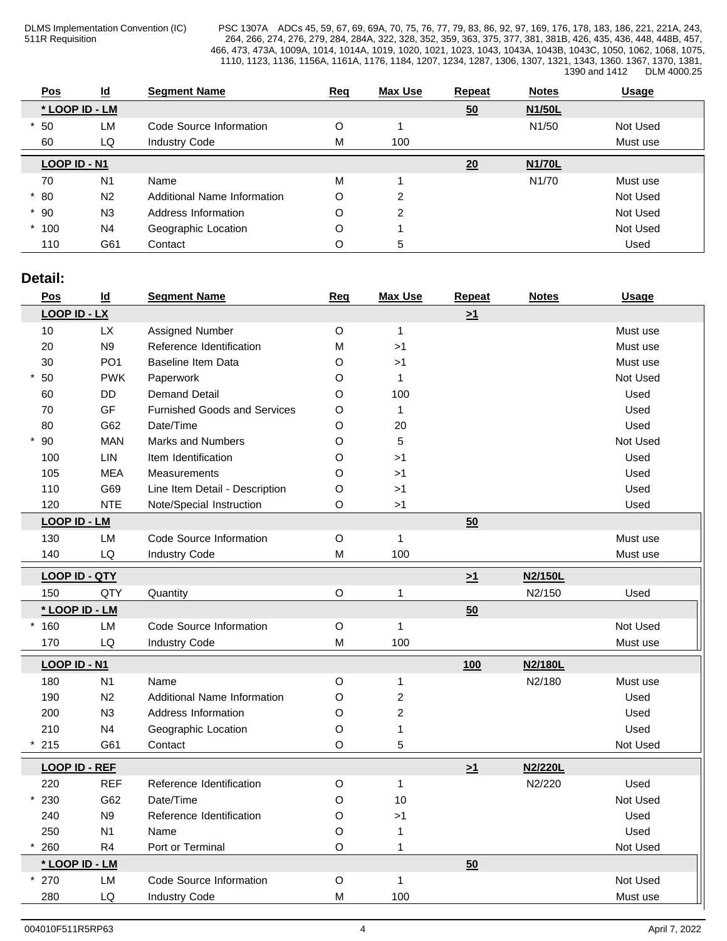PSC 1307A ADCs 45, 59, 67, 69, 69A, 70, 75, 76, 77, 79, 83, 86, 92, 97, 169, 176, 178, 183, 186, 221, 221A, 243, 264, 266, 274, 276, 279, 284, 284A, 322, 328, 352, 359, 363, 375, 377, 381, 381B, 426, 435, 436, 448, 448B, 457, 466, 473, 473A, 1009A, 1014, 1014A, 1019, 1020, 1021, 1023, 1043, 1043A, 1043B, 1043C, 1050, 1062, 1068, 1075, 1110, 1123, 1136, 1156A, 1161A, 1176, 1184, 1207, 1234, 1287, 1306, 1307, 1321, 1343, 1360. 1367, 1370, 1381, 1390 and 1412 DLM 4000.25

| <b>Pos</b>   | $\underline{\mathsf{Id}}$ | <b>Segment Name</b>         | Req | <b>Max Use</b> | Repeat | <b>Notes</b>       | <b>Usage</b> |
|--------------|---------------------------|-----------------------------|-----|----------------|--------|--------------------|--------------|
|              | * LOOP ID - LM            |                             |     |                | 50     | N1/50L             |              |
| 50           | <b>LM</b>                 | Code Source Information     | O   |                |        | N <sub>1</sub> /50 | Not Used     |
| 60           | LQ                        | <b>Industry Code</b>        | Μ   | 100            |        |                    | Must use     |
| LOOP ID - N1 |                           |                             |     |                | 20     | <b>N1/70L</b>      |              |
| 70           | N <sub>1</sub>            | Name                        | М   |                |        | N <sub>1</sub> /70 | Must use     |
| $*80$        | N <sub>2</sub>            | Additional Name Information | O   | ົ              |        |                    | Not Used     |
| $*90$        | N <sub>3</sub>            | Address Information         | O   | າ              |        |                    | Not Used     |
| $*100$       | N <sub>4</sub>            | Geographic Location         | O   |                |        |                    | Not Used     |
| 110          | G61                       | Contact                     | O   | 5              |        |                    | Used         |

## **Detail:**

| Pos                  | $\underline{\mathsf{Id}}$ | <b>Segment Name</b>                 | <b>Req</b>  | <b>Max Use</b> | Repeat   | <b>Notes</b> | <b>Usage</b> |
|----------------------|---------------------------|-------------------------------------|-------------|----------------|----------|--------------|--------------|
| <b>LOOP ID - LX</b>  |                           |                                     |             |                | $\geq 1$ |              |              |
| 10                   | <b>LX</b>                 | Assigned Number                     | $\mathsf O$ | $\mathbf{1}$   |          |              | Must use     |
| 20                   | N <sub>9</sub>            | Reference Identification            | M           | >1             |          |              | Must use     |
| 30                   | PO <sub>1</sub>           | <b>Baseline Item Data</b>           | $\mathsf O$ | >1             |          |              | Must use     |
| $*50$                | <b>PWK</b>                | Paperwork                           | $\circ$     | $\overline{1}$ |          |              | Not Used     |
| 60                   | <b>DD</b>                 | <b>Demand Detail</b>                | O           | 100            |          |              | Used         |
| 70                   | GF                        | <b>Furnished Goods and Services</b> | O           | $\mathbf{1}$   |          |              | Used         |
| 80                   | G62                       | Date/Time                           | O           | 20             |          |              | Used         |
| 90                   | <b>MAN</b>                | <b>Marks and Numbers</b>            | O           | 5              |          |              | Not Used     |
| 100                  | <b>LIN</b>                | Item Identification                 | O           | >1             |          |              | Used         |
| 105                  | <b>MEA</b>                | Measurements                        | O           | >1             |          |              | Used         |
| 110                  | G69                       | Line Item Detail - Description      | $\circ$     | >1             |          |              | Used         |
| 120                  | <b>NTE</b>                | Note/Special Instruction            | O           | >1             |          |              | Used         |
| <b>LOOP ID - LM</b>  |                           |                                     |             |                | 50       |              |              |
| 130                  | LM                        | Code Source Information             | $\mathsf O$ | $\overline{1}$ |          |              | Must use     |
| 140                  | LQ                        | <b>Industry Code</b>                | ${\sf M}$   | 100            |          |              | Must use     |
| <b>LOOP ID - QTY</b> |                           |                                     |             |                | $\geq 1$ | N2/150L      |              |
| 150                  | QTY                       | Quantity                            | $\mathsf O$ | $\overline{1}$ |          | N2/150       | Used         |
| * LOOP ID - LM       |                           |                                     |             |                | 50       |              |              |
| $*160$               | LM                        | Code Source Information             | $\mathsf O$ | $\mathbf{1}$   |          |              | Not Used     |
| 170                  | LQ                        | <b>Industry Code</b>                | M           | 100            |          |              | Must use     |
|                      |                           |                                     |             |                |          |              |              |
| <b>LOOP ID - N1</b>  |                           |                                     |             |                | 100      | N2/180L      |              |
| 180                  | N <sub>1</sub>            | Name                                | $\mathsf O$ | $\mathbf 1$    |          | N2/180       | Must use     |
| 190                  | N <sub>2</sub>            | Additional Name Information         | $\circ$     | $\overline{2}$ |          |              | Used         |
| 200                  | N3                        | Address Information                 | O           | $\overline{c}$ |          |              | Used         |
| 210                  | N <sub>4</sub>            | Geographic Location                 | O           | $\mathbf{1}$   |          |              | Used         |
| 215                  | G61                       | Contact                             | O           | 5              |          |              | Not Used     |
| <b>LOOP ID - REF</b> |                           |                                     |             |                | $\geq 1$ | N2/220L      |              |
| 220                  | <b>REF</b>                | Reference Identification            | $\mathsf O$ | $\mathbf{1}$   |          | N2/220       | Used         |
| 230                  | G62                       | Date/Time                           | O           | 10             |          |              | Not Used     |
| 240                  | N <sub>9</sub>            | Reference Identification            | O           | >1             |          |              | Used         |
| 250                  | N <sub>1</sub>            | Name                                | O           | $\overline{1}$ |          |              | Used         |
| 260                  | R4                        | Port or Terminal                    | $\mathsf O$ | $\mathbf{1}$   |          |              | Not Used     |
| * LOOP ID - LM       |                           |                                     |             |                | 50       |              |              |
| $*270$               | LM                        | Code Source Information             | $\mathsf O$ | $\mathbf{1}$   |          |              | Not Used     |
| 280                  | LQ                        | <b>Industry Code</b>                | M           | 100            |          |              | Must use     |
|                      |                           |                                     |             |                |          |              |              |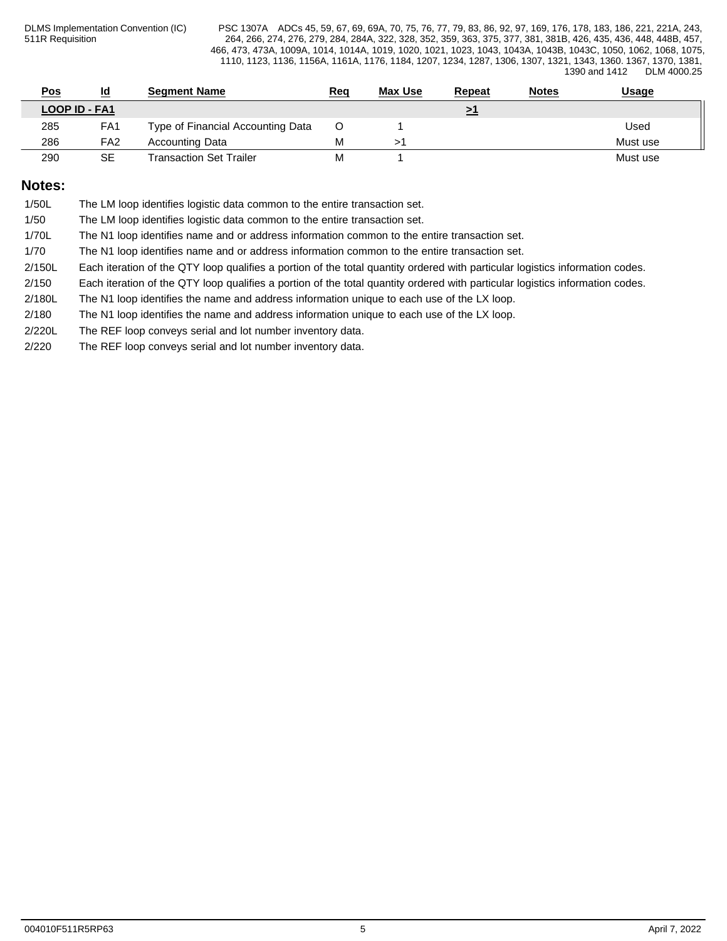| <u>Pos</u>           | <u>ld</u>       | Seament Name                      | <u>Req</u> | <b>Max Use</b> | Repeat | <b>Notes</b> | <u>Usage</u> |
|----------------------|-----------------|-----------------------------------|------------|----------------|--------|--------------|--------------|
| <b>LOOP ID - FA1</b> |                 |                                   |            |                |        |              |              |
| 285                  | FA <sub>1</sub> | Type of Financial Accounting Data |            |                |        |              | Used         |
| 286                  | FA <sub>2</sub> | Accounting Data                   | М          |                |        |              | Must use     |
| 290                  | SE              | <b>Transaction Set Trailer</b>    | M          |                |        |              | Must use     |

## **Notes:**

| 1/50L | The LM loop identifies logistic data common to the entire transaction set. |  |
|-------|----------------------------------------------------------------------------|--|
|-------|----------------------------------------------------------------------------|--|

1/50 The LM loop identifies logistic data common to the entire transaction set.

1/70L The N1 loop identifies name and or address information common to the entire transaction set.

1/70 The N1 loop identifies name and or address information common to the entire transaction set.

2/150L Each iteration of the QTY loop qualifies a portion of the total quantity ordered with particular logistics information codes.

2/150 Each iteration of the QTY loop qualifies a portion of the total quantity ordered with particular logistics information codes.

2/180L The N1 loop identifies the name and address information unique to each use of the LX loop.

2/180 The N1 loop identifies the name and address information unique to each use of the LX loop.

2/220L The REF loop conveys serial and lot number inventory data.

2/220 The REF loop conveys serial and lot number inventory data.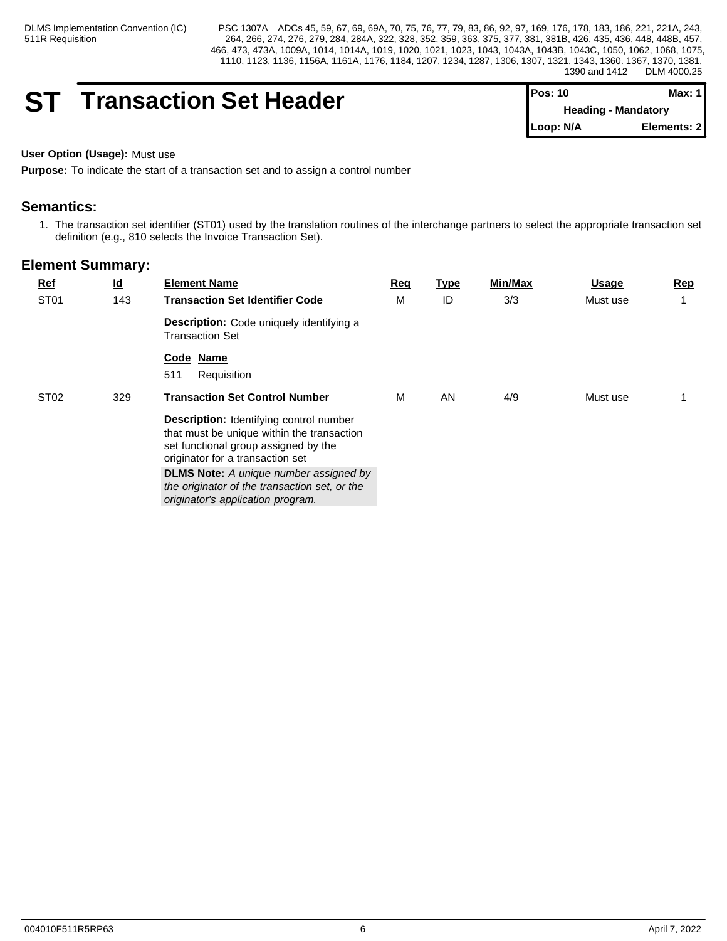## **ST** Transaction Set Header

| $Pos: 10$                  | Max: $1$    |  |
|----------------------------|-------------|--|
| <b>Heading - Mandatory</b> |             |  |
| Loop: N/A                  | Elements: 2 |  |

## **User Option (Usage):** Must use

**Purpose:** To indicate the start of a transaction set and to assign a control number

## **Semantics:**

1. The transaction set identifier (ST01) used by the translation routines of the interchange partners to select the appropriate transaction set definition (e.g., 810 selects the Invoice Transaction Set).

| $Ref$            | $\underline{\mathsf{Id}}$ | <b>Element Name</b>                                                                                                                                                                                                                                                                                             | Req | <u>Type</u> | Min/Max | <u>Usage</u> | Rep |
|------------------|---------------------------|-----------------------------------------------------------------------------------------------------------------------------------------------------------------------------------------------------------------------------------------------------------------------------------------------------------------|-----|-------------|---------|--------------|-----|
| ST <sub>01</sub> | 143                       | <b>Transaction Set Identifier Code</b>                                                                                                                                                                                                                                                                          | M   | ID          | 3/3     | Must use     |     |
|                  |                           | <b>Description:</b> Code uniquely identifying a<br><b>Transaction Set</b>                                                                                                                                                                                                                                       |     |             |         |              |     |
|                  |                           | Code Name<br>511<br>Requisition                                                                                                                                                                                                                                                                                 |     |             |         |              |     |
| ST <sub>02</sub> | 329                       | <b>Transaction Set Control Number</b>                                                                                                                                                                                                                                                                           | M   | AN          | 4/9     | Must use     |     |
|                  |                           | <b>Description:</b> Identifying control number<br>that must be unique within the transaction<br>set functional group assigned by the<br>originator for a transaction set<br><b>DLMS Note:</b> A unique number assigned by<br>the originator of the transaction set, or the<br>originator's application program. |     |             |         |              |     |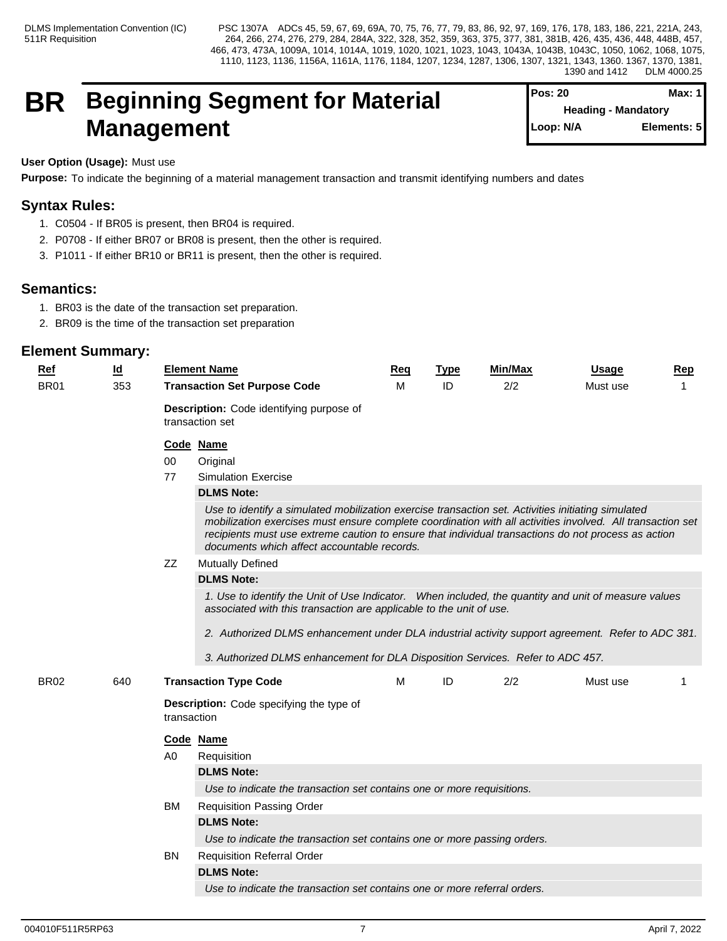## **BR Beginning Segment for Material Management**

| $Pos: 20$                  | Max: 1      |
|----------------------------|-------------|
| <b>Heading - Mandatory</b> |             |
| Loop: N/A                  | Elements: 5 |

**User Option (Usage):** Must use

**Purpose:** To indicate the beginning of a material management transaction and transmit identifying numbers and dates

## **Syntax Rules:**

- 1. C0504 If BR05 is present, then BR04 is required.
- 2. P0708 If either BR07 or BR08 is present, then the other is required.
- 3. P1011 If either BR10 or BR11 is present, then the other is required.

## **Semantics:**

- 1. BR03 is the date of the transaction set preparation.
- 2. BR09 is the time of the transaction set preparation

| Ref         | $\overline{\mathsf{Id}}$ | <b>Element Name</b>                                            | Req                                                                                                                                                                                                                                                                                                                                                                    | <b>Type</b> | <b>Min/Max</b> | Usage    | Rep |  |  |  |  |
|-------------|--------------------------|----------------------------------------------------------------|------------------------------------------------------------------------------------------------------------------------------------------------------------------------------------------------------------------------------------------------------------------------------------------------------------------------------------------------------------------------|-------------|----------------|----------|-----|--|--|--|--|
| <b>BR01</b> | 353                      | <b>Transaction Set Purpose Code</b>                            | M                                                                                                                                                                                                                                                                                                                                                                      | ID          | 2/2            | Must use | 1   |  |  |  |  |
|             |                          | Description: Code identifying purpose of<br>transaction set    |                                                                                                                                                                                                                                                                                                                                                                        |             |                |          |     |  |  |  |  |
|             |                          | Code Name                                                      |                                                                                                                                                                                                                                                                                                                                                                        |             |                |          |     |  |  |  |  |
|             |                          | 00<br>Original                                                 |                                                                                                                                                                                                                                                                                                                                                                        |             |                |          |     |  |  |  |  |
|             |                          | <b>Simulation Exercise</b><br>77                               |                                                                                                                                                                                                                                                                                                                                                                        |             |                |          |     |  |  |  |  |
|             |                          | <b>DLMS Note:</b>                                              |                                                                                                                                                                                                                                                                                                                                                                        |             |                |          |     |  |  |  |  |
|             |                          |                                                                | Use to identify a simulated mobilization exercise transaction set. Activities initiating simulated<br>mobilization exercises must ensure complete coordination with all activities involved. All transaction set<br>recipients must use extreme caution to ensure that individual transactions do not process as action<br>documents which affect accountable records. |             |                |          |     |  |  |  |  |
|             |                          | <b>Mutually Defined</b><br>ZZ                                  |                                                                                                                                                                                                                                                                                                                                                                        |             |                |          |     |  |  |  |  |
|             |                          | <b>DLMS Note:</b>                                              |                                                                                                                                                                                                                                                                                                                                                                        |             |                |          |     |  |  |  |  |
|             |                          |                                                                | 1. Use to identify the Unit of Use Indicator. When included, the quantity and unit of measure values<br>associated with this transaction are applicable to the unit of use.                                                                                                                                                                                            |             |                |          |     |  |  |  |  |
|             |                          |                                                                | 2. Authorized DLMS enhancement under DLA industrial activity support agreement. Refer to ADC 381.                                                                                                                                                                                                                                                                      |             |                |          |     |  |  |  |  |
|             |                          |                                                                | 3. Authorized DLMS enhancement for DLA Disposition Services. Refer to ADC 457.                                                                                                                                                                                                                                                                                         |             |                |          |     |  |  |  |  |
|             |                          |                                                                |                                                                                                                                                                                                                                                                                                                                                                        |             |                |          |     |  |  |  |  |
| <b>BR02</b> | 640                      | <b>Transaction Type Code</b>                                   | м                                                                                                                                                                                                                                                                                                                                                                      | ID          | 2/2            | Must use |     |  |  |  |  |
|             |                          | <b>Description:</b> Code specifying the type of<br>transaction |                                                                                                                                                                                                                                                                                                                                                                        |             |                |          |     |  |  |  |  |
|             |                          | Code Name                                                      |                                                                                                                                                                                                                                                                                                                                                                        |             |                |          |     |  |  |  |  |
|             |                          | Requisition<br>A0                                              |                                                                                                                                                                                                                                                                                                                                                                        |             |                |          |     |  |  |  |  |
|             |                          | <b>DLMS Note:</b>                                              |                                                                                                                                                                                                                                                                                                                                                                        |             |                |          |     |  |  |  |  |
|             |                          |                                                                | Use to indicate the transaction set contains one or more requisitions.                                                                                                                                                                                                                                                                                                 |             |                |          |     |  |  |  |  |
|             |                          | <b>Requisition Passing Order</b><br>BM                         |                                                                                                                                                                                                                                                                                                                                                                        |             |                |          |     |  |  |  |  |
|             |                          | <b>DLMS Note:</b>                                              |                                                                                                                                                                                                                                                                                                                                                                        |             |                |          |     |  |  |  |  |
|             |                          |                                                                | Use to indicate the transaction set contains one or more passing orders.                                                                                                                                                                                                                                                                                               |             |                |          |     |  |  |  |  |
|             |                          | BN<br><b>Requisition Referral Order</b>                        |                                                                                                                                                                                                                                                                                                                                                                        |             |                |          |     |  |  |  |  |
|             |                          | <b>DLMS Note:</b>                                              |                                                                                                                                                                                                                                                                                                                                                                        |             |                |          |     |  |  |  |  |
|             |                          |                                                                | Use to indicate the transaction set contains one or more referral orders.                                                                                                                                                                                                                                                                                              |             |                |          |     |  |  |  |  |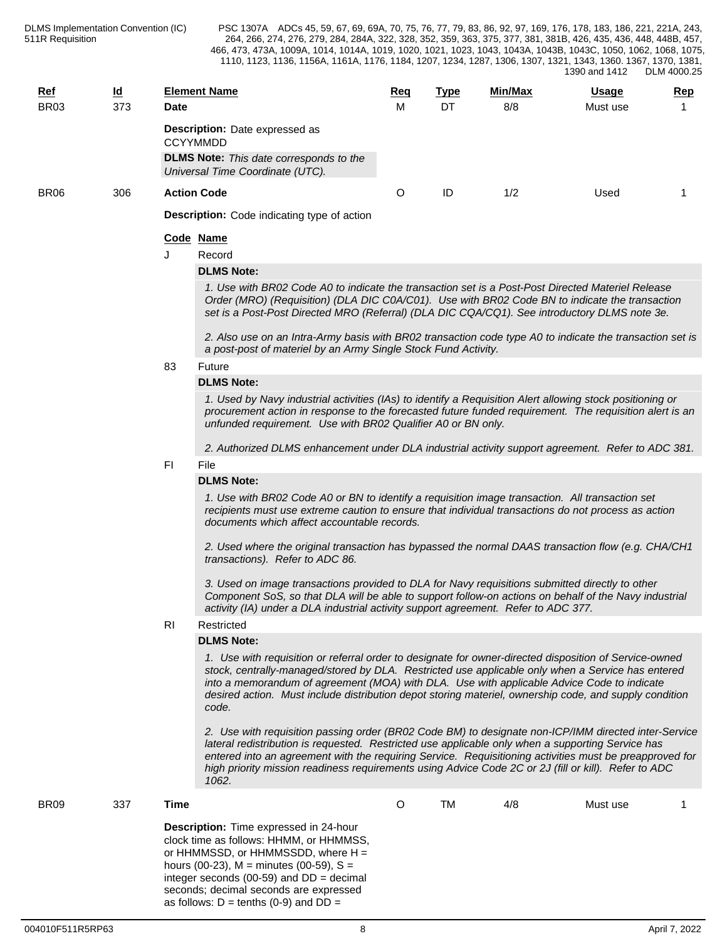| <u>Ref</u><br><b>BR03</b> | <u>ld</u><br>373 | Date                                                     | <b>Element Name</b>                                                                                                                                                                                                                                                                                                                                                                                                                   | <u>Req</u><br>м | <b>Type</b><br><b>DT</b> | <u>Min/Max</u><br>8/8 | <u>Usage</u><br>Must use | Rep |  |  |  |  |  |  |
|---------------------------|------------------|----------------------------------------------------------|---------------------------------------------------------------------------------------------------------------------------------------------------------------------------------------------------------------------------------------------------------------------------------------------------------------------------------------------------------------------------------------------------------------------------------------|-----------------|--------------------------|-----------------------|--------------------------|-----|--|--|--|--|--|--|
|                           |                  | <b>Description:</b> Date expressed as<br><b>CCYYMMDD</b> |                                                                                                                                                                                                                                                                                                                                                                                                                                       |                 |                          |                       |                          |     |  |  |  |  |  |  |
|                           |                  |                                                          | <b>DLMS Note:</b> This date corresponds to the<br>Universal Time Coordinate (UTC).                                                                                                                                                                                                                                                                                                                                                    |                 |                          |                       |                          |     |  |  |  |  |  |  |
| BR <sub>06</sub>          | 306              |                                                          | <b>Action Code</b>                                                                                                                                                                                                                                                                                                                                                                                                                    | O               | ID                       | 1/2                   | Used                     |     |  |  |  |  |  |  |
|                           |                  |                                                          | <b>Description:</b> Code indicating type of action                                                                                                                                                                                                                                                                                                                                                                                    |                 |                          |                       |                          |     |  |  |  |  |  |  |
|                           |                  |                                                          | Code Name                                                                                                                                                                                                                                                                                                                                                                                                                             |                 |                          |                       |                          |     |  |  |  |  |  |  |
|                           |                  |                                                          | Record                                                                                                                                                                                                                                                                                                                                                                                                                                |                 |                          |                       |                          |     |  |  |  |  |  |  |
|                           |                  |                                                          | <b>DLMS Note:</b>                                                                                                                                                                                                                                                                                                                                                                                                                     |                 |                          |                       |                          |     |  |  |  |  |  |  |
|                           |                  |                                                          | 1. Use with BR02 Code A0 to indicate the transaction set is a Post-Post Directed Materiel Release<br>Order (MRO) (Requisition) (DLA DIC C0A/C01). Use with BR02 Code BN to indicate the transaction<br>set is a Post-Post Directed MRO (Referral) (DLA DIC CQA/CQ1). See introductory DLMS note 3e.                                                                                                                                   |                 |                          |                       |                          |     |  |  |  |  |  |  |
|                           |                  |                                                          | 2. Also use on an Intra-Army basis with BR02 transaction code type A0 to indicate the transaction set is<br>a post-post of materiel by an Army Single Stock Fund Activity.                                                                                                                                                                                                                                                            |                 |                          |                       |                          |     |  |  |  |  |  |  |
|                           |                  | 83                                                       | Future                                                                                                                                                                                                                                                                                                                                                                                                                                |                 |                          |                       |                          |     |  |  |  |  |  |  |
|                           |                  |                                                          | <b>DLMS Note:</b>                                                                                                                                                                                                                                                                                                                                                                                                                     |                 |                          |                       |                          |     |  |  |  |  |  |  |
|                           |                  |                                                          | 1. Used by Navy industrial activities (IAs) to identify a Requisition Alert allowing stock positioning or<br>procurement action in response to the forecasted future funded requirement. The requisition alert is an<br>unfunded requirement. Use with BR02 Qualifier A0 or BN only.                                                                                                                                                  |                 |                          |                       |                          |     |  |  |  |  |  |  |
|                           |                  |                                                          | 2. Authorized DLMS enhancement under DLA industrial activity support agreement. Refer to ADC 381.                                                                                                                                                                                                                                                                                                                                     |                 |                          |                       |                          |     |  |  |  |  |  |  |
|                           |                  | FI.                                                      | File                                                                                                                                                                                                                                                                                                                                                                                                                                  |                 |                          |                       |                          |     |  |  |  |  |  |  |
|                           |                  |                                                          | <b>DLMS Note:</b>                                                                                                                                                                                                                                                                                                                                                                                                                     |                 |                          |                       |                          |     |  |  |  |  |  |  |
|                           |                  |                                                          | 1. Use with BR02 Code A0 or BN to identify a requisition image transaction. All transaction set<br>recipients must use extreme caution to ensure that individual transactions do not process as action<br>documents which affect accountable records.                                                                                                                                                                                 |                 |                          |                       |                          |     |  |  |  |  |  |  |
|                           |                  |                                                          | 2. Used where the original transaction has bypassed the normal DAAS transaction flow (e.g. CHA/CH1<br>transactions). Refer to ADC 86.                                                                                                                                                                                                                                                                                                 |                 |                          |                       |                          |     |  |  |  |  |  |  |
|                           |                  |                                                          | 3. Used on image transactions provided to DLA for Navy requisitions submitted directly to other<br>Component SoS, so that DLA will be able to support follow-on actions on behalf of the Navy industrial<br>activity (IA) under a DLA industrial activity support agreement. Refer to ADC 377.                                                                                                                                        |                 |                          |                       |                          |     |  |  |  |  |  |  |
|                           |                  | <b>RI</b>                                                | Restricted                                                                                                                                                                                                                                                                                                                                                                                                                            |                 |                          |                       |                          |     |  |  |  |  |  |  |
|                           |                  |                                                          | <b>DLMS Note:</b>                                                                                                                                                                                                                                                                                                                                                                                                                     |                 |                          |                       |                          |     |  |  |  |  |  |  |
|                           |                  |                                                          | 1. Use with requisition or referral order to designate for owner-directed disposition of Service-owned<br>stock, centrally-managed/stored by DLA. Restricted use applicable only when a Service has entered<br>into a memorandum of agreement (MOA) with DLA. Use with applicable Advice Code to indicate<br>desired action. Must include distribution depot storing materiel, ownership code, and supply condition<br>code.          |                 |                          |                       |                          |     |  |  |  |  |  |  |
|                           |                  |                                                          | 2. Use with requisition passing order (BR02 Code BM) to designate non-ICP/IMM directed inter-Service<br>lateral redistribution is requested. Restricted use applicable only when a supporting Service has<br>entered into an agreement with the requiring Service. Requisitioning activities must be preapproved for<br>high priority mission readiness requirements using Advice Code 2C or 2J (fill or kill). Refer to ADC<br>1062. |                 |                          |                       |                          |     |  |  |  |  |  |  |
| <b>BR09</b>               | 337              | <b>Time</b>                                              |                                                                                                                                                                                                                                                                                                                                                                                                                                       | O               | <b>TM</b>                | 4/8                   | Must use                 | 1   |  |  |  |  |  |  |
|                           |                  |                                                          | Description: Time expressed in 24-hour<br>clock time as follows: HHMM, or HHMMSS,<br>or HHMMSSD, or HHMMSSDD, where $H =$<br>hours (00-23), $M =$ minutes (00-59), $S =$<br>integer seconds (00-59) and $DD = decimal$                                                                                                                                                                                                                |                 |                          |                       |                          |     |  |  |  |  |  |  |

seconds; decimal seconds are expressed as follows:  $D = \text{tenths}$  (0-9) and  $DD =$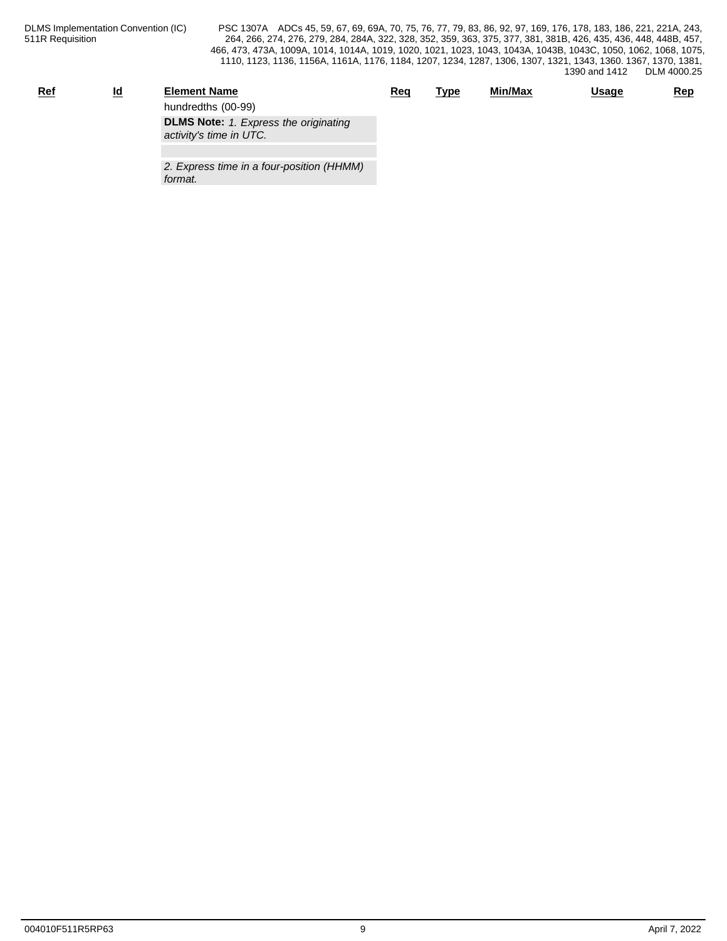| <u>Ref</u> | <u>ld</u> | <b>Element Name</b>                          | Req | <b>Type</b> | <u>Min/Max</u> | Usage | <b>Rep</b> |
|------------|-----------|----------------------------------------------|-----|-------------|----------------|-------|------------|
|            |           | hundredths (00-99)                           |     |             |                |       |            |
|            |           | <b>DLMS Note:</b> 1. Express the originating |     |             |                |       |            |
|            |           | activity's time in UTC.                      |     |             |                |       |            |
|            |           |                                              |     |             |                |       |            |
|            |           |                                              |     |             |                |       |            |

*2. Express time in a four-position (HHMM) format.*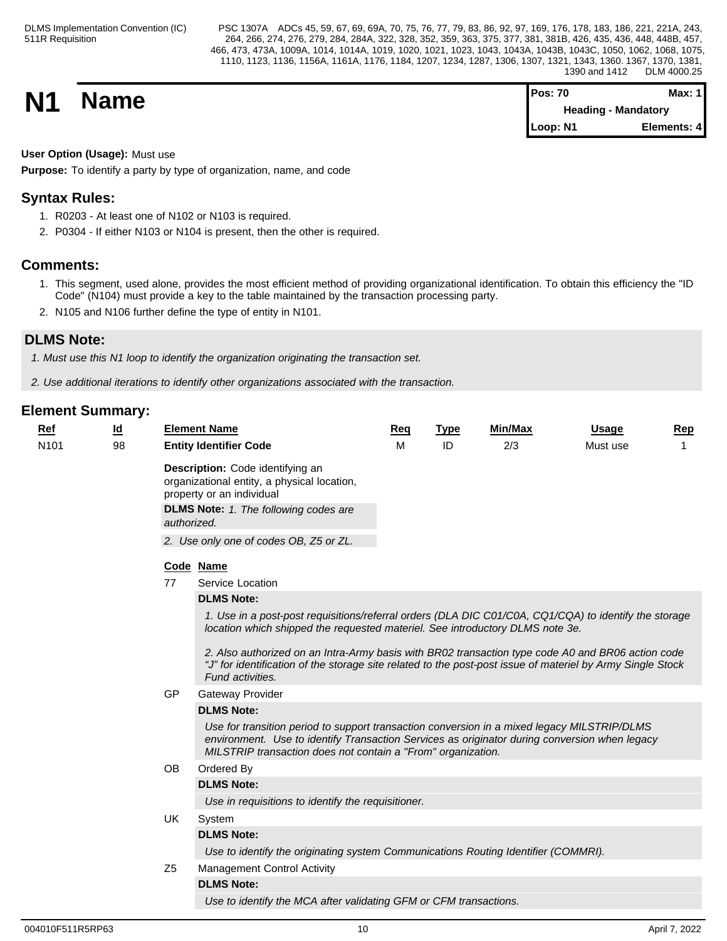**N1 Name Pos: 70 Max: 1 Max: 1 Max: 1 Max: 1 Max: 1 Max: 1 Max: 1 Max: 1 Heading - Mandatory Loop: N1 Elements: 4**

**User Option (Usage):** Must use

**Purpose:** To identify a party by type of organization, name, and code

## **Syntax Rules:**

- 1. R0203 At least one of N102 or N103 is required.
- 2. P0304 If either N103 or N104 is present, then the other is required.

## **Comments:**

- 1. This segment, used alone, provides the most efficient method of providing organizational identification. To obtain this efficiency the "ID Code" (N104) must provide a key to the table maintained by the transaction processing party.
- 2. N105 and N106 further define the type of entity in N101.

## **DLMS Note:**

*1. Must use this N1 loop to identify the organization originating the transaction set.*

*2. Use additional iterations to identify other organizations associated with the transaction.*

| $Ref$            | $\underline{\mathsf{Id}}$ |                | <b>Element Name</b>                                                                                                                                                                                                                                                                                                                                                                                                           | Req | <b>Type</b> | Min/Max | <b>Usage</b> | <b>Rep</b> |
|------------------|---------------------------|----------------|-------------------------------------------------------------------------------------------------------------------------------------------------------------------------------------------------------------------------------------------------------------------------------------------------------------------------------------------------------------------------------------------------------------------------------|-----|-------------|---------|--------------|------------|
| N <sub>101</sub> | 98                        |                | <b>Entity Identifier Code</b>                                                                                                                                                                                                                                                                                                                                                                                                 | м   | ID          | 2/3     | Must use     |            |
|                  |                           | authorized.    | Description: Code identifying an<br>organizational entity, a physical location,<br>property or an individual<br><b>DLMS Note:</b> 1. The following codes are                                                                                                                                                                                                                                                                  |     |             |         |              |            |
|                  |                           |                | 2. Use only one of codes OB, Z5 or ZL.                                                                                                                                                                                                                                                                                                                                                                                        |     |             |         |              |            |
|                  |                           |                | Code Name                                                                                                                                                                                                                                                                                                                                                                                                                     |     |             |         |              |            |
|                  |                           | 77             | Service Location                                                                                                                                                                                                                                                                                                                                                                                                              |     |             |         |              |            |
|                  |                           |                | <b>DLMS Note:</b>                                                                                                                                                                                                                                                                                                                                                                                                             |     |             |         |              |            |
|                  |                           |                | 1. Use in a post-post requisitions/referral orders (DLA DIC C01/C0A, CQ1/CQA) to identify the storage<br>location which shipped the requested materiel. See introductory DLMS note 3e.<br>2. Also authorized on an Intra-Army basis with BR02 transaction type code A0 and BR06 action code<br>"J" for identification of the storage site related to the post-post issue of materiel by Army Single Stock<br>Fund activities. |     |             |         |              |            |
|                  |                           | GP             | <b>Gateway Provider</b>                                                                                                                                                                                                                                                                                                                                                                                                       |     |             |         |              |            |
|                  |                           |                | <b>DLMS Note:</b>                                                                                                                                                                                                                                                                                                                                                                                                             |     |             |         |              |            |
|                  |                           |                | Use for transition period to support transaction conversion in a mixed legacy MILSTRIP/DLMS<br>environment. Use to identify Transaction Services as originator during conversion when legacy<br>MILSTRIP transaction does not contain a "From" organization.                                                                                                                                                                  |     |             |         |              |            |
|                  |                           | OB             | Ordered By                                                                                                                                                                                                                                                                                                                                                                                                                    |     |             |         |              |            |
|                  |                           |                | <b>DLMS Note:</b>                                                                                                                                                                                                                                                                                                                                                                                                             |     |             |         |              |            |
|                  |                           |                | Use in requisitions to identify the requisitioner.                                                                                                                                                                                                                                                                                                                                                                            |     |             |         |              |            |
|                  |                           | UK             | System                                                                                                                                                                                                                                                                                                                                                                                                                        |     |             |         |              |            |
|                  |                           |                | <b>DLMS Note:</b>                                                                                                                                                                                                                                                                                                                                                                                                             |     |             |         |              |            |
|                  |                           |                | Use to identify the originating system Communications Routing Identifier (COMMRI).                                                                                                                                                                                                                                                                                                                                            |     |             |         |              |            |
|                  |                           | Z <sub>5</sub> | <b>Management Control Activity</b>                                                                                                                                                                                                                                                                                                                                                                                            |     |             |         |              |            |
|                  |                           |                | <b>DLMS Note:</b>                                                                                                                                                                                                                                                                                                                                                                                                             |     |             |         |              |            |
|                  |                           |                | Use to identify the MCA after validating GFM or CFM transactions.                                                                                                                                                                                                                                                                                                                                                             |     |             |         |              |            |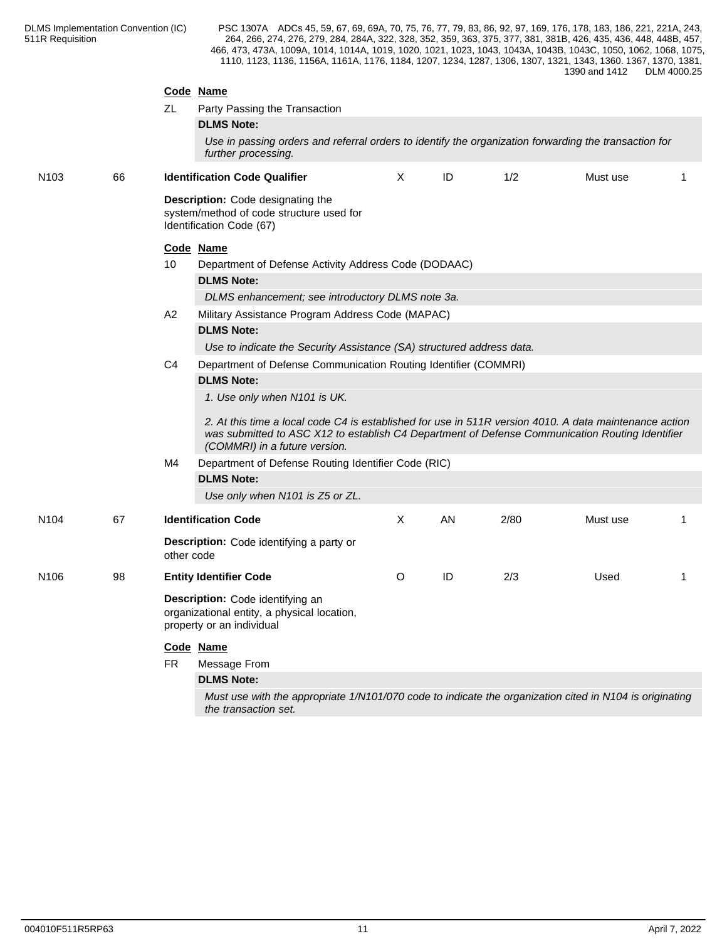|                  |    | ZL                                               | Code Name<br>Party Passing the Transaction<br><b>DLMS Note:</b><br>Use in passing orders and referral orders to identify the organization forwarding the transaction for                                                                                                                        |         |    |      |          |    |  |  |  |
|------------------|----|--------------------------------------------------|-------------------------------------------------------------------------------------------------------------------------------------------------------------------------------------------------------------------------------------------------------------------------------------------------|---------|----|------|----------|----|--|--|--|
|                  |    |                                                  | further processing.                                                                                                                                                                                                                                                                             |         |    |      |          |    |  |  |  |
| N <sub>103</sub> | 66 |                                                  | <b>Identification Code Qualifier</b>                                                                                                                                                                                                                                                            | X       | ID | 1/2  | Must use |    |  |  |  |
|                  |    |                                                  | Description: Code designating the<br>system/method of code structure used for<br>Identification Code (67)                                                                                                                                                                                       |         |    |      |          |    |  |  |  |
|                  |    |                                                  | Code Name                                                                                                                                                                                                                                                                                       |         |    |      |          |    |  |  |  |
|                  |    | 10                                               | Department of Defense Activity Address Code (DODAAC)                                                                                                                                                                                                                                            |         |    |      |          |    |  |  |  |
|                  |    |                                                  | <b>DLMS Note:</b>                                                                                                                                                                                                                                                                               |         |    |      |          |    |  |  |  |
|                  |    | DLMS enhancement; see introductory DLMS note 3a. |                                                                                                                                                                                                                                                                                                 |         |    |      |          |    |  |  |  |
|                  |    | A2                                               | Military Assistance Program Address Code (MAPAC)                                                                                                                                                                                                                                                |         |    |      |          |    |  |  |  |
|                  |    |                                                  | <b>DLMS Note:</b>                                                                                                                                                                                                                                                                               |         |    |      |          |    |  |  |  |
|                  |    |                                                  | Use to indicate the Security Assistance (SA) structured address data.                                                                                                                                                                                                                           |         |    |      |          |    |  |  |  |
|                  |    | C <sub>4</sub>                                   | Department of Defense Communication Routing Identifier (COMMRI)                                                                                                                                                                                                                                 |         |    |      |          |    |  |  |  |
|                  |    |                                                  | <b>DLMS Note:</b><br>1. Use only when N101 is UK.<br>2. At this time a local code C4 is established for use in 511R version 4010. A data maintenance action<br>was submitted to ASC X12 to establish C4 Department of Defense Communication Routing Identifier<br>(COMMRI) in a future version. |         |    |      |          |    |  |  |  |
|                  |    | M4                                               | Department of Defense Routing Identifier Code (RIC)                                                                                                                                                                                                                                             |         |    |      |          |    |  |  |  |
|                  |    |                                                  | <b>DLMS Note:</b>                                                                                                                                                                                                                                                                               |         |    |      |          |    |  |  |  |
|                  |    |                                                  | Use only when N101 is Z5 or ZL.                                                                                                                                                                                                                                                                 |         |    |      |          |    |  |  |  |
| N <sub>104</sub> | 67 |                                                  | <b>Identification Code</b>                                                                                                                                                                                                                                                                      | X       | AN | 2/80 | Must use | 1  |  |  |  |
|                  |    | other code                                       | Description: Code identifying a party or                                                                                                                                                                                                                                                        |         |    |      |          |    |  |  |  |
| N <sub>106</sub> | 98 |                                                  | <b>Entity Identifier Code</b>                                                                                                                                                                                                                                                                   | $\circ$ | ID | 2/3  | Used     | -1 |  |  |  |
|                  |    |                                                  | Description: Code identifying an<br>organizational entity, a physical location,<br>property or an individual                                                                                                                                                                                    |         |    |      |          |    |  |  |  |
|                  |    | FR                                               | Code Name<br>Message From                                                                                                                                                                                                                                                                       |         |    |      |          |    |  |  |  |
|                  |    |                                                  | <b>DLMS Note:</b>                                                                                                                                                                                                                                                                               |         |    |      |          |    |  |  |  |
|                  |    |                                                  | Must use with the appropriate 1/N101/070 code to indicate the organization cited in N104 is originating<br>the transaction set.                                                                                                                                                                 |         |    |      |          |    |  |  |  |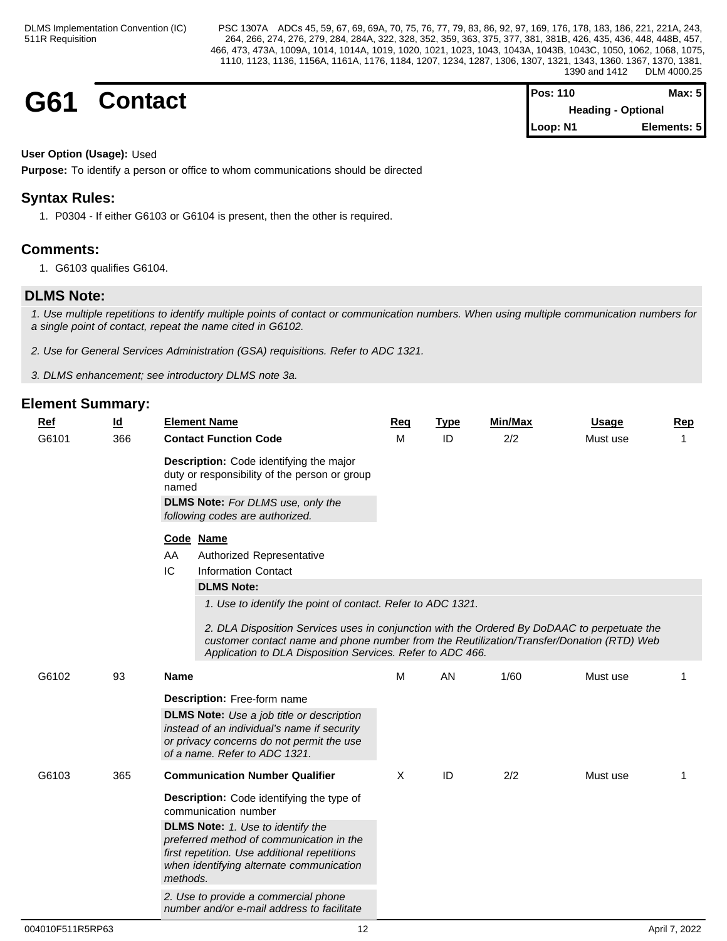| G61 | Contact | <b>Pos: 110</b>                       | Max: $5$    |  |
|-----|---------|---------------------------------------|-------------|--|
|     |         | <b>Heading - Optional</b><br>Loop: N1 | Elements: 5 |  |
|     |         |                                       |             |  |

## **User Option (Usage):** Used

**Purpose:** To identify a person or office to whom communications should be directed

## **Syntax Rules:**

1. P0304 - If either G6103 or G6104 is present, then the other is required.

## **Comments:**

1. G6103 qualifies G6104.

## **DLMS Note:**

*1. Use multiple repetitions to identify multiple points of contact or communication numbers. When using multiple communication numbers for a single point of contact, repeat the name cited in G6102.*

*2. Use for General Services Administration (GSA) requisitions. Refer to ADC 1321.*

*3. DLMS enhancement; see introductory DLMS note 3a.*

| <u>Ref</u><br>G6101 | <u>ld</u><br>366 | <b>Element Name</b><br><b>Contact Function Code</b>                                                                                                                                                                                                                                                                    | Req<br>м | <u>Type</u><br>ID | <b>Min/Max</b><br>2/2 | <b>Usage</b><br>Must use | Rep<br>$\mathbf{1}$ |
|---------------------|------------------|------------------------------------------------------------------------------------------------------------------------------------------------------------------------------------------------------------------------------------------------------------------------------------------------------------------------|----------|-------------------|-----------------------|--------------------------|---------------------|
|                     |                  | Description: Code identifying the major<br>duty or responsibility of the person or group<br>named<br><b>DLMS Note:</b> For DLMS use, only the<br>following codes are authorized.                                                                                                                                       |          |                   |                       |                          |                     |
|                     |                  | Code Name<br>AA<br>Authorized Representative<br>IC<br><b>Information Contact</b><br><b>DLMS Note:</b>                                                                                                                                                                                                                  |          |                   |                       |                          |                     |
|                     |                  | 1. Use to identify the point of contact. Refer to ADC 1321.<br>2. DLA Disposition Services uses in conjunction with the Ordered By DoDAAC to perpetuate the<br>customer contact name and phone number from the Reutilization/Transfer/Donation (RTD) Web<br>Application to DLA Disposition Services. Refer to ADC 466. |          |                   |                       |                          |                     |
| G6102               | 93               | Name                                                                                                                                                                                                                                                                                                                   | M        | AN                | 1/60                  | Must use                 |                     |
|                     |                  | <b>Description:</b> Free-form name<br><b>DLMS Note:</b> Use a job title or description<br>instead of an individual's name if security<br>or privacy concerns do not permit the use<br>of a name. Refer to ADC 1321.                                                                                                    |          |                   |                       |                          |                     |
| G6103               | 365              | <b>Communication Number Qualifier</b>                                                                                                                                                                                                                                                                                  | X        | ID                | 2/2                   | Must use                 | -1                  |
|                     |                  | <b>Description:</b> Code identifying the type of<br>communication number                                                                                                                                                                                                                                               |          |                   |                       |                          |                     |
|                     |                  | <b>DLMS Note:</b> 1. Use to identify the<br>preferred method of communication in the<br>first repetition. Use additional repetitions<br>when identifying alternate communication<br>methods.                                                                                                                           |          |                   |                       |                          |                     |
|                     |                  | 2. Use to provide a commercial phone<br>number and/or e-mail address to facilitate                                                                                                                                                                                                                                     |          |                   |                       |                          |                     |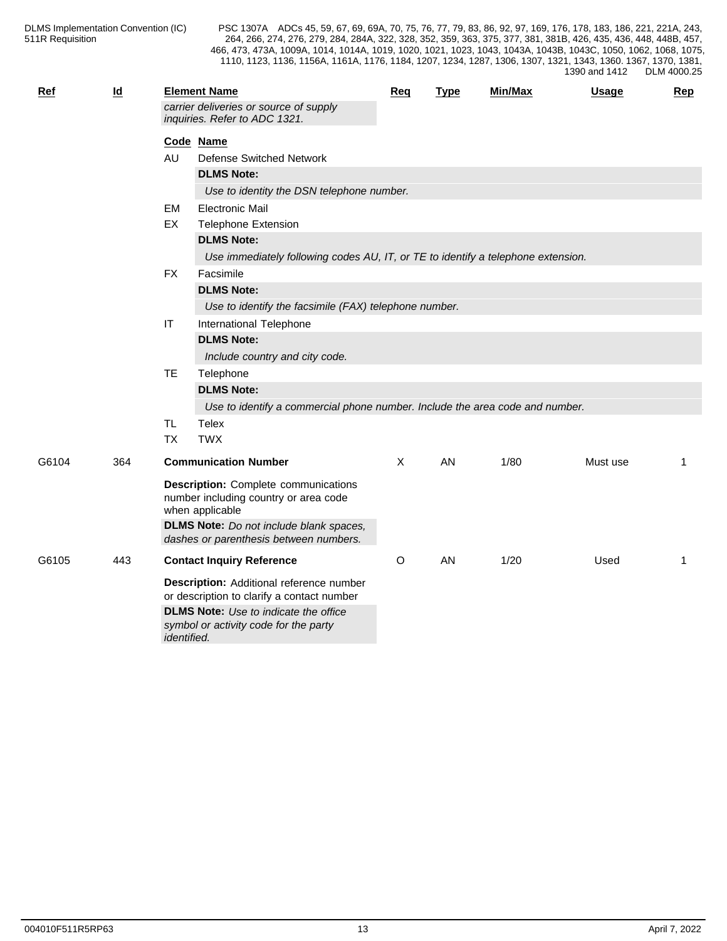| <b>Ref</b> | $\underline{\mathsf{Id}}$ |                | <b>Element Name</b>                                                                                                                                                                                 | Req     | <b>Type</b> | Min/Max | <b>Usage</b> | <b>Rep</b> |
|------------|---------------------------|----------------|-----------------------------------------------------------------------------------------------------------------------------------------------------------------------------------------------------|---------|-------------|---------|--------------|------------|
|            |                           |                | carrier deliveries or source of supply<br>inquiries. Refer to ADC 1321.                                                                                                                             |         |             |         |              |            |
|            |                           |                | Code Name                                                                                                                                                                                           |         |             |         |              |            |
|            |                           | AU             | Defense Switched Network                                                                                                                                                                            |         |             |         |              |            |
|            |                           |                | <b>DLMS Note:</b>                                                                                                                                                                                   |         |             |         |              |            |
|            |                           |                | Use to identity the DSN telephone number.                                                                                                                                                           |         |             |         |              |            |
|            |                           | EM             | <b>Electronic Mail</b>                                                                                                                                                                              |         |             |         |              |            |
|            |                           | EX             | <b>Telephone Extension</b>                                                                                                                                                                          |         |             |         |              |            |
|            |                           |                | <b>DLMS Note:</b>                                                                                                                                                                                   |         |             |         |              |            |
|            |                           |                | Use immediately following codes AU, IT, or TE to identify a telephone extension.                                                                                                                    |         |             |         |              |            |
|            |                           | <b>FX</b>      | Facsimile                                                                                                                                                                                           |         |             |         |              |            |
|            |                           |                | <b>DLMS Note:</b>                                                                                                                                                                                   |         |             |         |              |            |
|            |                           |                | Use to identify the facsimile (FAX) telephone number.                                                                                                                                               |         |             |         |              |            |
|            |                           | $ \mathsf{T} $ | International Telephone                                                                                                                                                                             |         |             |         |              |            |
|            |                           |                | <b>DLMS Note:</b>                                                                                                                                                                                   |         |             |         |              |            |
|            |                           |                | Include country and city code.                                                                                                                                                                      |         |             |         |              |            |
|            |                           | <b>TE</b>      | Telephone                                                                                                                                                                                           |         |             |         |              |            |
|            |                           |                | <b>DLMS Note:</b>                                                                                                                                                                                   |         |             |         |              |            |
|            |                           |                | Use to identify a commercial phone number. Include the area code and number.                                                                                                                        |         |             |         |              |            |
|            |                           | <b>TL</b>      | <b>Telex</b>                                                                                                                                                                                        |         |             |         |              |            |
|            |                           | <b>TX</b>      | <b>TWX</b>                                                                                                                                                                                          |         |             |         |              |            |
| G6104      | 364                       |                | <b>Communication Number</b>                                                                                                                                                                         | X       | AN.         | 1/80    | Must use     | 1          |
|            |                           |                | <b>Description:</b> Complete communications<br>number including country or area code<br>when applicable<br><b>DLMS Note:</b> Do not include blank spaces,<br>dashes or parenthesis between numbers. |         |             |         |              |            |
| G6105      | 443                       |                | <b>Contact Inquiry Reference</b>                                                                                                                                                                    | $\circ$ | AN          | 1/20    | Used         | -1         |
|            |                           |                | Description: Additional reference number<br>or description to clarify a contact number                                                                                                              |         |             |         |              |            |
|            |                           | identified.    | <b>DLMS Note:</b> Use to indicate the office<br>symbol or activity code for the party                                                                                                               |         |             |         |              |            |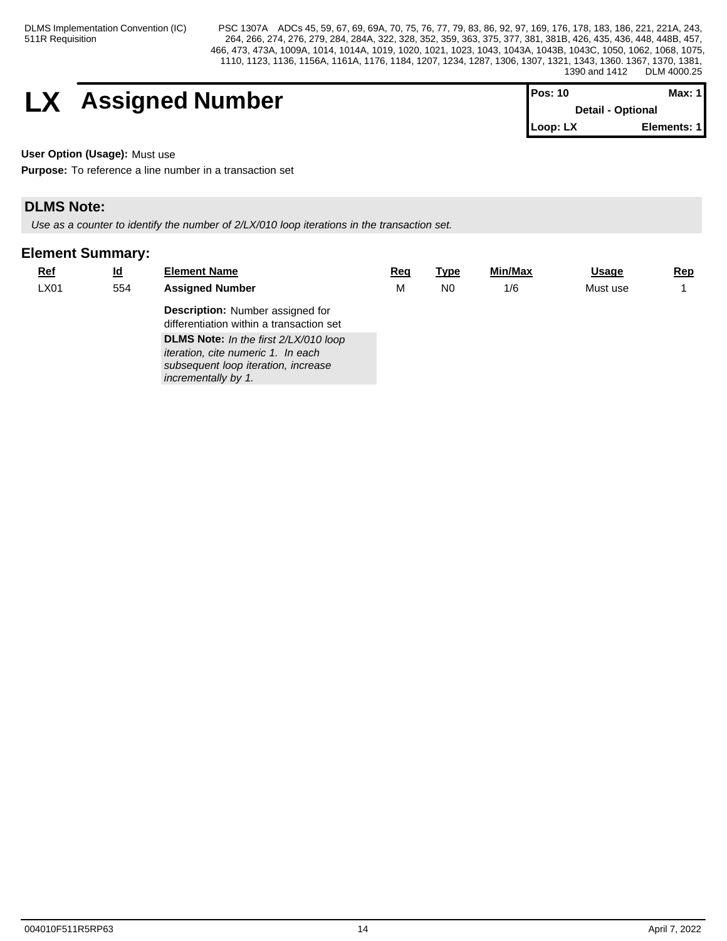# **LX** Assigned Number

| lPos: 10 | Max: 11                  |  |
|----------|--------------------------|--|
|          | <b>Detail - Optional</b> |  |
| Loop: LX | Elements: 1              |  |

**User Option (Usage):** Must use

**Purpose:** To reference a line number in a transaction set

## **DLMS Note:**

*Use as a counter to identify the number of 2/LX/010 loop iterations in the transaction set.*

| $Ref$ | $\underline{\mathsf{Id}}$ | <b>Element Name</b>                                                                 | Req | <u>Type</u>    | Min/Max | <b>Usage</b> | <u>Rep</u> |
|-------|---------------------------|-------------------------------------------------------------------------------------|-----|----------------|---------|--------------|------------|
| LX01  | 554                       | <b>Assigned Number</b>                                                              | M   | N <sub>0</sub> | 1/6     | Must use     |            |
|       |                           | <b>Description:</b> Number assigned for<br>differentiation within a transaction set |     |                |         |              |            |
|       |                           | DLMS Note: In the first 2/LX/010 loop<br><i>iteration, cite numeric 1. In each</i>  |     |                |         |              |            |
|       |                           | subsequent loop iteration, increase<br>incrementally by 1.                          |     |                |         |              |            |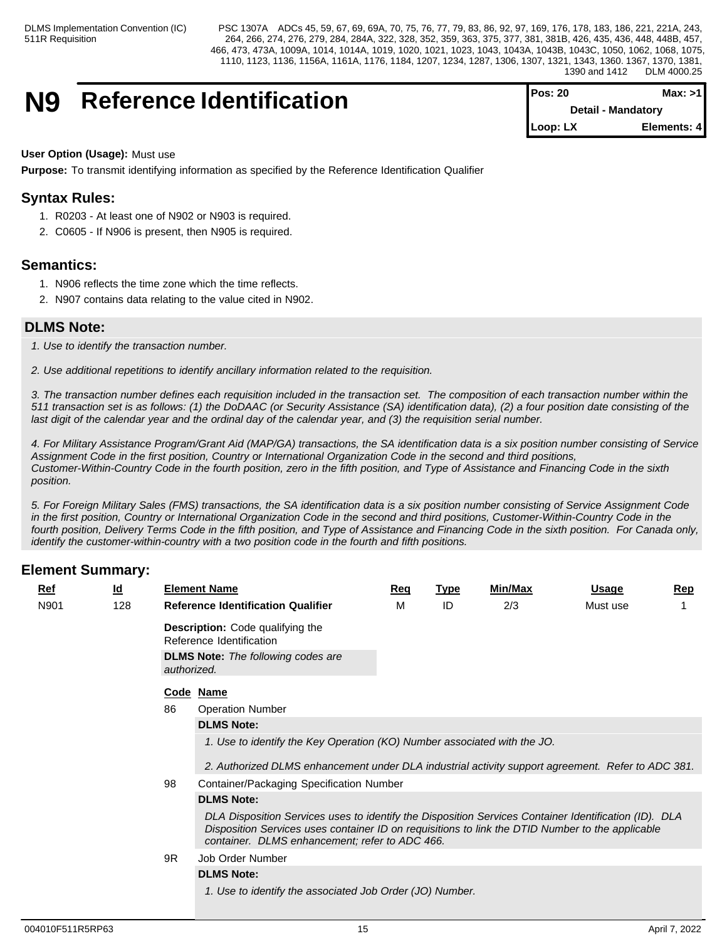## **N9** Reference Identification

| IPos: 20                  | Max: >1      |  |
|---------------------------|--------------|--|
| <b>Detail - Mandatory</b> |              |  |
| I Loop: LX                | Elements: 41 |  |

**User Option (Usage):** Must use

**Purpose:** To transmit identifying information as specified by the Reference Identification Qualifier

## **Syntax Rules:**

- 1. R0203 At least one of N902 or N903 is required.
- 2. C0605 If N906 is present, then N905 is required.

## **Semantics:**

- 1. N906 reflects the time zone which the time reflects.
- 2. N907 contains data relating to the value cited in N902.

## **DLMS Note:**

*1. Use to identify the transaction number.*

*2. Use additional repetitions to identify ancillary information related to the requisition.*

*3. The transaction number defines each requisition included in the transaction set. The composition of each transaction number within the 511 transaction set is as follows: (1) the DoDAAC (or Security Assistance (SA) identification data), (2) a four position date consisting of the last digit of the calendar year and the ordinal day of the calendar year, and (3) the requisition serial number.*

*4. For Military Assistance Program/Grant Aid (MAP/GA) transactions, the SA identification data is a six position number consisting of Service Assignment Code in the first position, Country or International Organization Code in the second and third positions, Customer-Within-Country Code in the fourth position, zero in the fifth position, and Type of Assistance and Financing Code in the sixth position.*

*5. For Foreign Military Sales (FMS) transactions, the SA identification data is a six position number consisting of Service Assignment Code in the first position, Country or International Organization Code in the second and third positions, Customer-Within-Country Code in the fourth position, Delivery Terms Code in the fifth position, and Type of Assistance and Financing Code in the sixth position. For Canada only, identify the customer-within-country with a two position code in the fourth and fifth positions.*

| Ref  |  | $\underline{\mathsf{Id}}$ |             | <b>Element Name</b>                                                                                                                                                                                                                                         | Req | <b>Type</b> | Min/Max | <b>Usage</b> | $\mathbf{Rep}$ |  |  |  |  |
|------|--|---------------------------|-------------|-------------------------------------------------------------------------------------------------------------------------------------------------------------------------------------------------------------------------------------------------------------|-----|-------------|---------|--------------|----------------|--|--|--|--|
| N901 |  | 128                       |             | <b>Reference Identification Qualifier</b>                                                                                                                                                                                                                   | м   | ID          | 2/3     | Must use     |                |  |  |  |  |
|      |  |                           |             | <b>Description:</b> Code qualifying the<br>Reference Identification                                                                                                                                                                                         |     |             |         |              |                |  |  |  |  |
|      |  |                           | authorized. | <b>DLMS Note:</b> The following codes are                                                                                                                                                                                                                   |     |             |         |              |                |  |  |  |  |
|      |  |                           |             | Code Name                                                                                                                                                                                                                                                   |     |             |         |              |                |  |  |  |  |
|      |  |                           | 86          | <b>Operation Number</b>                                                                                                                                                                                                                                     |     |             |         |              |                |  |  |  |  |
|      |  |                           |             | <b>DLMS Note:</b>                                                                                                                                                                                                                                           |     |             |         |              |                |  |  |  |  |
|      |  |                           |             | 1. Use to identify the Key Operation (KO) Number associated with the JO.                                                                                                                                                                                    |     |             |         |              |                |  |  |  |  |
|      |  |                           |             | 2. Authorized DLMS enhancement under DLA industrial activity support agreement. Refer to ADC 381.                                                                                                                                                           |     |             |         |              |                |  |  |  |  |
|      |  |                           | 98          | Container/Packaging Specification Number                                                                                                                                                                                                                    |     |             |         |              |                |  |  |  |  |
|      |  |                           |             | <b>DLMS Note:</b>                                                                                                                                                                                                                                           |     |             |         |              |                |  |  |  |  |
|      |  |                           |             | DLA Disposition Services uses to identify the Disposition Services Container Identification (ID). DLA<br>Disposition Services uses container ID on requisitions to link the DTID Number to the applicable<br>container. DLMS enhancement; refer to ADC 466. |     |             |         |              |                |  |  |  |  |
|      |  |                           | 9R          | Job Order Number                                                                                                                                                                                                                                            |     |             |         |              |                |  |  |  |  |
|      |  |                           |             | <b>DLMS Note:</b>                                                                                                                                                                                                                                           |     |             |         |              |                |  |  |  |  |
|      |  |                           |             | 1. Use to identify the associated Job Order (JO) Number.                                                                                                                                                                                                    |     |             |         |              |                |  |  |  |  |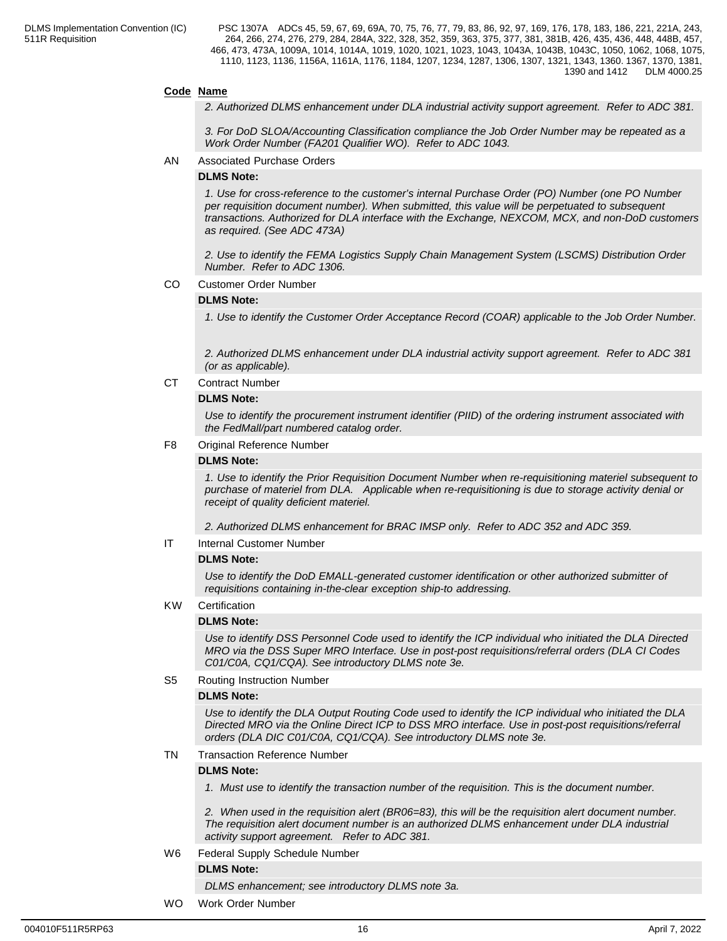#### **Code Name**

*2. Authorized DLMS enhancement under DLA industrial activity support agreement. Refer to ADC 381.*

*3. For DoD SLOA/Accounting Classification compliance the Job Order Number may be repeated as a Work Order Number (FA201 Qualifier WO). Refer to ADC 1043.*

AN Associated Purchase Orders

#### **DLMS Note:**

*1. Use for cross-reference to the customer's internal Purchase Order (PO) Number (one PO Number per requisition document number). When submitted, this value will be perpetuated to subsequent transactions. Authorized for DLA interface with the Exchange, NEXCOM, MCX, and non-DoD customers as required. (See ADC 473A)*

*2. Use to identify the FEMA Logistics Supply Chain Management System (LSCMS) Distribution Order Number. Refer to ADC 1306.*

CO Customer Order Number

#### **DLMS Note:**

*1. Use to identify the Customer Order Acceptance Record (COAR) applicable to the Job Order Number.*

*2. Authorized DLMS enhancement under DLA industrial activity support agreement. Refer to ADC 381 (or as applicable).*

CT Contract Number

#### **DLMS Note:**

*Use to identify the procurement instrument identifier (PIID) of the ordering instrument associated with the FedMall/part numbered catalog order.*

#### F8 Original Reference Number

#### **DLMS Note:**

*1. Use to identify the Prior Requisition Document Number when re-requisitioning materiel subsequent to purchase of materiel from DLA. Applicable when re-requisitioning is due to storage activity denial or receipt of quality deficient materiel.* 

*2. Authorized DLMS enhancement for BRAC IMSP only. Refer to ADC 352 and ADC 359.*

#### IT Internal Customer Number

#### **DLMS Note:**

*Use to identify the DoD EMALL-generated customer identification or other authorized submitter of requisitions containing in-the-clear exception ship-to addressing.*

#### KW Certification

#### **DLMS Note:**

*Use to identify DSS Personnel Code used to identify the ICP individual who initiated the DLA Directed MRO via the DSS Super MRO Interface. Use in post-post requisitions/referral orders (DLA CI Codes C01/C0A, CQ1/CQA). See introductory DLMS note 3e.*

#### S5 Routing Instruction Number

#### **DLMS Note:**

*Use to identify the DLA Output Routing Code used to identify the ICP individual who initiated the DLA Directed MRO via the Online Direct ICP to DSS MRO interface. Use in post-post requisitions/referral orders (DLA DIC C01/C0A, CQ1/CQA). See introductory DLMS note 3e.*

#### TN Transaction Reference Number

#### **DLMS Note:**

*1. Must use to identify the transaction number of the requisition. This is the document number.*

*2. When used in the requisition alert (BR06=83), this will be the requisition alert document number. The requisition alert document number is an authorized DLMS enhancement under DLA industrial activity support agreement. Refer to ADC 381.*

W6 Federal Supply Schedule Number

#### **DLMS Note:**

*DLMS enhancement; see introductory DLMS note 3a.*

WO Work Order Number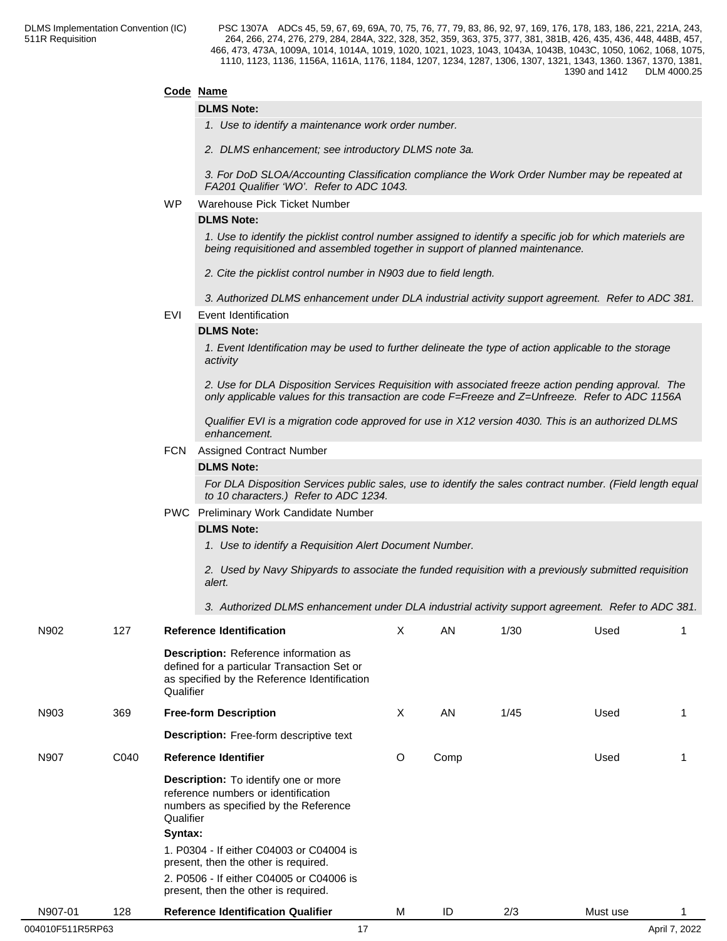#### **Code Name**

#### **DLMS Note:**

*1. Use to identify a maintenance work order number.*

*2. DLMS enhancement; see introductory DLMS note 3a.*

*3. For DoD SLOA/Accounting Classification compliance the Work Order Number may be repeated at FA201 Qualifier 'WO'. Refer to ADC 1043.*

#### WP Warehouse Pick Ticket Number

### **DLMS Note:**

*1. Use to identify the picklist control number assigned to identify a specific job for which materiels are being requisitioned and assembled together in support of planned maintenance.* 

*2. Cite the picklist control number in N903 due to field length.*

*3. Authorized DLMS enhancement under DLA industrial activity support agreement. Refer to ADC 381.*

EVI Event Identification

#### **DLMS Note:**

*1. Event Identification may be used to further delineate the type of action applicable to the storage activity*

*2. Use for DLA Disposition Services Requisition with associated freeze action pending approval. The only applicable values for this transaction are code F=Freeze and Z=Unfreeze. Refer to ADC 1156A*

*Qualifier EVI is a migration code approved for use in X12 version 4030. This is an authorized DLMS enhancement.*

#### FCN Assigned Contract Number

#### **DLMS Note:**

*For DLA Disposition Services public sales, use to identify the sales contract number. (Field length equal to 10 characters.) Refer to ADC 1234.*

PWC Preliminary Work Candidate Number

#### **DLMS Note:**

*1. Use to identify a Requisition Alert Document Number.* 

*2. Used by Navy Shipyards to associate the funded requisition with a previously submitted requisition alert.* 

*3. Authorized DLMS enhancement under DLA industrial activity support agreement. Refer to ADC 381.*

| N902             | 127  | <b>Reference Identification</b>                                                                                                                          | X | AN   | 1/30 | Used     |               |
|------------------|------|----------------------------------------------------------------------------------------------------------------------------------------------------------|---|------|------|----------|---------------|
|                  |      | <b>Description:</b> Reference information as<br>defined for a particular Transaction Set or<br>as specified by the Reference Identification<br>Qualifier |   |      |      |          |               |
| N903             | 369  | <b>Free-form Description</b>                                                                                                                             | X | AN   | 1/45 | Used     |               |
|                  |      | Description: Free-form descriptive text                                                                                                                  |   |      |      |          |               |
| N907             | C040 | Reference Identifier                                                                                                                                     | O | Comp |      | Used     |               |
|                  |      | Description: To identify one or more<br>reference numbers or identification<br>numbers as specified by the Reference<br>Qualifier<br>Syntax:             |   |      |      |          |               |
|                  |      | 1. P0304 - If either C04003 or C04004 is<br>present, then the other is required.                                                                         |   |      |      |          |               |
|                  |      | 2. P0506 - If either C04005 or C04006 is<br>present, then the other is required.                                                                         |   |      |      |          |               |
| N907-01          | 128  | <b>Reference Identification Qualifier</b>                                                                                                                | M | ID   | 2/3  | Must use |               |
| 004010F511R5RP63 |      | 17                                                                                                                                                       |   |      |      |          | April 7, 2022 |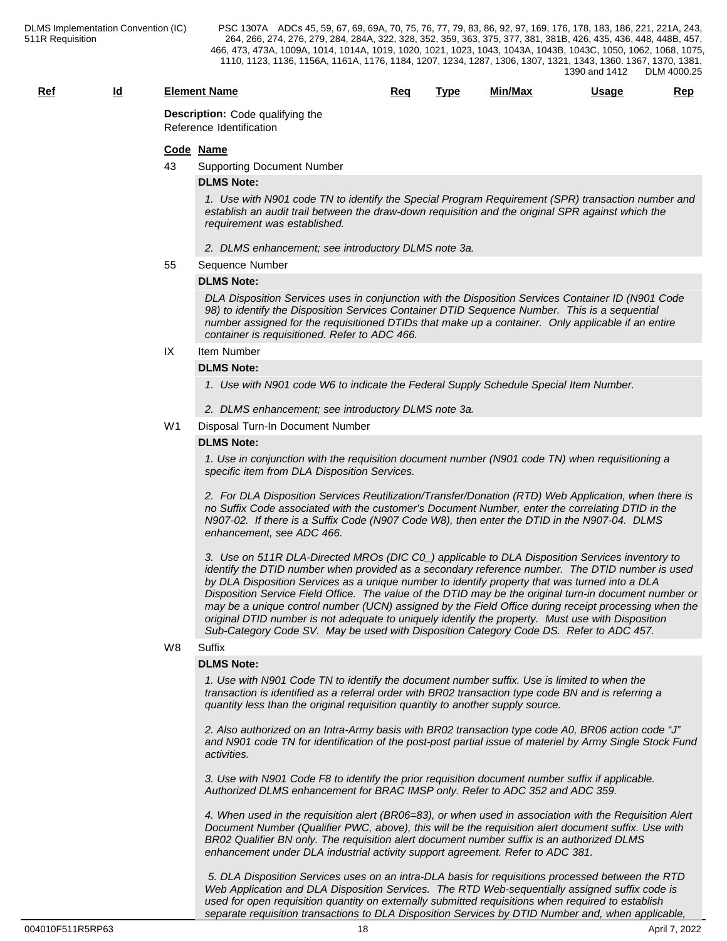## **Ref Id Element Name Req Type Min/Max Usage Rep**

**Description:** Code qualifying the Reference Identification

#### **Code Name**

43 Supporting Document Number

#### **DLMS Note:**

*1. Use with N901 code TN to identify the Special Program Requirement (SPR) transaction number and establish an audit trail between the draw-down requisition and the original SPR against which the requirement was established.* 

- *2. DLMS enhancement; see introductory DLMS note 3a.*
- 55 Sequence Number

#### **DLMS Note:**

*DLA Disposition Services uses in conjunction with the Disposition Services Container ID (N901 Code 98) to identify the Disposition Services Container DTID Sequence Number. This is a sequential number assigned for the requisitioned DTIDs that make up a container. Only applicable if an entire container is requisitioned. Refer to ADC 466.*

## IX Item Number

## **DLMS Note:**

*1. Use with N901 code W6 to indicate the Federal Supply Schedule Special Item Number.*

*2. DLMS enhancement; see introductory DLMS note 3a.*

#### W1 Disposal Turn-In Document Number

#### **DLMS Note:**

*1. Use in conjunction with the requisition document number (N901 code TN) when requisitioning a specific item from DLA Disposition Services.* 

*2. For DLA Disposition Services Reutilization/Transfer/Donation (RTD) Web Application, when there is no Suffix Code associated with the customer's Document Number, enter the correlating DTID in the N907-02. If there is a Suffix Code (N907 Code W8), then enter the DTID in the N907-04. DLMS enhancement, see ADC 466.*

*3. Use on 511R DLA-Directed MROs (DIC C0\_) applicable to DLA Disposition Services inventory to identify the DTID number when provided as a secondary reference number. The DTID number is used by DLA Disposition Services as a unique number to identify property that was turned into a DLA Disposition Service Field Office. The value of the DTID may be the original turn-in document number or may be a unique control number (UCN) assigned by the Field Office during receipt processing when the original DTID number is not adequate to uniquely identify the property. Must use with Disposition Sub-Category Code SV. May be used with Disposition Category Code DS. Refer to ADC 457.*

### W8 Suffix **Suffix Suffix Suffix Suffix Suffix Suffix SUFFIX SUFFIX SUFFIX**

#### **DLMS Note:**

*1. Use with N901 Code TN to identify the document number suffix. Use is limited to when the transaction is identified as a referral order with BR02 transaction type code BN and is referring a quantity less than the original requisition quantity to another supply source.*

*2. Also authorized on an Intra-Army basis with BR02 transaction type code A0, BR06 action code "J" and N901 code TN for identification of the post-post partial issue of materiel by Army Single Stock Fund activities.*

*3. Use with N901 Code F8 to identify the prior requisition document number suffix if applicable. Authorized DLMS enhancement for BRAC IMSP only. Refer to ADC 352 and ADC 359.*

*4. When used in the requisition alert (BR06=83), or when used in association with the Requisition Alert Document Number (Qualifier PWC, above), this will be the requisition alert document suffix. Use with BR02 Qualifier BN only. The requisition alert document number suffix is an authorized DLMS enhancement under DLA industrial activity support agreement. Refer to ADC 381.*

 *5. DLA Disposition Services uses on an intra-DLA basis for requisitions processed between the RTD Web Application and DLA Disposition Services. The RTD Web-sequentially assigned suffix code is used for open requisition quantity on externally submitted requisitions when required to establish separate requisition transactions to DLA Disposition Services by DTID Number and, when applicable,*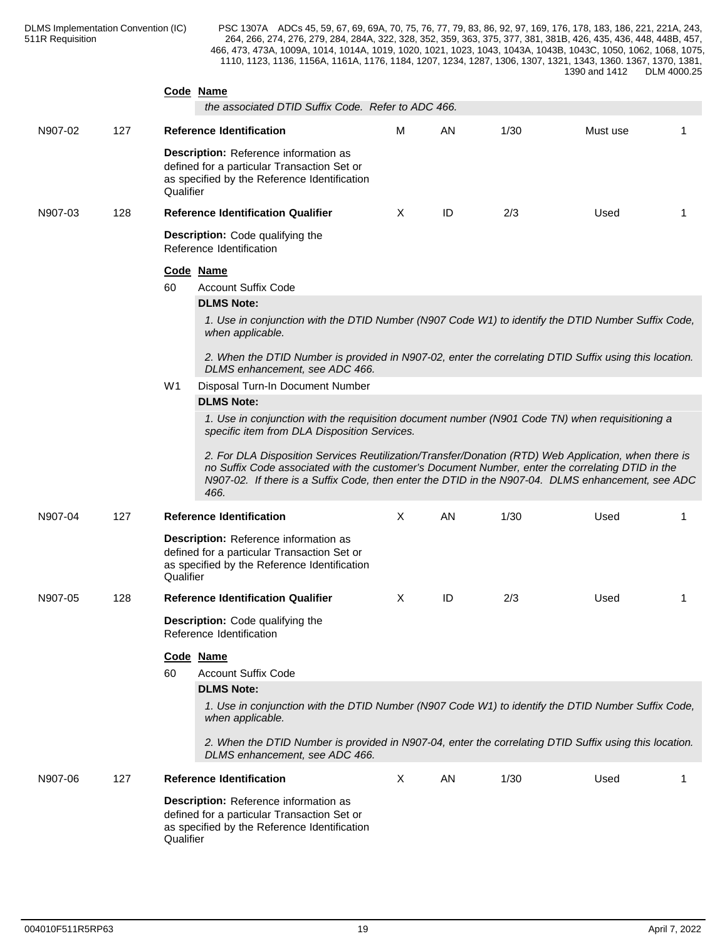|         |     | Code Name<br>the associated DTID Suffix Code. Refer to ADC 466.                                                                                                                                                                                                                                                                                                                                                                                                          |          |    |      |          |    |
|---------|-----|--------------------------------------------------------------------------------------------------------------------------------------------------------------------------------------------------------------------------------------------------------------------------------------------------------------------------------------------------------------------------------------------------------------------------------------------------------------------------|----------|----|------|----------|----|
| N907-02 | 127 | <b>Reference Identification</b>                                                                                                                                                                                                                                                                                                                                                                                                                                          | М        | AN | 1/30 | Must use |    |
|         |     | Description: Reference information as<br>defined for a particular Transaction Set or<br>as specified by the Reference Identification<br>Qualifier                                                                                                                                                                                                                                                                                                                        |          |    |      |          |    |
| N907-03 | 128 | <b>Reference Identification Qualifier</b>                                                                                                                                                                                                                                                                                                                                                                                                                                | X        | ID | 2/3  | Used     | -1 |
|         |     | <b>Description:</b> Code qualifying the<br>Reference Identification                                                                                                                                                                                                                                                                                                                                                                                                      |          |    |      |          |    |
|         |     | Code Name<br><b>Account Suffix Code</b><br>60                                                                                                                                                                                                                                                                                                                                                                                                                            |          |    |      |          |    |
|         |     | <b>DLMS Note:</b>                                                                                                                                                                                                                                                                                                                                                                                                                                                        |          |    |      |          |    |
|         |     | 1. Use in conjunction with the DTID Number (N907 Code W1) to identify the DTID Number Suffix Code,<br>when applicable.                                                                                                                                                                                                                                                                                                                                                   |          |    |      |          |    |
|         |     | 2. When the DTID Number is provided in N907-02, enter the correlating DTID Suffix using this location.<br>DLMS enhancement, see ADC 466.                                                                                                                                                                                                                                                                                                                                 |          |    |      |          |    |
|         |     | Disposal Turn-In Document Number<br>W1                                                                                                                                                                                                                                                                                                                                                                                                                                   |          |    |      |          |    |
|         |     | <b>DLMS Note:</b>                                                                                                                                                                                                                                                                                                                                                                                                                                                        |          |    |      |          |    |
|         |     | 1. Use in conjunction with the requisition document number (N901 Code TN) when requisitioning a<br>specific item from DLA Disposition Services.<br>2. For DLA Disposition Services Reutilization/Transfer/Donation (RTD) Web Application, when there is<br>no Suffix Code associated with the customer's Document Number, enter the correlating DTID in the<br>N907-02. If there is a Suffix Code, then enter the DTID in the N907-04. DLMS enhancement, see ADC<br>466. |          |    |      |          |    |
| N907-04 | 127 | <b>Reference Identification</b>                                                                                                                                                                                                                                                                                                                                                                                                                                          | $\times$ | AN | 1/30 | Used     | -1 |
|         |     | Description: Reference information as<br>defined for a particular Transaction Set or<br>as specified by the Reference Identification<br>Qualifier                                                                                                                                                                                                                                                                                                                        |          |    |      |          |    |
| N907-05 | 128 | <b>Reference Identification Qualifier</b>                                                                                                                                                                                                                                                                                                                                                                                                                                | X        | ID | 2/3  | Used     | -1 |
|         |     | Description: Code qualifying the<br>Reference Identification                                                                                                                                                                                                                                                                                                                                                                                                             |          |    |      |          |    |
|         |     | Code Name<br>60<br><b>Account Suffix Code</b>                                                                                                                                                                                                                                                                                                                                                                                                                            |          |    |      |          |    |
|         |     | <b>DLMS Note:</b>                                                                                                                                                                                                                                                                                                                                                                                                                                                        |          |    |      |          |    |
|         |     | 1. Use in conjunction with the DTID Number (N907 Code W1) to identify the DTID Number Suffix Code,<br>when applicable.                                                                                                                                                                                                                                                                                                                                                   |          |    |      |          |    |
|         |     | 2. When the DTID Number is provided in N907-04, enter the correlating DTID Suffix using this location.<br>DLMS enhancement, see ADC 466.                                                                                                                                                                                                                                                                                                                                 |          |    |      |          |    |
| N907-06 | 127 | <b>Reference Identification</b>                                                                                                                                                                                                                                                                                                                                                                                                                                          | X        | AN | 1/30 | Used     | 1  |
|         |     | Description: Reference information as<br>defined for a particular Transaction Set or<br>as specified by the Reference Identification<br>Qualifier                                                                                                                                                                                                                                                                                                                        |          |    |      |          |    |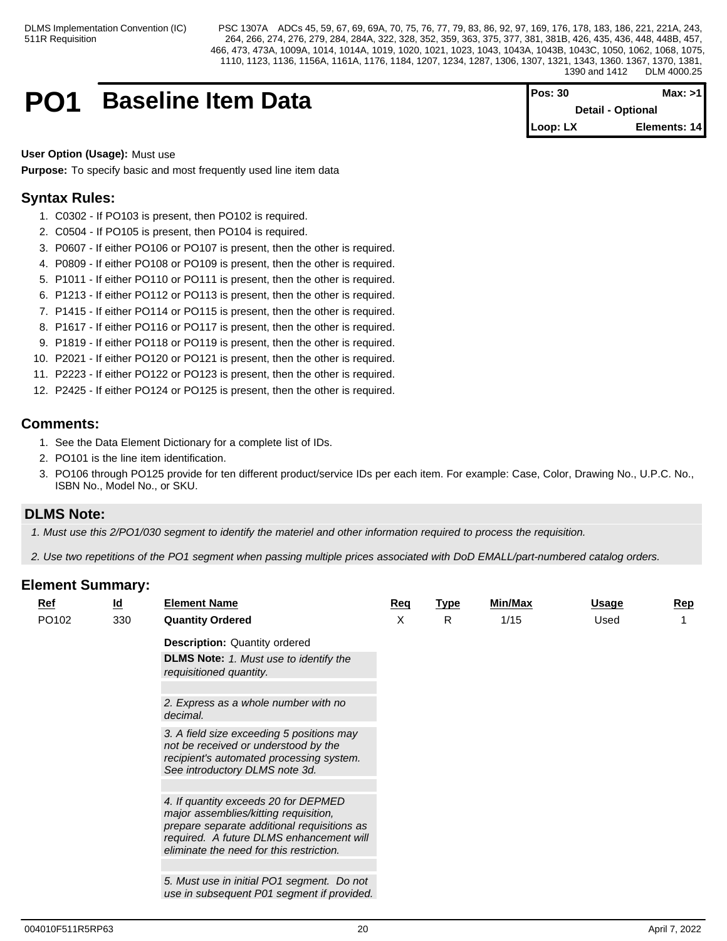## **PO1** Baseline Item Data

| Pos: 30  | Max: >1                  |  |
|----------|--------------------------|--|
|          | <b>Detail - Optional</b> |  |
| Loop: LX | Elements: 14             |  |

**User Option (Usage):** Must use

**Purpose:** To specify basic and most frequently used line item data

## **Syntax Rules:**

- 1. C0302 If PO103 is present, then PO102 is required.
- 2. C0504 If PO105 is present, then PO104 is required.
- 3. P0607 If either PO106 or PO107 is present, then the other is required.
- 4. P0809 If either PO108 or PO109 is present, then the other is required.
- 5. P1011 If either PO110 or PO111 is present, then the other is required.
- 6. P1213 If either PO112 or PO113 is present, then the other is required.
- 7. P1415 If either PO114 or PO115 is present, then the other is required.
- 8. P1617 If either PO116 or PO117 is present, then the other is required.
- 9. P1819 If either PO118 or PO119 is present, then the other is required.
- 10. P2021 If either PO120 or PO121 is present, then the other is required.
- 11. P2223 If either PO122 or PO123 is present, then the other is required.
- 12. P2425 If either PO124 or PO125 is present, then the other is required.

## **Comments:**

- 1. See the Data Element Dictionary for a complete list of IDs.
- 2. PO101 is the line item identification.
- 3. PO106 through PO125 provide for ten different product/service IDs per each item. For example: Case, Color, Drawing No., U.P.C. No., ISBN No., Model No., or SKU.

## **DLMS Note:**

*1. Must use this 2/PO1/030 segment to identify the materiel and other information required to process the requisition.*

*2. Use two repetitions of the PO1 segment when passing multiple prices associated with DoD EMALL/part-numbered catalog orders.*

| <b>Ref</b> | $\underline{\mathsf{Id}}$ | <b>Element Name</b>                                                                                                                                                                                                  | Req | <b>Type</b> | <b>Min/Max</b> | Usage | <b>Rep</b> |
|------------|---------------------------|----------------------------------------------------------------------------------------------------------------------------------------------------------------------------------------------------------------------|-----|-------------|----------------|-------|------------|
| PO102      | 330                       | <b>Quantity Ordered</b>                                                                                                                                                                                              | X   | R           | 1/15           | Used  |            |
|            |                           | <b>Description: Quantity ordered</b>                                                                                                                                                                                 |     |             |                |       |            |
|            |                           | <b>DLMS Note:</b> 1. Must use to identify the<br>requisitioned quantity.                                                                                                                                             |     |             |                |       |            |
|            |                           |                                                                                                                                                                                                                      |     |             |                |       |            |
|            |                           | 2. Express as a whole number with no<br>decimal.                                                                                                                                                                     |     |             |                |       |            |
|            |                           | 3. A field size exceeding 5 positions may<br>not be received or understood by the<br>recipient's automated processing system.<br>See introductory DLMS note 3d.                                                      |     |             |                |       |            |
|            |                           |                                                                                                                                                                                                                      |     |             |                |       |            |
|            |                           | 4. If quantity exceeds 20 for DEPMED<br>major assemblies/kitting requisition,<br>prepare separate additional requisitions as<br>required. A future DLMS enhancement will<br>eliminate the need for this restriction. |     |             |                |       |            |
|            |                           |                                                                                                                                                                                                                      |     |             |                |       |            |
|            |                           | 5. Must use in initial PO1 segment. Do not<br>use in subsequent P01 segment if provided.                                                                                                                             |     |             |                |       |            |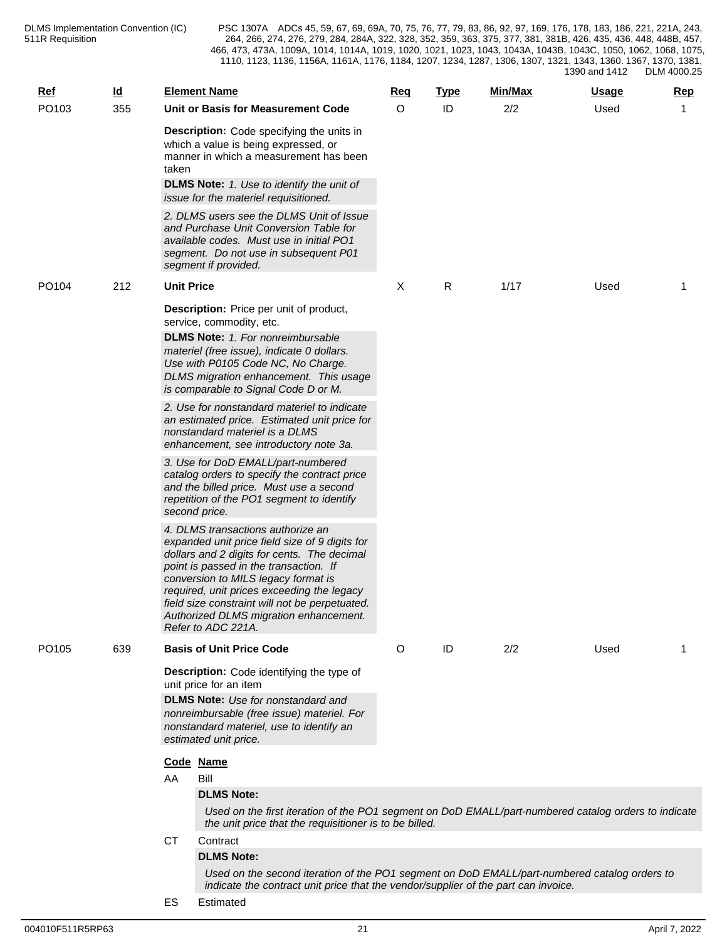| $Ref$ | <u>ld</u> |                   | <b>Element Name</b>                                                                                                                                                                                                                                                                                                                                                                 | Req     | <b>Type</b> | Min/Max | <u>Usage</u> | Rep          |
|-------|-----------|-------------------|-------------------------------------------------------------------------------------------------------------------------------------------------------------------------------------------------------------------------------------------------------------------------------------------------------------------------------------------------------------------------------------|---------|-------------|---------|--------------|--------------|
| PO103 | 355       |                   | Unit or Basis for Measurement Code                                                                                                                                                                                                                                                                                                                                                  | $\circ$ | ID          | 2/2     | Used         | $\mathbf{1}$ |
|       |           | taken             | Description: Code specifying the units in<br>which a value is being expressed, or<br>manner in which a measurement has been<br><b>DLMS Note:</b> 1. Use to identify the unit of                                                                                                                                                                                                     |         |             |         |              |              |
|       |           |                   | issue for the materiel requisitioned.                                                                                                                                                                                                                                                                                                                                               |         |             |         |              |              |
|       |           |                   | 2. DLMS users see the DLMS Unit of Issue<br>and Purchase Unit Conversion Table for<br>available codes. Must use in initial PO1<br>segment. Do not use in subsequent P01<br>segment if provided.                                                                                                                                                                                     |         |             |         |              |              |
| PO104 | 212       | <b>Unit Price</b> |                                                                                                                                                                                                                                                                                                                                                                                     | X       | R           | 1/17    | Used         | 1            |
|       |           |                   | <b>Description:</b> Price per unit of product,<br>service, commodity, etc.                                                                                                                                                                                                                                                                                                          |         |             |         |              |              |
|       |           |                   | <b>DLMS Note:</b> 1. For nonreimbursable<br>materiel (free issue), indicate 0 dollars.<br>Use with P0105 Code NC, No Charge.<br>DLMS migration enhancement. This usage<br>is comparable to Signal Code D or M.                                                                                                                                                                      |         |             |         |              |              |
|       |           |                   | 2. Use for nonstandard materiel to indicate<br>an estimated price. Estimated unit price for<br>nonstandard materiel is a DLMS<br>enhancement, see introductory note 3a.                                                                                                                                                                                                             |         |             |         |              |              |
|       |           |                   | 3. Use for DoD EMALL/part-numbered<br>catalog orders to specify the contract price<br>and the billed price. Must use a second<br>repetition of the PO1 segment to identify<br>second price.                                                                                                                                                                                         |         |             |         |              |              |
|       |           |                   | 4. DLMS transactions authorize an<br>expanded unit price field size of 9 digits for<br>dollars and 2 digits for cents. The decimal<br>point is passed in the transaction. If<br>conversion to MILS legacy format is<br>required, unit prices exceeding the legacy<br>field size constraint will not be perpetuated.<br>Authorized DLMS migration enhancement.<br>Refer to ADC 221A. |         |             |         |              |              |
| PO105 | 639       |                   | <b>Basis of Unit Price Code</b>                                                                                                                                                                                                                                                                                                                                                     | O       | ID          | 2/2     | Used         | 1            |
|       |           |                   | <b>Description:</b> Code identifying the type of<br>unit price for an item                                                                                                                                                                                                                                                                                                          |         |             |         |              |              |
|       |           |                   | <b>DLMS Note:</b> Use for nonstandard and<br>nonreimbursable (free issue) materiel. For<br>nonstandard materiel, use to identify an<br>estimated unit price.                                                                                                                                                                                                                        |         |             |         |              |              |
|       |           |                   | Code Name                                                                                                                                                                                                                                                                                                                                                                           |         |             |         |              |              |
|       |           | AA                | Bill                                                                                                                                                                                                                                                                                                                                                                                |         |             |         |              |              |
|       |           |                   | <b>DLMS Note:</b><br>Used on the first iteration of the PO1 segment on DoD EMALL/part-numbered catalog orders to indicate                                                                                                                                                                                                                                                           |         |             |         |              |              |
|       |           |                   | the unit price that the requisitioner is to be billed.                                                                                                                                                                                                                                                                                                                              |         |             |         |              |              |
|       |           | <b>CT</b>         | Contract                                                                                                                                                                                                                                                                                                                                                                            |         |             |         |              |              |
|       |           |                   | <b>DLMS Note:</b>                                                                                                                                                                                                                                                                                                                                                                   |         |             |         |              |              |
|       |           |                   | Used on the second iteration of the PO1 segment on DoD EMALL/part-numbered catalog orders to<br>indicate the contract unit price that the vendor/supplier of the part can invoice.                                                                                                                                                                                                  |         |             |         |              |              |

ES Estimated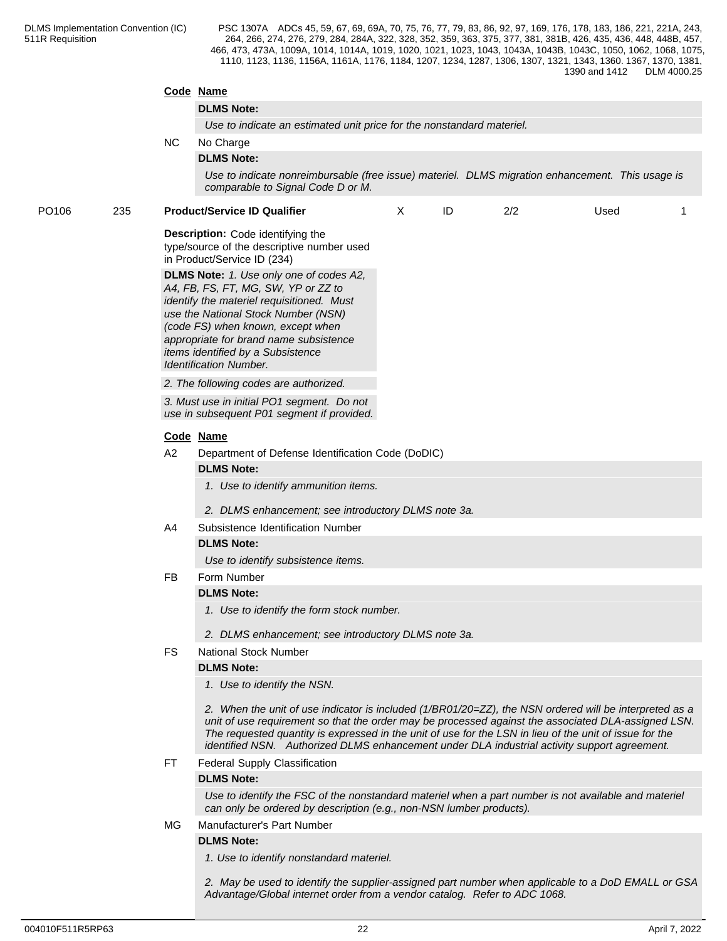|       |     |           | Code Name                                                                                                                                                                                                                                                                                                                                                                                                                |      |   |  |  |  |  |  |  |  |
|-------|-----|-----------|--------------------------------------------------------------------------------------------------------------------------------------------------------------------------------------------------------------------------------------------------------------------------------------------------------------------------------------------------------------------------------------------------------------------------|------|---|--|--|--|--|--|--|--|
|       |     |           | <b>DLMS Note:</b>                                                                                                                                                                                                                                                                                                                                                                                                        |      |   |  |  |  |  |  |  |  |
|       |     |           | Use to indicate an estimated unit price for the nonstandard materiel.                                                                                                                                                                                                                                                                                                                                                    |      |   |  |  |  |  |  |  |  |
|       |     | NC.       | No Charge                                                                                                                                                                                                                                                                                                                                                                                                                |      |   |  |  |  |  |  |  |  |
|       |     |           | <b>DLMS Note:</b>                                                                                                                                                                                                                                                                                                                                                                                                        |      |   |  |  |  |  |  |  |  |
|       |     |           | Use to indicate nonreimbursable (free issue) materiel. DLMS migration enhancement. This usage is<br>comparable to Signal Code D or M.                                                                                                                                                                                                                                                                                    |      |   |  |  |  |  |  |  |  |
| PO106 | 235 |           | <b>Product/Service ID Qualifier</b><br>ID<br>2/2<br>X                                                                                                                                                                                                                                                                                                                                                                    | Used | 1 |  |  |  |  |  |  |  |
|       |     |           | <b>Description:</b> Code identifying the<br>type/source of the descriptive number used<br>in Product/Service ID (234)<br>DLMS Note: 1. Use only one of codes A2,<br>A4, FB, FS, FT, MG, SW, YP or ZZ to<br>identify the materiel requisitioned. Must<br>use the National Stock Number (NSN)<br>(code FS) when known, except when                                                                                         |      |   |  |  |  |  |  |  |  |
|       |     |           | appropriate for brand name subsistence<br>items identified by a Subsistence                                                                                                                                                                                                                                                                                                                                              |      |   |  |  |  |  |  |  |  |
|       |     |           | <b>Identification Number.</b>                                                                                                                                                                                                                                                                                                                                                                                            |      |   |  |  |  |  |  |  |  |
|       |     |           | 2. The following codes are authorized.                                                                                                                                                                                                                                                                                                                                                                                   |      |   |  |  |  |  |  |  |  |
|       |     |           | 3. Must use in initial PO1 segment. Do not<br>use in subsequent P01 segment if provided.                                                                                                                                                                                                                                                                                                                                 |      |   |  |  |  |  |  |  |  |
|       |     |           | Code Name                                                                                                                                                                                                                                                                                                                                                                                                                |      |   |  |  |  |  |  |  |  |
|       |     | A2        | Department of Defense Identification Code (DoDIC)                                                                                                                                                                                                                                                                                                                                                                        |      |   |  |  |  |  |  |  |  |
|       |     |           | <b>DLMS Note:</b>                                                                                                                                                                                                                                                                                                                                                                                                        |      |   |  |  |  |  |  |  |  |
|       |     |           | 1. Use to identify ammunition items.<br>2. DLMS enhancement; see introductory DLMS note 3a.                                                                                                                                                                                                                                                                                                                              |      |   |  |  |  |  |  |  |  |
|       |     | A4        | Subsistence Identification Number                                                                                                                                                                                                                                                                                                                                                                                        |      |   |  |  |  |  |  |  |  |
|       |     |           | <b>DLMS Note:</b>                                                                                                                                                                                                                                                                                                                                                                                                        |      |   |  |  |  |  |  |  |  |
|       |     |           | Use to identify subsistence items.                                                                                                                                                                                                                                                                                                                                                                                       |      |   |  |  |  |  |  |  |  |
|       |     | <b>FB</b> | Form Number                                                                                                                                                                                                                                                                                                                                                                                                              |      |   |  |  |  |  |  |  |  |
|       |     |           | <b>DLMS Note:</b>                                                                                                                                                                                                                                                                                                                                                                                                        |      |   |  |  |  |  |  |  |  |
|       |     |           | 1. Use to identify the form stock number.                                                                                                                                                                                                                                                                                                                                                                                |      |   |  |  |  |  |  |  |  |
|       |     |           | 2. DLMS enhancement; see introductory DLMS note 3a.                                                                                                                                                                                                                                                                                                                                                                      |      |   |  |  |  |  |  |  |  |
|       |     | <b>FS</b> | <b>National Stock Number</b>                                                                                                                                                                                                                                                                                                                                                                                             |      |   |  |  |  |  |  |  |  |
|       |     |           | <b>DLMS Note:</b>                                                                                                                                                                                                                                                                                                                                                                                                        |      |   |  |  |  |  |  |  |  |
|       |     |           | 1. Use to identify the NSN.                                                                                                                                                                                                                                                                                                                                                                                              |      |   |  |  |  |  |  |  |  |
|       |     |           | 2. When the unit of use indicator is included (1/BR01/20=ZZ), the NSN ordered will be interpreted as a<br>unit of use requirement so that the order may be processed against the associated DLA-assigned LSN.<br>The requested quantity is expressed in the unit of use for the LSN in lieu of the unit of issue for the<br>identified NSN. Authorized DLMS enhancement under DLA industrial activity support agreement. |      |   |  |  |  |  |  |  |  |
|       |     | FT.       | <b>Federal Supply Classification</b>                                                                                                                                                                                                                                                                                                                                                                                     |      |   |  |  |  |  |  |  |  |
|       |     |           | <b>DLMS Note:</b>                                                                                                                                                                                                                                                                                                                                                                                                        |      |   |  |  |  |  |  |  |  |
|       |     |           | Use to identify the FSC of the nonstandard materiel when a part number is not available and materiel<br>can only be ordered by description (e.g., non-NSN lumber products).                                                                                                                                                                                                                                              |      |   |  |  |  |  |  |  |  |
|       |     | MG.       | Manufacturer's Part Number                                                                                                                                                                                                                                                                                                                                                                                               |      |   |  |  |  |  |  |  |  |
|       |     |           | <b>DLMS Note:</b><br>1. Use to identify nonstandard materiel.                                                                                                                                                                                                                                                                                                                                                            |      |   |  |  |  |  |  |  |  |
|       |     |           | 2. May be used to identify the supplier-assigned part number when applicable to a DoD EMALL or GSA                                                                                                                                                                                                                                                                                                                       |      |   |  |  |  |  |  |  |  |
|       |     |           |                                                                                                                                                                                                                                                                                                                                                                                                                          |      |   |  |  |  |  |  |  |  |

*Advantage/Global internet order from a vendor catalog. Refer to ADC 1068.*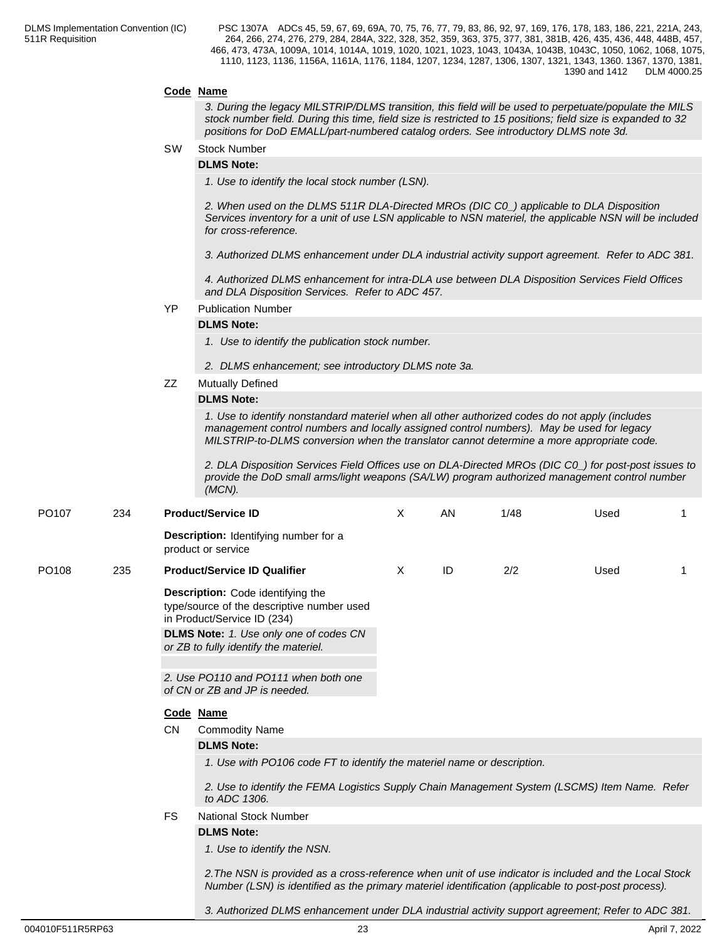### **Code Name**

*3. During the legacy MILSTRIP/DLMS transition, this field will be used to perpetuate/populate the MILS stock number field. During this time, field size is restricted to 15 positions; field size is expanded to 32 positions for DoD EMALL/part-numbered catalog orders. See introductory DLMS note 3d.*

SW Stock Number

#### **DLMS Note:**

*1. Use to identify the local stock number (LSN).*

*2. When used on the DLMS 511R DLA-Directed MROs (DIC C0\_) applicable to DLA Disposition Services inventory for a unit of use LSN applicable to NSN materiel, the applicable NSN will be included for cross-reference.*

*3. Authorized DLMS enhancement under DLA industrial activity support agreement. Refer to ADC 381.*

*4. Authorized DLMS enhancement for intra-DLA use between DLA Disposition Services Field Offices and DLA Disposition Services. Refer to ADC 457.*

#### YP Publication Number

#### **DLMS Note:**

*1. Use to identify the publication stock number.*

- *2. DLMS enhancement; see introductory DLMS note 3a.*
- ZZ Mutually Defined

#### **DLMS Note:**

*1. Use to identify nonstandard materiel when all other authorized codes do not apply (includes management control numbers and locally assigned control numbers). May be used for legacy MILSTRIP-to-DLMS conversion when the translator cannot determine a more appropriate code.*

*2. DLA Disposition Services Field Offices use on DLA-Directed MROs (DIC C0\_) for post-post issues to provide the DoD small arms/light weapons (SA/LW) program authorized management control number (MCN).*

| PO <sub>107</sub> | 234 |           | <b>Product/Service ID</b>                                                                                                                                                                                      | X | <b>AN</b> | 1/48 | Used |   |  |  |
|-------------------|-----|-----------|----------------------------------------------------------------------------------------------------------------------------------------------------------------------------------------------------------------|---|-----------|------|------|---|--|--|
|                   |     |           | Description: Identifying number for a<br>product or service                                                                                                                                                    |   |           |      |      |   |  |  |
| PO <sub>108</sub> | 235 |           | <b>Product/Service ID Qualifier</b>                                                                                                                                                                            | X | ID        | 2/2  | Used | 1 |  |  |
|                   |     |           | Description: Code identifying the<br>type/source of the descriptive number used<br>in Product/Service ID (234)                                                                                                 |   |           |      |      |   |  |  |
|                   |     |           | DLMS Note: 1. Use only one of codes CN<br>or ZB to fully identify the materiel.                                                                                                                                |   |           |      |      |   |  |  |
|                   |     |           |                                                                                                                                                                                                                |   |           |      |      |   |  |  |
|                   |     |           | 2. Use PO110 and PO111 when both one<br>of CN or ZB and JP is needed.                                                                                                                                          |   |           |      |      |   |  |  |
|                   |     |           | Code Name                                                                                                                                                                                                      |   |           |      |      |   |  |  |
|                   |     | <b>CN</b> | <b>Commodity Name</b>                                                                                                                                                                                          |   |           |      |      |   |  |  |
|                   |     |           | <b>DLMS Note:</b>                                                                                                                                                                                              |   |           |      |      |   |  |  |
|                   |     |           | 1. Use with PO106 code FT to identify the materiel name or description.                                                                                                                                        |   |           |      |      |   |  |  |
|                   |     |           | 2. Use to identify the FEMA Logistics Supply Chain Management System (LSCMS) Item Name. Refer<br>to ADC 1306.                                                                                                  |   |           |      |      |   |  |  |
|                   |     | <b>FS</b> | <b>National Stock Number</b>                                                                                                                                                                                   |   |           |      |      |   |  |  |
|                   |     |           | <b>DLMS Note:</b>                                                                                                                                                                                              |   |           |      |      |   |  |  |
|                   |     |           | 1. Use to identify the NSN.                                                                                                                                                                                    |   |           |      |      |   |  |  |
|                   |     |           | 2. The NSN is provided as a cross-reference when unit of use indicator is included and the Local Stock<br>Number (LSN) is identified as the primary materiel identification (applicable to post-post process). |   |           |      |      |   |  |  |

004010F511R5RP63 23 April 7, 2022

*3. Authorized DLMS enhancement under DLA industrial activity support agreement; Refer to ADC 381.*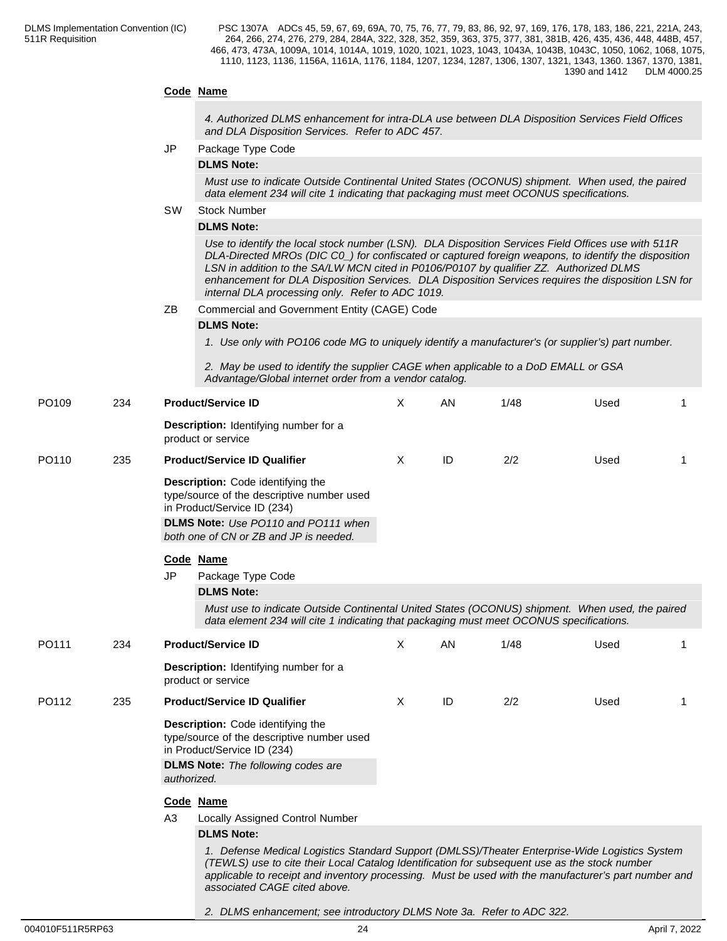## **Code Name**

*4. Authorized DLMS enhancement for intra-DLA use between DLA Disposition Services Field Offices and DLA Disposition Services. Refer to ADC 457.*

JP Package Type Code

#### **DLMS Note:**

*Must use to indicate Outside Continental United States (OCONUS) shipment. When used, the paired data element 234 will cite 1 indicating that packaging must meet OCONUS specifications.*

#### SW Stock Number

#### **DLMS Note:**

*Use to identify the local stock number (LSN). DLA Disposition Services Field Offices use with 511R DLA-Directed MROs (DIC C0\_) for confiscated or captured foreign weapons, to identify the disposition LSN in addition to the SA/LW MCN cited in P0106/P0107 by qualifier ZZ. Authorized DLMS enhancement for DLA Disposition Services. DLA Disposition Services requires the disposition LSN for internal DLA processing only. Refer to ADC 1019.*

ZB Commercial and Government Entity (CAGE) Code

#### **DLMS Note:**

*1. Use only with PO106 code MG to uniquely identify a manufacturer's (or supplier's) part number.*

*2. May be used to identify the supplier CAGE when applicable to a DoD EMALL or GSA Advantage/Global internet order from a vendor catalog.*

| PO109 | 234 | <b>Product/Service ID</b><br>Description: Identifying number for a                                                                                                                                                                                                                                                                      | X        | AN | 1/48 | Used |   |
|-------|-----|-----------------------------------------------------------------------------------------------------------------------------------------------------------------------------------------------------------------------------------------------------------------------------------------------------------------------------------------|----------|----|------|------|---|
|       |     |                                                                                                                                                                                                                                                                                                                                         |          |    |      |      |   |
|       |     | product or service                                                                                                                                                                                                                                                                                                                      |          |    |      |      |   |
| PO110 | 235 | <b>Product/Service ID Qualifier</b>                                                                                                                                                                                                                                                                                                     | X        | ID | 2/2  | Used | 1 |
|       |     | <b>Description:</b> Code identifying the<br>type/source of the descriptive number used<br>in Product/Service ID (234)<br>DLMS Note: Use PO110 and PO111 when<br>both one of CN or ZB and JP is needed.                                                                                                                                  |          |    |      |      |   |
|       |     | Code Name                                                                                                                                                                                                                                                                                                                               |          |    |      |      |   |
|       |     | <b>JP</b><br>Package Type Code                                                                                                                                                                                                                                                                                                          |          |    |      |      |   |
|       |     | <b>DLMS Note:</b>                                                                                                                                                                                                                                                                                                                       |          |    |      |      |   |
|       |     |                                                                                                                                                                                                                                                                                                                                         |          |    |      |      |   |
|       |     | Must use to indicate Outside Continental United States (OCONUS) shipment. When used, the paired<br>data element 234 will cite 1 indicating that packaging must meet OCONUS specifications.                                                                                                                                              |          |    |      |      |   |
| PO111 | 234 | <b>Product/Service ID</b>                                                                                                                                                                                                                                                                                                               | $\times$ | AN | 1/48 | Used |   |
|       |     | Description: Identifying number for a<br>product or service                                                                                                                                                                                                                                                                             |          |    |      |      |   |
| PO112 | 235 | <b>Product/Service ID Qualifier</b>                                                                                                                                                                                                                                                                                                     | X        | ID | 2/2  | Used |   |
|       |     | Description: Code identifying the<br>type/source of the descriptive number used<br>in Product/Service ID (234)                                                                                                                                                                                                                          |          |    |      |      |   |
|       |     | <b>DLMS Note:</b> The following codes are<br>authorized.                                                                                                                                                                                                                                                                                |          |    |      |      |   |
|       |     | Code Name                                                                                                                                                                                                                                                                                                                               |          |    |      |      |   |
|       |     | A <sub>3</sub><br>Locally Assigned Control Number                                                                                                                                                                                                                                                                                       |          |    |      |      |   |
|       |     |                                                                                                                                                                                                                                                                                                                                         |          |    |      |      |   |
|       |     | <b>DLMS Note:</b>                                                                                                                                                                                                                                                                                                                       |          |    |      |      |   |
|       |     | 1. Defense Medical Logistics Standard Support (DMLSS)/Theater Enterprise-Wide Logistics System<br>(TEWLS) use to cite their Local Catalog Identification for subsequent use as the stock number<br>applicable to receipt and inventory processing. Must be used with the manufacturer's part number and<br>associated CAGE cited above. |          |    |      |      |   |

#### *2. DLMS enhancement; see introductory DLMS Note 3a. Refer to ADC 322.*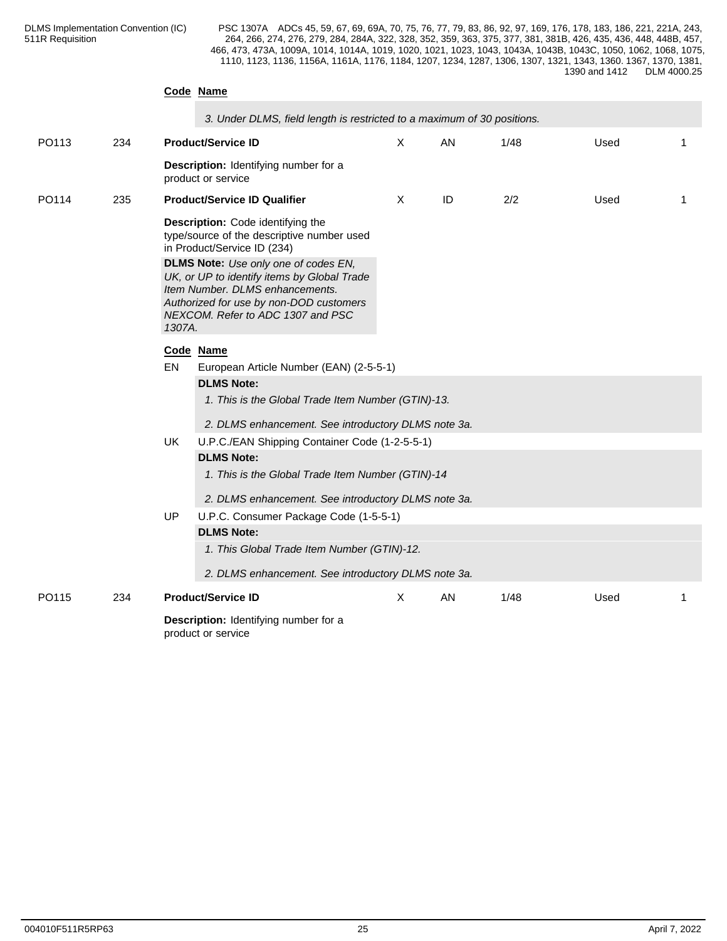### **Code Name**

|  | 3. Under DLMS, field length is restricted to a maximum of 30 positions. |  |
|--|-------------------------------------------------------------------------|--|
|--|-------------------------------------------------------------------------|--|

| PO113 | 234 |                                                                                                                | <b>Product/Service ID</b>                                                                                                                                                                                     | $\boldsymbol{\mathsf{X}}$ | AN | 1/48 | Used | 1  |  |  |  |
|-------|-----|----------------------------------------------------------------------------------------------------------------|---------------------------------------------------------------------------------------------------------------------------------------------------------------------------------------------------------------|---------------------------|----|------|------|----|--|--|--|
|       |     |                                                                                                                | Description: Identifying number for a<br>product or service                                                                                                                                                   |                           |    |      |      |    |  |  |  |
| PO114 | 235 |                                                                                                                | <b>Product/Service ID Qualifier</b>                                                                                                                                                                           | $\times$                  | ID | 2/2  | Used | 1  |  |  |  |
|       |     | Description: Code identifying the<br>type/source of the descriptive number used<br>in Product/Service ID (234) |                                                                                                                                                                                                               |                           |    |      |      |    |  |  |  |
|       |     | 1307A.                                                                                                         | <b>DLMS Note:</b> Use only one of codes EN,<br>UK, or UP to identify items by Global Trade<br>Item Number. DLMS enhancements.<br>Authorized for use by non-DOD customers<br>NEXCOM. Refer to ADC 1307 and PSC |                           |    |      |      |    |  |  |  |
|       |     | Code Name                                                                                                      |                                                                                                                                                                                                               |                           |    |      |      |    |  |  |  |
|       |     | EN                                                                                                             | European Article Number (EAN) (2-5-5-1)                                                                                                                                                                       |                           |    |      |      |    |  |  |  |
|       |     |                                                                                                                | <b>DLMS Note:</b>                                                                                                                                                                                             |                           |    |      |      |    |  |  |  |
|       |     |                                                                                                                | 1. This is the Global Trade Item Number (GTIN)-13.                                                                                                                                                            |                           |    |      |      |    |  |  |  |
|       |     |                                                                                                                | 2. DLMS enhancement. See introductory DLMS note 3a.                                                                                                                                                           |                           |    |      |      |    |  |  |  |
|       |     | UK.                                                                                                            | U.P.C./EAN Shipping Container Code (1-2-5-5-1)                                                                                                                                                                |                           |    |      |      |    |  |  |  |
|       |     |                                                                                                                | <b>DLMS Note:</b>                                                                                                                                                                                             |                           |    |      |      |    |  |  |  |
|       |     |                                                                                                                | 1. This is the Global Trade Item Number (GTIN)-14                                                                                                                                                             |                           |    |      |      |    |  |  |  |
|       |     |                                                                                                                | 2. DLMS enhancement. See introductory DLMS note 3a.                                                                                                                                                           |                           |    |      |      |    |  |  |  |
|       |     | UP                                                                                                             | U.P.C. Consumer Package Code (1-5-5-1)<br><b>DLMS Note:</b>                                                                                                                                                   |                           |    |      |      |    |  |  |  |
|       |     |                                                                                                                | 1. This Global Trade Item Number (GTIN)-12.                                                                                                                                                                   |                           |    |      |      |    |  |  |  |
|       |     |                                                                                                                | 2. DLMS enhancement. See introductory DLMS note 3a.                                                                                                                                                           |                           |    |      |      |    |  |  |  |
| PO115 | 234 |                                                                                                                | <b>Product/Service ID</b>                                                                                                                                                                                     | Χ                         | AN | 1/48 | Used | -1 |  |  |  |
|       |     |                                                                                                                |                                                                                                                                                                                                               |                           |    |      |      |    |  |  |  |
|       |     |                                                                                                                | Description: Identifying number for a<br>product or service                                                                                                                                                   |                           |    |      |      |    |  |  |  |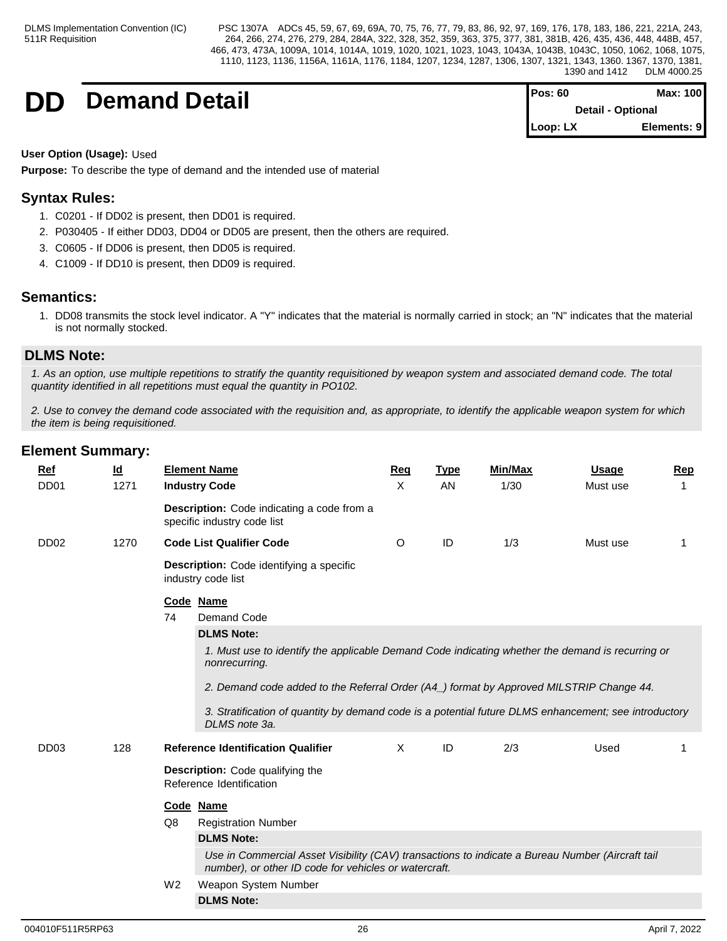**DD Demand Detail Pos: 60 Max: 100**

| Pos: 60  | Max: 100                 |
|----------|--------------------------|
|          | <b>Detail - Optional</b> |
| Loop: LX | Elements: 9              |

### **User Option (Usage):** Used

**Purpose:** To describe the type of demand and the intended use of material

## **Syntax Rules:**

- 1. C0201 If DD02 is present, then DD01 is required.
- 2. P030405 If either DD03, DD04 or DD05 are present, then the others are required.
- 3. C0605 If DD06 is present, then DD05 is required.
- 4. C1009 If DD10 is present, then DD09 is required.

## **Semantics:**

1. DD08 transmits the stock level indicator. A "Y" indicates that the material is normally carried in stock; an "N" indicates that the material is not normally stocked.

## **DLMS Note:**

*1. As an option, use multiple repetitions to stratify the quantity requisitioned by weapon system and associated demand code. The total quantity identified in all repetitions must equal the quantity in PO102.*

*2. Use to convey the demand code associated with the requisition and, as appropriate, to identify the applicable weapon system for which the item is being requisitioned.*

| <b>Ref</b>       | $\underline{\mathsf{Id}}$ | <b>Element Name</b>                                                                                                                                       | Req     | <b>Type</b> | <b>Min/Max</b> | <u>Usage</u> | <b>Rep</b> |
|------------------|---------------------------|-----------------------------------------------------------------------------------------------------------------------------------------------------------|---------|-------------|----------------|--------------|------------|
| DD <sub>01</sub> | 1271                      | <b>Industry Code</b>                                                                                                                                      | X       | AN          | 1/30           | Must use     |            |
|                  |                           | Description: Code indicating a code from a<br>specific industry code list                                                                                 |         |             |                |              |            |
| DD <sub>02</sub> | 1270                      | <b>Code List Qualifier Code</b>                                                                                                                           | $\circ$ | ID          | 1/3            | Must use     | 1          |
|                  |                           | <b>Description:</b> Code identifying a specific<br>industry code list                                                                                     |         |             |                |              |            |
|                  |                           | Code Name                                                                                                                                                 |         |             |                |              |            |
|                  |                           | 74<br>Demand Code                                                                                                                                         |         |             |                |              |            |
|                  |                           | <b>DLMS Note:</b>                                                                                                                                         |         |             |                |              |            |
|                  |                           | 1. Must use to identify the applicable Demand Code indicating whether the demand is recurring or<br>nonrecurring.                                         |         |             |                |              |            |
|                  |                           | 2. Demand code added to the Referral Order (A4_) format by Approved MILSTRIP Change 44.                                                                   |         |             |                |              |            |
|                  |                           | 3. Stratification of quantity by demand code is a potential future DLMS enhancement; see introductory<br>DLMS note 3a.                                    |         |             |                |              |            |
| DD <sub>03</sub> | 128                       | <b>Reference Identification Qualifier</b>                                                                                                                 | Χ       | ID          | 2/3            | Used         |            |
|                  |                           | <b>Description:</b> Code qualifying the<br>Reference Identification                                                                                       |         |             |                |              |            |
|                  |                           | Code Name                                                                                                                                                 |         |             |                |              |            |
|                  |                           | Q8<br><b>Registration Number</b>                                                                                                                          |         |             |                |              |            |
|                  |                           | <b>DLMS Note:</b>                                                                                                                                         |         |             |                |              |            |
|                  |                           | Use in Commercial Asset Visibility (CAV) transactions to indicate a Bureau Number (Aircraft tail<br>number), or other ID code for vehicles or watercraft. |         |             |                |              |            |
|                  |                           | W <sub>2</sub><br>Weapon System Number                                                                                                                    |         |             |                |              |            |
|                  |                           | <b>DLMS Note:</b>                                                                                                                                         |         |             |                |              |            |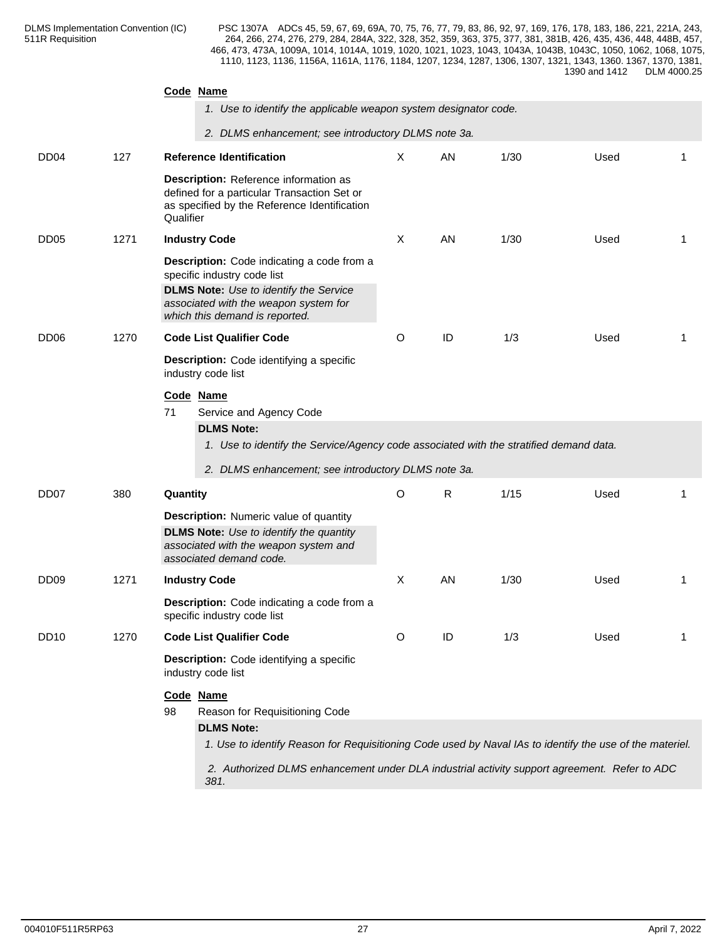|                  |                                                     | Code Name                                                                                                                                                                                                                                                                                  |   |    |      |      |    |  |  |
|------------------|-----------------------------------------------------|--------------------------------------------------------------------------------------------------------------------------------------------------------------------------------------------------------------------------------------------------------------------------------------------|---|----|------|------|----|--|--|
|                  |                                                     | 1. Use to identify the applicable weapon system designator code.                                                                                                                                                                                                                           |   |    |      |      |    |  |  |
|                  | 2. DLMS enhancement; see introductory DLMS note 3a. |                                                                                                                                                                                                                                                                                            |   |    |      |      |    |  |  |
| DD <sub>04</sub> | 127                                                 | <b>Reference Identification</b>                                                                                                                                                                                                                                                            | X | AN | 1/30 | Used | 1  |  |  |
|                  |                                                     | Description: Reference information as<br>defined for a particular Transaction Set or<br>as specified by the Reference Identification<br>Qualifier                                                                                                                                          |   |    |      |      |    |  |  |
| DD <sub>05</sub> | 1271                                                | <b>Industry Code</b>                                                                                                                                                                                                                                                                       | Χ | AN | 1/30 | Used | 1  |  |  |
|                  |                                                     | Description: Code indicating a code from a<br>specific industry code list<br><b>DLMS Note:</b> Use to identify the Service<br>associated with the weapon system for<br>which this demand is reported.                                                                                      |   |    |      |      |    |  |  |
| DD <sub>06</sub> | 1270                                                | <b>Code List Qualifier Code</b><br>Description: Code identifying a specific<br>industry code list                                                                                                                                                                                          |   | ID | 1/3  | Used | 1  |  |  |
|                  |                                                     |                                                                                                                                                                                                                                                                                            |   |    |      |      |    |  |  |
|                  |                                                     | Code Name<br>Service and Agency Code<br>71<br><b>DLMS Note:</b><br>1. Use to identify the Service/Agency code associated with the stratified demand data.<br>2. DLMS enhancement; see introductory DLMS note 3a.                                                                           |   |    |      |      |    |  |  |
| DD <sub>07</sub> | 380                                                 | Quantity                                                                                                                                                                                                                                                                                   | O | R  | 1/15 | Used | 1  |  |  |
|                  |                                                     | <b>Description:</b> Numeric value of quantity<br><b>DLMS Note:</b> Use to identify the quantity<br>associated with the weapon system and<br>associated demand code.                                                                                                                        |   |    |      |      |    |  |  |
| DD <sub>09</sub> | 1271                                                | <b>Industry Code</b>                                                                                                                                                                                                                                                                       | Χ | AN | 1/30 | Used | -1 |  |  |
|                  |                                                     | Description: Code indicating a code from a<br>specific industry code list                                                                                                                                                                                                                  |   |    |      |      |    |  |  |
| DD <sub>10</sub> | 1270                                                | <b>Code List Qualifier Code</b>                                                                                                                                                                                                                                                            | O | ID | 1/3  | Used | -1 |  |  |
|                  |                                                     | Description: Code identifying a specific<br>industry code list                                                                                                                                                                                                                             |   |    |      |      |    |  |  |
|                  |                                                     | Code Name<br>Reason for Requisitioning Code<br>98<br><b>DLMS Note:</b><br>1. Use to identify Reason for Requisitioning Code used by Naval IAs to identify the use of the materiel.<br>2. Authorized DLMS enhancement under DLA industrial activity support agreement. Refer to ADC<br>381. |   |    |      |      |    |  |  |
|                  |                                                     |                                                                                                                                                                                                                                                                                            |   |    |      |      |    |  |  |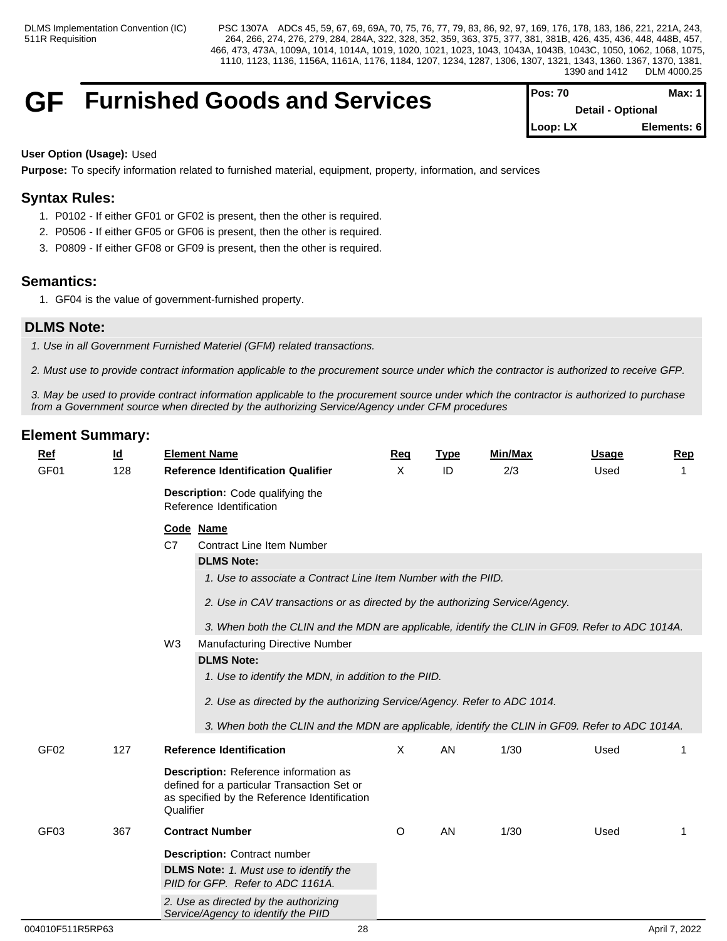## **GF** Furnished Goods and Services

| <b>IPos: 70</b> | Max: 1 I                 |
|-----------------|--------------------------|
|                 | <b>Detail - Optional</b> |
| $I Loop: LX$    | Elements: 6              |

#### **User Option (Usage):** Used

**Purpose:** To specify information related to furnished material, equipment, property, information, and services

## **Syntax Rules:**

- 1. P0102 If either GF01 or GF02 is present, then the other is required.
- 2. P0506 If either GF05 or GF06 is present, then the other is required.
- 3. P0809 If either GF08 or GF09 is present, then the other is required.

## **Semantics:**

1. GF04 is the value of government-furnished property.

## **DLMS Note:**

*1. Use in all Government Furnished Materiel (GFM) related transactions.*

*2. Must use to provide contract information applicable to the procurement source under which the contractor is authorized to receive GFP.* 

*3. May be used to provide contract information applicable to the procurement source under which the contractor is authorized to purchase from a Government source when directed by the authorizing Service/Agency under CFM procedures*

| $Ref$<br>GF01    | $\underline{\mathsf{Id}}$<br>128 | <b>Element Name</b><br><b>Reference Identification Qualifier</b>                                                                                                                                                                                                                                                                                                                   | <b>Req</b><br>$\times$ | <b>Type</b><br>ID | <b>Min/Max</b><br>2/3 | <b>Usage</b><br>Used | <b>Rep</b><br>1 |
|------------------|----------------------------------|------------------------------------------------------------------------------------------------------------------------------------------------------------------------------------------------------------------------------------------------------------------------------------------------------------------------------------------------------------------------------------|------------------------|-------------------|-----------------------|----------------------|-----------------|
|                  |                                  | Description: Code qualifying the<br>Reference Identification                                                                                                                                                                                                                                                                                                                       |                        |                   |                       |                      |                 |
|                  |                                  | Code Name<br>C7<br><b>Contract Line Item Number</b><br><b>DLMS Note:</b><br>1. Use to associate a Contract Line Item Number with the PIID.<br>2. Use in CAV transactions or as directed by the authorizing Service/Agency.<br>3. When both the CLIN and the MDN are applicable, identify the CLIN in GF09. Refer to ADC 1014A.<br>W <sub>3</sub><br>Manufacturing Directive Number |                        |                   |                       |                      |                 |
|                  |                                  | <b>DLMS Note:</b><br>1. Use to identify the MDN, in addition to the PIID.<br>2. Use as directed by the authorizing Service/Agency. Refer to ADC 1014.<br>3. When both the CLIN and the MDN are applicable, identify the CLIN in GF09. Refer to ADC 1014A.                                                                                                                          |                        |                   |                       |                      |                 |
| GF <sub>02</sub> | 127                              | <b>Reference Identification</b><br>Description: Reference information as<br>defined for a particular Transaction Set or<br>as specified by the Reference Identification<br>Qualifier                                                                                                                                                                                               | X                      | AN                | 1/30                  | Used                 | -1              |
| GF <sub>03</sub> | 367                              | <b>Contract Number</b><br><b>Description: Contract number</b><br><b>DLMS Note:</b> 1. Must use to identify the<br>PIID for GFP. Refer to ADC 1161A.<br>2. Use as directed by the authorizing<br>Service/Agency to identify the PIID                                                                                                                                                | O                      | AN                | 1/30                  | Used                 | -1              |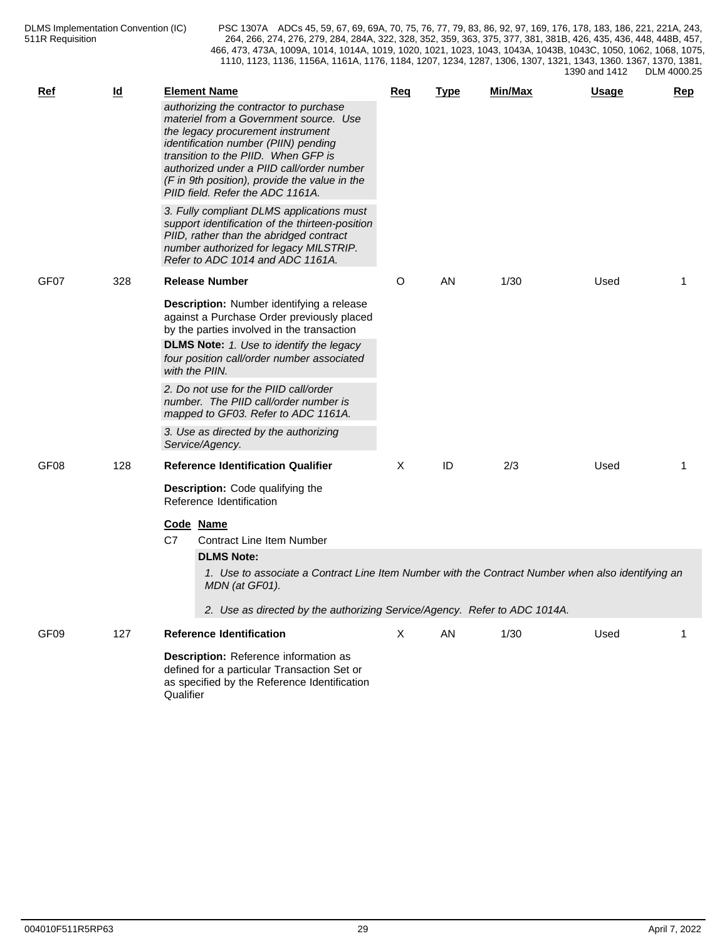| <b>Ref</b>       | $\underline{\mathsf{Id}}$ | <b>Element Name</b>                                                                                                                                                                                                                                                                                                                    | Req | <b>Type</b> | Min/Max | <u>Usage</u> | <b>Rep</b> |
|------------------|---------------------------|----------------------------------------------------------------------------------------------------------------------------------------------------------------------------------------------------------------------------------------------------------------------------------------------------------------------------------------|-----|-------------|---------|--------------|------------|
|                  |                           | authorizing the contractor to purchase<br>materiel from a Government source. Use<br>the legacy procurement instrument<br>identification number (PIIN) pending<br>transition to the PIID. When GFP is<br>authorized under a PIID call/order number<br>(F in 9th position), provide the value in the<br>PIID field. Refer the ADC 1161A. |     |             |         |              |            |
|                  |                           | 3. Fully compliant DLMS applications must<br>support identification of the thirteen-position<br>PIID, rather than the abridged contract<br>number authorized for legacy MILSTRIP.<br>Refer to ADC 1014 and ADC 1161A.                                                                                                                  |     |             |         |              |            |
| GF07             | 328                       | <b>Release Number</b>                                                                                                                                                                                                                                                                                                                  | O   | AN          | 1/30    | Used         |            |
|                  |                           | Description: Number identifying a release<br>against a Purchase Order previously placed<br>by the parties involved in the transaction                                                                                                                                                                                                  |     |             |         |              |            |
|                  |                           | <b>DLMS Note:</b> 1. Use to identify the legacy<br>four position call/order number associated<br>with the PIIN.                                                                                                                                                                                                                        |     |             |         |              |            |
|                  |                           | 2. Do not use for the PIID call/order<br>number. The PIID call/order number is<br>mapped to GF03. Refer to ADC 1161A.                                                                                                                                                                                                                  |     |             |         |              |            |
|                  |                           | 3. Use as directed by the authorizing<br>Service/Agency.                                                                                                                                                                                                                                                                               |     |             |         |              |            |
| GF08             | 128                       | <b>Reference Identification Qualifier</b>                                                                                                                                                                                                                                                                                              | Χ   | ID          | 2/3     | Used         | 1          |
|                  |                           | <b>Description:</b> Code qualifying the<br>Reference Identification                                                                                                                                                                                                                                                                    |     |             |         |              |            |
|                  |                           | Code Name<br>C7<br><b>Contract Line Item Number</b>                                                                                                                                                                                                                                                                                    |     |             |         |              |            |
|                  |                           | <b>DLMS Note:</b>                                                                                                                                                                                                                                                                                                                      |     |             |         |              |            |
|                  |                           | 1. Use to associate a Contract Line Item Number with the Contract Number when also identifying an<br>MDN (at GF01).                                                                                                                                                                                                                    |     |             |         |              |            |
|                  |                           | 2. Use as directed by the authorizing Service/Agency. Refer to ADC 1014A.                                                                                                                                                                                                                                                              |     |             |         |              |            |
| GF <sub>09</sub> | 127                       | <b>Reference Identification</b>                                                                                                                                                                                                                                                                                                        | X   | AN          | 1/30    | Used         | 1          |
|                  |                           | Description: Reference information as<br>defined for a particular Transaction Set or<br>as specified by the Reference Identification<br>Qualifier                                                                                                                                                                                      |     |             |         |              |            |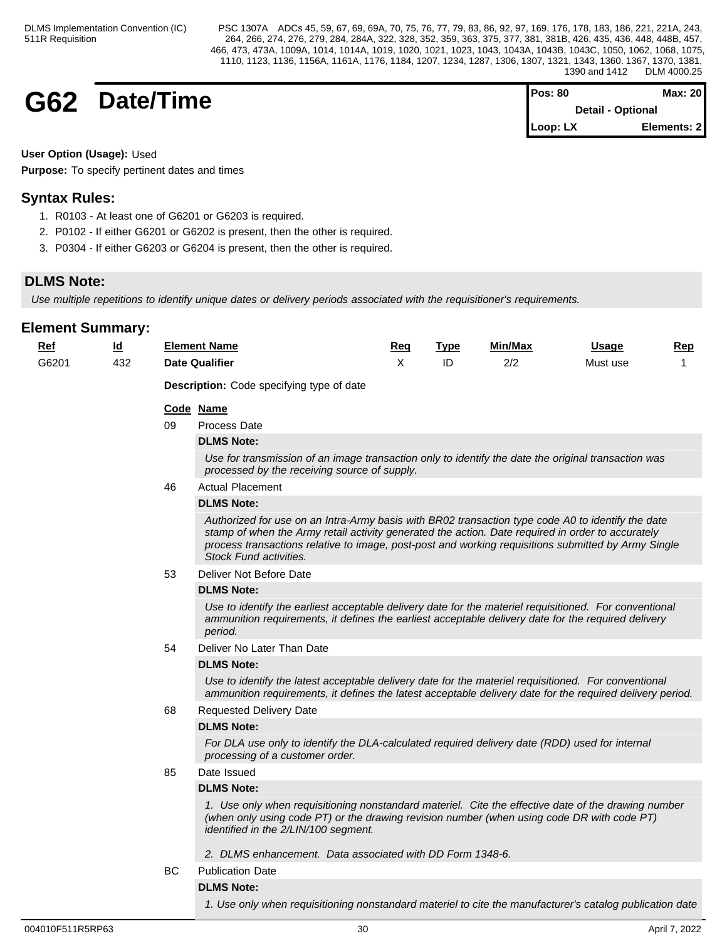**G62** DateTime 
$$
^{Pos: 80}
$$
 **Detail-Optional**

| Pos: 80             | Max: 20                  |  |
|---------------------|--------------------------|--|
|                     | <b>Detail - Optional</b> |  |
| $\mathsf{Loop: LX}$ | Elements: 2              |  |

**User Option (Usage):** Used

**Purpose:** To specify pertinent dates and times

## **Syntax Rules:**

- 1. R0103 At least one of G6201 or G6203 is required.
- 2. P0102 If either G6201 or G6202 is present, then the other is required.
- 3. P0304 If either G6203 or G6204 is present, then the other is required.

## **DLMS Note:**

*Use multiple repetitions to identify unique dates or delivery periods associated with the requisitioner's requirements.*

| <b>Ref</b> | $\underline{\mathsf{Id}}$ |     | <b>Element Name</b>                                                                                                                                                                                                                                                                                                                     | <u>Req</u> | <b>Type</b> | Min/Max | <u>Usage</u> | Rep |  |  |  |  |
|------------|---------------------------|-----|-----------------------------------------------------------------------------------------------------------------------------------------------------------------------------------------------------------------------------------------------------------------------------------------------------------------------------------------|------------|-------------|---------|--------------|-----|--|--|--|--|
| G6201      | 432                       |     | <b>Date Qualifier</b>                                                                                                                                                                                                                                                                                                                   | X          | ID          | 2/2     | Must use     | 1   |  |  |  |  |
|            |                           |     | <b>Description:</b> Code specifying type of date                                                                                                                                                                                                                                                                                        |            |             |         |              |     |  |  |  |  |
|            |                           |     | Code Name                                                                                                                                                                                                                                                                                                                               |            |             |         |              |     |  |  |  |  |
|            |                           | 09  | Process Date                                                                                                                                                                                                                                                                                                                            |            |             |         |              |     |  |  |  |  |
|            |                           |     | <b>DLMS Note:</b>                                                                                                                                                                                                                                                                                                                       |            |             |         |              |     |  |  |  |  |
|            |                           |     | Use for transmission of an image transaction only to identify the date the original transaction was<br>processed by the receiving source of supply.                                                                                                                                                                                     |            |             |         |              |     |  |  |  |  |
|            |                           | 46  | <b>Actual Placement</b>                                                                                                                                                                                                                                                                                                                 |            |             |         |              |     |  |  |  |  |
|            |                           |     | <b>DLMS Note:</b>                                                                                                                                                                                                                                                                                                                       |            |             |         |              |     |  |  |  |  |
|            |                           |     | Authorized for use on an Intra-Army basis with BR02 transaction type code A0 to identify the date<br>stamp of when the Army retail activity generated the action. Date required in order to accurately<br>process transactions relative to image, post-post and working requisitions submitted by Army Single<br>Stock Fund activities. |            |             |         |              |     |  |  |  |  |
|            |                           | 53  | Deliver Not Before Date                                                                                                                                                                                                                                                                                                                 |            |             |         |              |     |  |  |  |  |
|            |                           |     | <b>DLMS Note:</b>                                                                                                                                                                                                                                                                                                                       |            |             |         |              |     |  |  |  |  |
|            |                           |     | Use to identify the earliest acceptable delivery date for the materiel requisitioned. For conventional<br>ammunition requirements, it defines the earliest acceptable delivery date for the required delivery<br>period.                                                                                                                |            |             |         |              |     |  |  |  |  |
|            |                           | 54  | Deliver No Later Than Date                                                                                                                                                                                                                                                                                                              |            |             |         |              |     |  |  |  |  |
|            |                           |     | <b>DLMS Note:</b>                                                                                                                                                                                                                                                                                                                       |            |             |         |              |     |  |  |  |  |
|            |                           |     | Use to identify the latest acceptable delivery date for the materiel requisitioned. For conventional<br>ammunition requirements, it defines the latest acceptable delivery date for the required delivery period.                                                                                                                       |            |             |         |              |     |  |  |  |  |
|            |                           | 68  | <b>Requested Delivery Date</b>                                                                                                                                                                                                                                                                                                          |            |             |         |              |     |  |  |  |  |
|            |                           |     | <b>DLMS Note:</b>                                                                                                                                                                                                                                                                                                                       |            |             |         |              |     |  |  |  |  |
|            |                           |     | For DLA use only to identify the DLA-calculated required delivery date (RDD) used for internal<br>processing of a customer order.                                                                                                                                                                                                       |            |             |         |              |     |  |  |  |  |
|            |                           | 85  | Date Issued                                                                                                                                                                                                                                                                                                                             |            |             |         |              |     |  |  |  |  |
|            |                           |     | <b>DLMS Note:</b>                                                                                                                                                                                                                                                                                                                       |            |             |         |              |     |  |  |  |  |
|            |                           |     | 1. Use only when requisitioning nonstandard materiel. Cite the effective date of the drawing number<br>(when only using code PT) or the drawing revision number (when using code DR with code PT)<br>identified in the 2/LIN/100 segment.                                                                                               |            |             |         |              |     |  |  |  |  |
|            |                           |     | 2. DLMS enhancement. Data associated with DD Form 1348-6.                                                                                                                                                                                                                                                                               |            |             |         |              |     |  |  |  |  |
|            |                           | BC. | <b>Publication Date</b>                                                                                                                                                                                                                                                                                                                 |            |             |         |              |     |  |  |  |  |
|            |                           |     | <b>DLMS Note:</b>                                                                                                                                                                                                                                                                                                                       |            |             |         |              |     |  |  |  |  |
|            |                           |     | 1. Use only when requisitioning nonstandard materiel to cite the manufacturer's catalog publication date                                                                                                                                                                                                                                |            |             |         |              |     |  |  |  |  |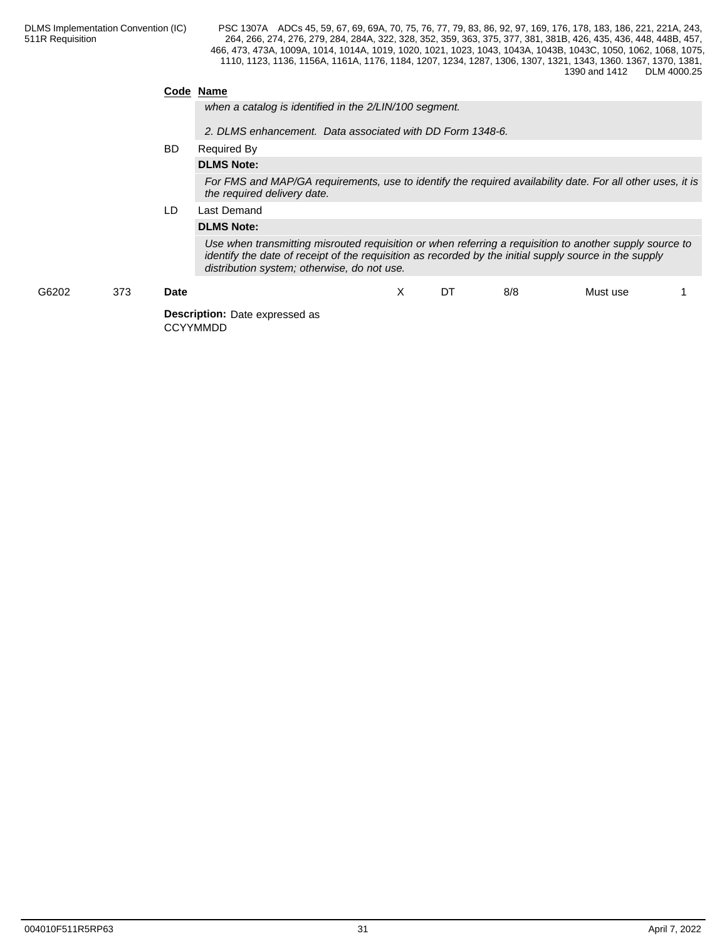## **Code Name**

*when a catalog is identified in the 2/LIN/100 segment.*

*2. DLMS enhancement. Data associated with DD Form 1348-6.*

#### BD Required By

## **DLMS Note:**

*For FMS and MAP/GA requirements, use to identify the required availability date. For all other uses, it is the required delivery date.*

## LD Last Demand

### **DLMS Note:**

*Use when transmitting misrouted requisition or when referring a requisition to another supply source to identify the date of receipt of the requisition as recorded by the initial supply source in the supply distribution system; otherwise, do not use.*

| G6202 | 373 | <b>Date</b>                                              | $\lambda$<br>$\lambda$ | DT | 8/8 | Must use |  |
|-------|-----|----------------------------------------------------------|------------------------|----|-----|----------|--|
|       |     | <b>Description:</b> Date expressed as<br><b>CCYYMMDD</b> |                        |    |     |          |  |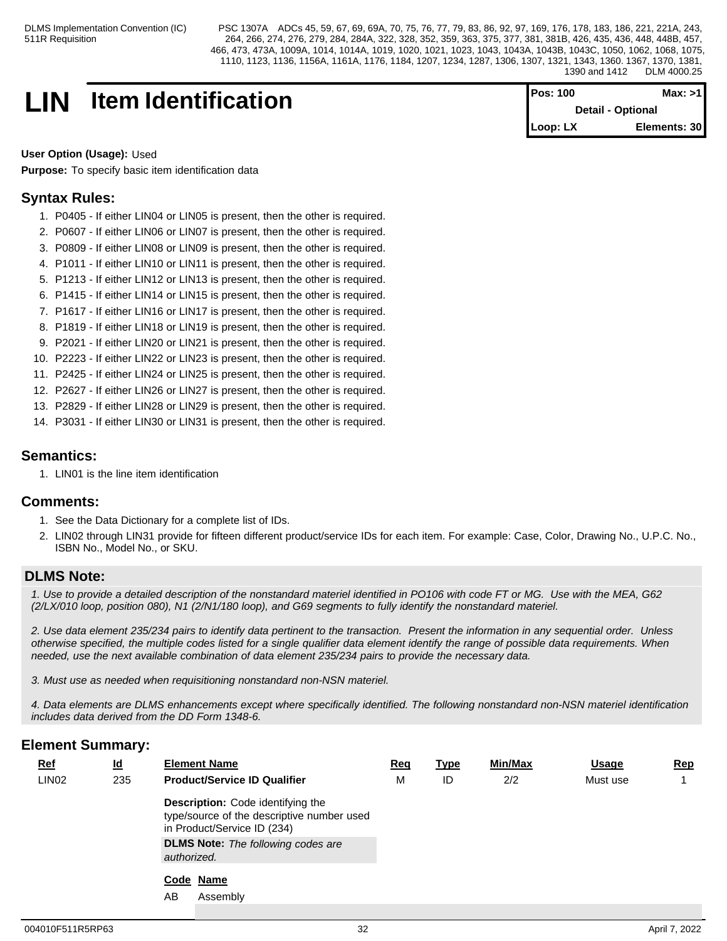## **LIN Item Identification**

| <b>Pos: 100</b> | Max: >1                  |
|-----------------|--------------------------|
|                 | <b>Detail - Optional</b> |
| Loop: LX        | Elements: 30             |

**User Option (Usage):** Used

**Purpose:** To specify basic item identification data

## **Syntax Rules:**

- 1. P0405 If either LIN04 or LIN05 is present, then the other is required.
- 2. P0607 If either LIN06 or LIN07 is present, then the other is required.
- 3. P0809 If either LIN08 or LIN09 is present, then the other is required.
- 4. P1011 If either LIN10 or LIN11 is present, then the other is required.
- 5. P1213 If either LIN12 or LIN13 is present, then the other is required.
- 6. P1415 If either LIN14 or LIN15 is present, then the other is required.
- 7. P1617 If either LIN16 or LIN17 is present, then the other is required.
- 8. P1819 If either LIN18 or LIN19 is present, then the other is required.
- 9. P2021 If either LIN20 or LIN21 is present, then the other is required.
- 10. P2223 If either LIN22 or LIN23 is present, then the other is required.
- 11. P2425 If either LIN24 or LIN25 is present, then the other is required.
- 12. P2627 If either LIN26 or LIN27 is present, then the other is required.
- 13. P2829 If either LIN28 or LIN29 is present, then the other is required.
- 14. P3031 If either LIN30 or LIN31 is present, then the other is required.

## **Semantics:**

1. LIN01 is the line item identification

## **Comments:**

- 1. See the Data Dictionary for a complete list of IDs.
- 2. LIN02 through LIN31 provide for fifteen different product/service IDs for each item. For example: Case, Color, Drawing No., U.P.C. No., ISBN No., Model No., or SKU.

## **DLMS Note:**

*1. Use to provide a detailed description of the nonstandard materiel identified in PO106 with code FT or MG. Use with the MEA, G62 (2/LX/010 loop, position 080), N1 (2/N1/180 loop), and G69 segments to fully identify the nonstandard materiel.*

*2. Use data element 235/234 pairs to identify data pertinent to the transaction. Present the information in any sequential order. Unless otherwise specified, the multiple codes listed for a single qualifier data element identify the range of possible data requirements. When needed, use the next available combination of data element 235/234 pairs to provide the necessary data.*

*3. Must use as needed when requisitioning nonstandard non-NSN materiel.*

*4. Data elements are DLMS enhancements except where specifically identified. The following nonstandard non-NSN materiel identification includes data derived from the DD Form 1348-6.*

| <b>Ref</b>        | $\underline{\mathsf{Id}}$ | <b>Element Name</b>                                                                                            | <u>Req</u> | <u>Type</u> | Min/Max | <b>Usage</b> | <b>Rep</b> |
|-------------------|---------------------------|----------------------------------------------------------------------------------------------------------------|------------|-------------|---------|--------------|------------|
| LIN <sub>02</sub> | 235                       | <b>Product/Service ID Qualifier</b>                                                                            | М          | ID          | 2/2     | Must use     |            |
|                   |                           | Description: Code identifying the<br>type/source of the descriptive number used<br>in Product/Service ID (234) |            |             |         |              |            |
|                   |                           | <b>DLMS Note:</b> The following codes are<br>authorized.                                                       |            |             |         |              |            |
|                   |                           | Code Name                                                                                                      |            |             |         |              |            |
|                   |                           | AB<br>Assembly                                                                                                 |            |             |         |              |            |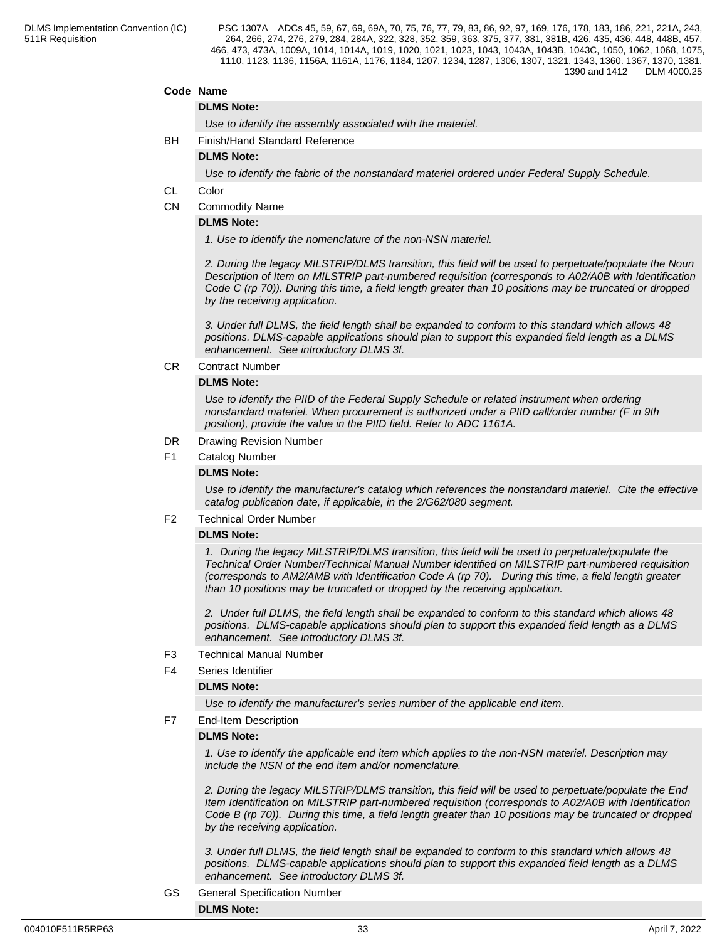### **Code Name**

#### **DLMS Note:**

*Use to identify the assembly associated with the materiel.*

BH Finish/Hand Standard Reference

**DLMS Note:**

*Use to identify the fabric of the nonstandard materiel ordered under Federal Supply Schedule.*

- CL Color
- CN Commodity Name

### **DLMS Note:**

*1. Use to identify the nomenclature of the non-NSN materiel.*

*2. During the legacy MILSTRIP/DLMS transition, this field will be used to perpetuate/populate the Noun Description of Item on MILSTRIP part-numbered requisition (corresponds to A02/A0B with Identification Code C (rp 70)). During this time, a field length greater than 10 positions may be truncated or dropped by the receiving application.* 

*3. Under full DLMS, the field length shall be expanded to conform to this standard which allows 48 positions. DLMS-capable applications should plan to support this expanded field length as a DLMS enhancement. See introductory DLMS 3f.*

#### CR Contract Number

#### **DLMS Note:**

*Use to identify the PIID of the Federal Supply Schedule or related instrument when ordering nonstandard materiel. When procurement is authorized under a PIID call/order number (F in 9th position), provide the value in the PIID field. Refer to ADC 1161A.*

- DR Drawing Revision Number
- F1 Catalog Number

#### **DLMS Note:**

*Use to identify the manufacturer's catalog which references the nonstandard materiel. Cite the effective catalog publication date, if applicable, in the 2/G62/080 segment.*

#### F2 Technical Order Number

#### **DLMS Note:**

*1. During the legacy MILSTRIP/DLMS transition, this field will be used to perpetuate/populate the Technical Order Number/Technical Manual Number identified on MILSTRIP part-numbered requisition (corresponds to AM2/AMB with Identification Code A (rp 70). During this time, a field length greater than 10 positions may be truncated or dropped by the receiving application.* 

*2. Under full DLMS, the field length shall be expanded to conform to this standard which allows 48 positions. DLMS-capable applications should plan to support this expanded field length as a DLMS enhancement. See introductory DLMS 3f.*

- F3 Technical Manual Number
- F4 Series Identifier

#### **DLMS Note:**

*Use to identify the manufacturer's series number of the applicable end item.*

F7 End-Item Description

#### **DLMS Note:**

*1. Use to identify the applicable end item which applies to the non-NSN materiel. Description may include the NSN of the end item and/or nomenclature.*

*2. During the legacy MILSTRIP/DLMS transition, this field will be used to perpetuate/populate the End Item Identification on MILSTRIP part-numbered requisition (corresponds to A02/A0B with Identification Code B (rp 70)). During this time, a field length greater than 10 positions may be truncated or dropped by the receiving application.* 

*3. Under full DLMS, the field length shall be expanded to conform to this standard which allows 48 positions. DLMS-capable applications should plan to support this expanded field length as a DLMS enhancement. See introductory DLMS 3f.*

GS General Specification Number **DLMS Note:**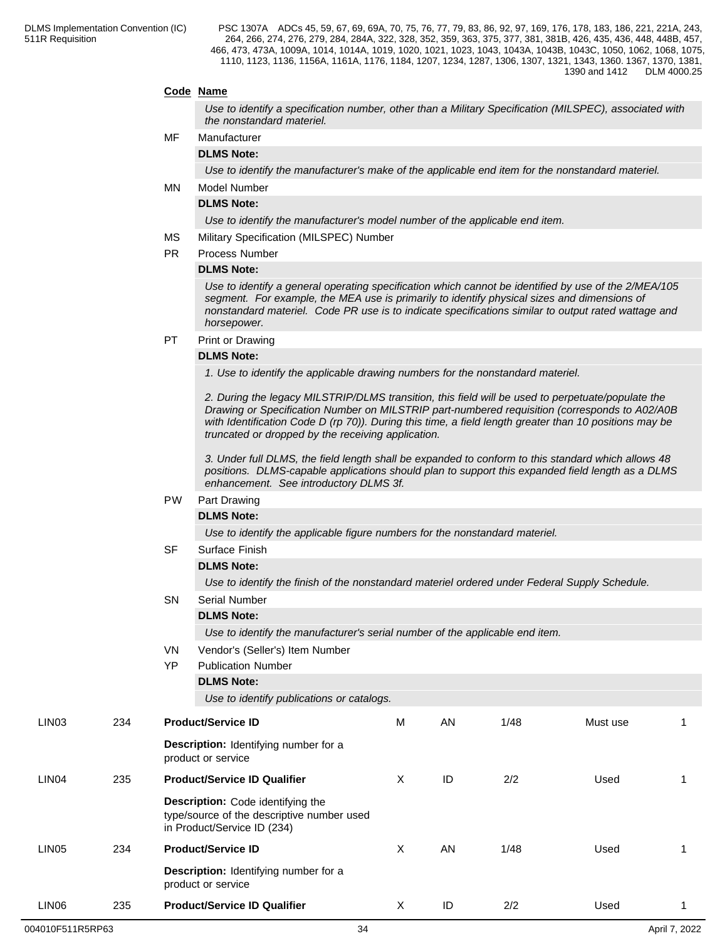## **Code Name**

*Use to identify a specification number, other than a Military Specification (MILSPEC), associated with the nonstandard materiel.*

### MF Manufacturer

**DLMS Note:**

*Use to identify the manufacturer's make of the applicable end item for the nonstandard materiel.*

MN Model Number

## **DLMS Note:**

*Use to identify the manufacturer's model number of the applicable end item.*

- MS Military Specification (MILSPEC) Number
- PR Process Number

#### **DLMS Note:**

*Use to identify a general operating specification which cannot be identified by use of the 2/MEA/105 segment. For example, the MEA use is primarily to identify physical sizes and dimensions of nonstandard materiel. Code PR use is to indicate specifications similar to output rated wattage and horsepower.*

PT Print or Drawing

#### **DLMS Note:**

*1. Use to identify the applicable drawing numbers for the nonstandard materiel.*

*2. During the legacy MILSTRIP/DLMS transition, this field will be used to perpetuate/populate the Drawing or Specification Number on MILSTRIP part-numbered requisition (corresponds to A02/A0B with Identification Code D (rp 70)). During this time, a field length greater than 10 positions may be truncated or dropped by the receiving application.* 

*3. Under full DLMS, the field length shall be expanded to conform to this standard which allows 48 positions. DLMS-capable applications should plan to support this expanded field length as a DLMS enhancement. See introductory DLMS 3f.*

## PW Part Drawing

## **DLMS Note:**

*Use to identify the applicable figure numbers for the nonstandard materiel.*

|                   |     |           | Use to identity the applicable figure numbers for the nonstandard materiel.                                           |                                                                                               |    |      |          |    |  |  |
|-------------------|-----|-----------|-----------------------------------------------------------------------------------------------------------------------|-----------------------------------------------------------------------------------------------|----|------|----------|----|--|--|
|                   |     | <b>SF</b> | Surface Finish                                                                                                        |                                                                                               |    |      |          |    |  |  |
|                   |     |           | <b>DLMS Note:</b>                                                                                                     |                                                                                               |    |      |          |    |  |  |
|                   |     |           |                                                                                                                       | Use to identify the finish of the nonstandard materiel ordered under Federal Supply Schedule. |    |      |          |    |  |  |
|                   |     | SN        | <b>Serial Number</b>                                                                                                  |                                                                                               |    |      |          |    |  |  |
|                   |     |           | <b>DLMS Note:</b>                                                                                                     |                                                                                               |    |      |          |    |  |  |
|                   |     |           | Use to identify the manufacturer's serial number of the applicable end item.                                          |                                                                                               |    |      |          |    |  |  |
|                   |     | VN        | Vendor's (Seller's) Item Number                                                                                       |                                                                                               |    |      |          |    |  |  |
|                   |     | <b>YP</b> | <b>Publication Number</b>                                                                                             |                                                                                               |    |      |          |    |  |  |
|                   |     |           | <b>DLMS Note:</b>                                                                                                     |                                                                                               |    |      |          |    |  |  |
|                   |     |           | Use to identify publications or catalogs.                                                                             |                                                                                               |    |      |          |    |  |  |
| LIN03             | 234 |           | <b>Product/Service ID</b>                                                                                             | M                                                                                             | AN | 1/48 | Must use | -1 |  |  |
|                   |     |           | Description: Identifying number for a<br>product or service                                                           |                                                                                               |    |      |          |    |  |  |
| LIN <sub>04</sub> | 235 |           | <b>Product/Service ID Qualifier</b>                                                                                   | X                                                                                             | ID | 2/2  | Used     |    |  |  |
|                   |     |           | <b>Description:</b> Code identifying the<br>type/source of the descriptive number used<br>in Product/Service ID (234) |                                                                                               |    |      |          |    |  |  |
| LIN05             | 234 |           | <b>Product/Service ID</b>                                                                                             | X                                                                                             | AN | 1/48 | Used     |    |  |  |
|                   |     |           | <b>Description:</b> Identifying number for a<br>product or service                                                    |                                                                                               |    |      |          |    |  |  |
| LIN06             | 235 |           | <b>Product/Service ID Qualifier</b>                                                                                   | X                                                                                             | ID | 2/2  | Used     | 1  |  |  |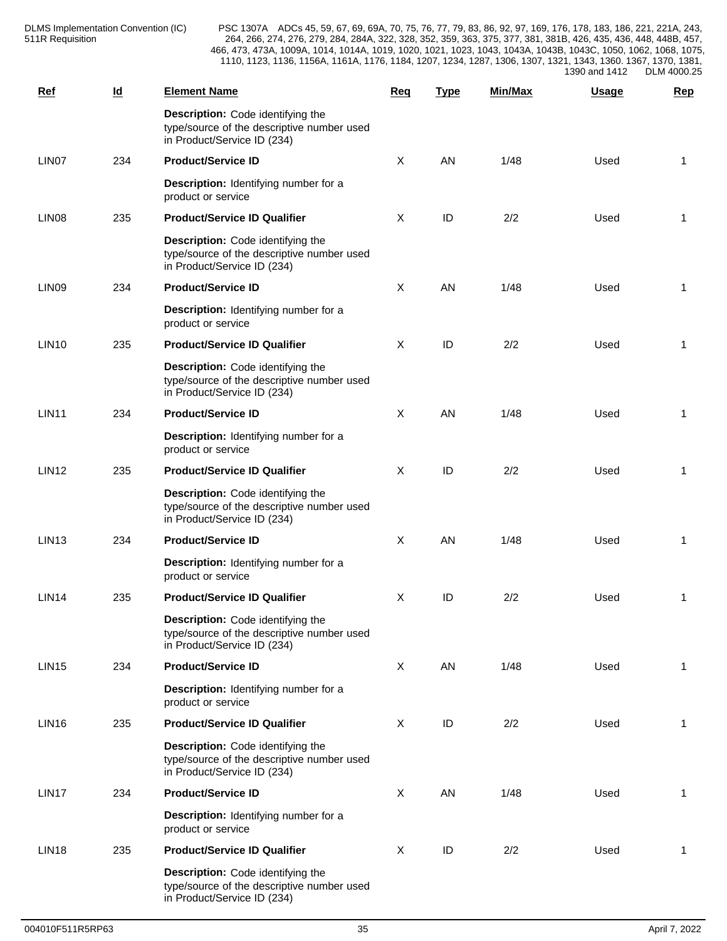| <b>Ref</b>        | $\underline{\mathsf{Id}}$ | <b>Element Name</b>                                                                                            | Req          | <b>Type</b> | <b>Min/Max</b> | <b>Usage</b> | <b>Rep</b>   |
|-------------------|---------------------------|----------------------------------------------------------------------------------------------------------------|--------------|-------------|----------------|--------------|--------------|
|                   |                           | Description: Code identifying the<br>type/source of the descriptive number used<br>in Product/Service ID (234) |              |             |                |              |              |
| LIN07             | 234                       | <b>Product/Service ID</b>                                                                                      | $\sf X$      | AN          | 1/48           | Used         | 1            |
|                   |                           | Description: Identifying number for a<br>product or service                                                    |              |             |                |              |              |
| LIN <sub>08</sub> | 235                       | <b>Product/Service ID Qualifier</b>                                                                            | X            | ID          | 2/2            | Used         | 1            |
|                   |                           | Description: Code identifying the<br>type/source of the descriptive number used<br>in Product/Service ID (234) |              |             |                |              |              |
| LIN <sub>09</sub> | 234                       | <b>Product/Service ID</b>                                                                                      | $\sf X$      | AN          | 1/48           | Used         | 1            |
|                   |                           | Description: Identifying number for a<br>product or service                                                    |              |             |                |              |              |
| <b>LIN10</b>      | 235                       | <b>Product/Service ID Qualifier</b>                                                                            | X            | ID          | 2/2            | Used         | 1            |
|                   |                           | Description: Code identifying the<br>type/source of the descriptive number used<br>in Product/Service ID (234) |              |             |                |              |              |
| <b>LIN11</b>      | 234                       | <b>Product/Service ID</b>                                                                                      | $\mathsf{X}$ | AN          | 1/48           | Used         | 1            |
|                   |                           | Description: Identifying number for a<br>product or service                                                    |              |             |                |              |              |
| <b>LIN12</b>      | 235                       | <b>Product/Service ID Qualifier</b>                                                                            | X            | ID          | 2/2            | Used         | 1            |
|                   |                           | Description: Code identifying the<br>type/source of the descriptive number used<br>in Product/Service ID (234) |              |             |                |              |              |
| <b>LIN13</b>      | 234                       | <b>Product/Service ID</b>                                                                                      | $\mathsf{X}$ | AN          | 1/48           | Used         | 1            |
|                   |                           | Description: Identifying number for a<br>product or service                                                    |              |             |                |              |              |
| <b>LIN14</b>      | 235                       | <b>Product/Service ID Qualifier</b>                                                                            | X            | ID          | 2/2            | Used         | -1           |
|                   |                           | Description: Code identifying the<br>type/source of the descriptive number used<br>in Product/Service ID (234) |              |             |                |              |              |
| <b>LIN15</b>      | 234                       | <b>Product/Service ID</b>                                                                                      | $\mathsf{X}$ | AN          | 1/48           | Used         | 1            |
|                   |                           | Description: Identifying number for a<br>product or service                                                    |              |             |                |              |              |
| <b>LIN16</b>      | 235                       | <b>Product/Service ID Qualifier</b>                                                                            | $\sf X$      | ID          | 2/2            | Used         | $\mathbf{1}$ |
|                   |                           | Description: Code identifying the<br>type/source of the descriptive number used<br>in Product/Service ID (234) |              |             |                |              |              |
| LIN17             | 234                       | <b>Product/Service ID</b>                                                                                      | $\mathsf{X}$ | AN          | 1/48           | Used         | $\mathbf{1}$ |
|                   |                           | Description: Identifying number for a<br>product or service                                                    |              |             |                |              |              |
| <b>LIN18</b>      | 235                       | <b>Product/Service ID Qualifier</b>                                                                            | X            | ID          | 2/2            | Used         | $\mathbf{1}$ |
|                   |                           | Description: Code identifying the<br>type/source of the descriptive number used<br>in Product/Service ID (234) |              |             |                |              |              |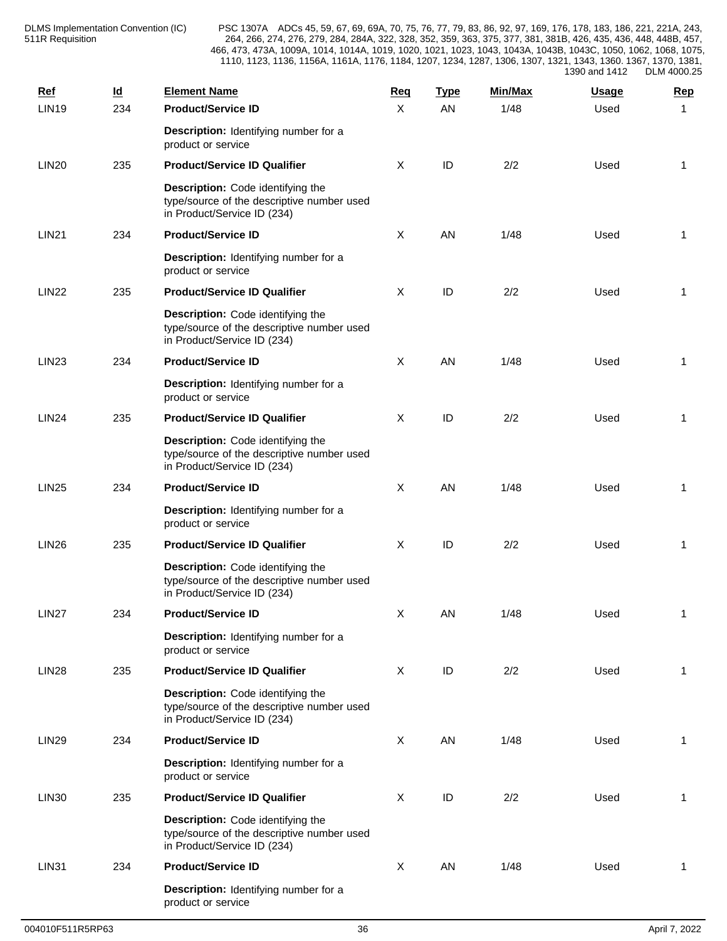| <b>Ref</b>   | $\underline{\mathsf{Id}}$ | <b>Element Name</b>                                                                                            | Req          | <b>Type</b> | Min/Max | Usage | <b>Rep</b>   |
|--------------|---------------------------|----------------------------------------------------------------------------------------------------------------|--------------|-------------|---------|-------|--------------|
| <b>LIN19</b> | 234                       | <b>Product/Service ID</b>                                                                                      | $\mathsf{X}$ | AN          | 1/48    | Used  | 1            |
|              |                           | Description: Identifying number for a<br>product or service                                                    |              |             |         |       |              |
| <b>LIN20</b> | 235                       | <b>Product/Service ID Qualifier</b>                                                                            | X            | ID          | 2/2     | Used  | 1            |
|              |                           | Description: Code identifying the<br>type/source of the descriptive number used<br>in Product/Service ID (234) |              |             |         |       |              |
| <b>LIN21</b> | 234                       | <b>Product/Service ID</b>                                                                                      | X            | AN          | 1/48    | Used  | 1            |
|              |                           | Description: Identifying number for a<br>product or service                                                    |              |             |         |       |              |
| <b>LIN22</b> | 235                       | <b>Product/Service ID Qualifier</b>                                                                            | X            | ID          | 2/2     | Used  | 1            |
|              |                           | Description: Code identifying the<br>type/source of the descriptive number used<br>in Product/Service ID (234) |              |             |         |       |              |
| <b>LIN23</b> | 234                       | <b>Product/Service ID</b>                                                                                      | X            | AN          | 1/48    | Used  | 1            |
|              |                           | Description: Identifying number for a<br>product or service                                                    |              |             |         |       |              |
| <b>LIN24</b> | 235                       | <b>Product/Service ID Qualifier</b>                                                                            | X            | ID          | 2/2     | Used  | $\mathbf{1}$ |
|              |                           | Description: Code identifying the<br>type/source of the descriptive number used<br>in Product/Service ID (234) |              |             |         |       |              |
| <b>LIN25</b> | 234                       | <b>Product/Service ID</b>                                                                                      | X            | AN          | 1/48    | Used  | 1            |
|              |                           | Description: Identifying number for a<br>product or service                                                    |              |             |         |       |              |
| <b>LIN26</b> | 235                       | <b>Product/Service ID Qualifier</b>                                                                            | X            | ID          | 2/2     | Used  | 1            |
|              |                           | Description: Code identifying the<br>type/source of the descriptive number used<br>in Product/Service ID (234) |              |             |         |       |              |
| <b>LIN27</b> | 234                       | <b>Product/Service ID</b>                                                                                      | X            | AN          | 1/48    | Used  | 1            |
|              |                           | Description: Identifying number for a<br>product or service                                                    |              |             |         |       |              |
| <b>LIN28</b> | 235                       | <b>Product/Service ID Qualifier</b>                                                                            | X            | ID          | 2/2     | Used  | 1            |
|              |                           | Description: Code identifying the<br>type/source of the descriptive number used<br>in Product/Service ID (234) |              |             |         |       |              |
| <b>LIN29</b> | 234                       | <b>Product/Service ID</b>                                                                                      | X            | AN          | 1/48    | Used  | 1            |
|              |                           | Description: Identifying number for a<br>product or service                                                    |              |             |         |       |              |
| <b>LIN30</b> | 235                       | <b>Product/Service ID Qualifier</b>                                                                            | $\sf X$      | ID          | 2/2     | Used  | 1            |
|              |                           | Description: Code identifying the<br>type/source of the descriptive number used<br>in Product/Service ID (234) |              |             |         |       |              |
| <b>LIN31</b> | 234                       | <b>Product/Service ID</b>                                                                                      | $\sf X$      | AN          | 1/48    | Used  | $\mathbf{1}$ |
|              |                           | Description: Identifying number for a<br>product or service                                                    |              |             |         |       |              |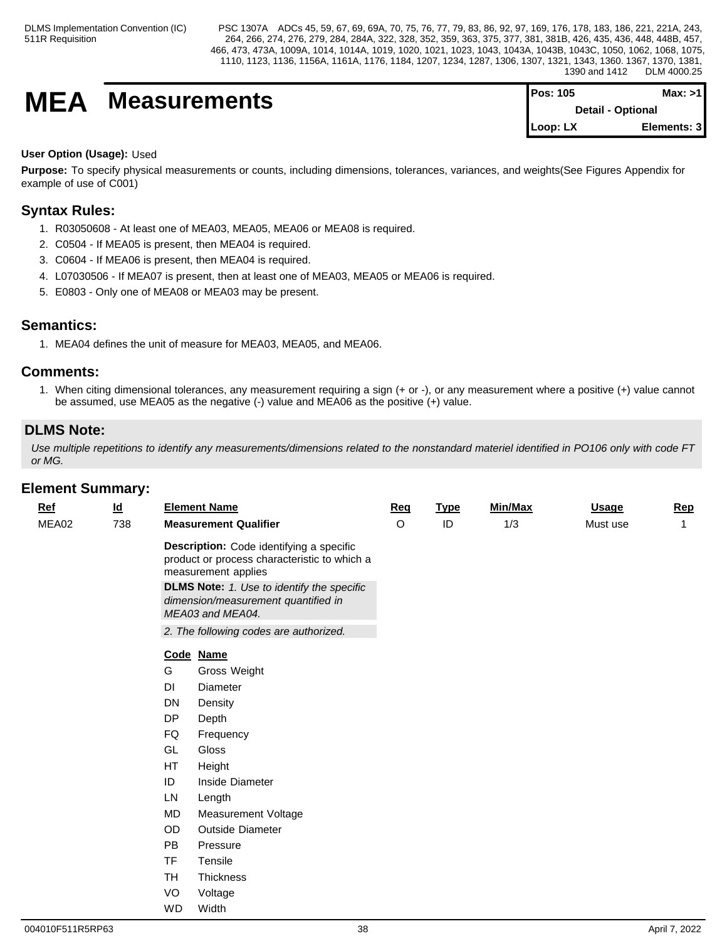# **MEA** Measurements

| <b>Pos: 105</b> | Max: >1                  |  |
|-----------------|--------------------------|--|
|                 | <b>Detail - Optional</b> |  |
| Loop: LX        | Elements: 3              |  |

## **User Option (Usage):** Used

**Purpose:** To specify physical measurements or counts, including dimensions, tolerances, variances, and weights(See Figures Appendix for example of use of C001)

## **Syntax Rules:**

- 1. R03050608 At least one of MEA03, MEA05, MEA06 or MEA08 is required.
- 2. C0504 If MEA05 is present, then MEA04 is required.
- 3. C0604 If MEA06 is present, then MEA04 is required.
- 4. L07030506 If MEA07 is present, then at least one of MEA03, MEA05 or MEA06 is required.
- 5. E0803 Only one of MEA08 or MEA03 may be present.

## **Semantics:**

1. MEA04 defines the unit of measure for MEA03, MEA05, and MEA06.

## **Comments:**

1. When citing dimensional tolerances, any measurement requiring a sign (+ or -), or any measurement where a positive (+) value cannot be assumed, use MEA05 as the negative (-) value and MEA06 as the positive (+) value.

## **DLMS Note:**

*Use multiple repetitions to identify any measurements/dimensions related to the nonstandard materiel identified in PO106 only with code FT or MG.*

| sinoni odininai yv |                           |           |                                                                                                                 |            |             |         |              |              |
|--------------------|---------------------------|-----------|-----------------------------------------------------------------------------------------------------------------|------------|-------------|---------|--------------|--------------|
| <u>Ref</u>         | $\underline{\mathsf{Id}}$ |           | <b>Element Name</b>                                                                                             | <b>Req</b> | <b>Type</b> | Min/Max | <b>Usage</b> | <b>Rep</b>   |
| MEA02              | 738                       |           | <b>Measurement Qualifier</b>                                                                                    | O          | ID          | 1/3     | Must use     | $\mathbf{1}$ |
|                    |                           |           | Description: Code identifying a specific<br>product or process characteristic to which a<br>measurement applies |            |             |         |              |              |
|                    |                           |           | <b>DLMS Note:</b> 1. Use to identify the specific<br>dimension/measurement quantified in<br>MEA03 and MEA04.    |            |             |         |              |              |
|                    |                           |           | 2. The following codes are authorized.                                                                          |            |             |         |              |              |
|                    |                           |           | Code Name                                                                                                       |            |             |         |              |              |
|                    |                           | G         | Gross Weight                                                                                                    |            |             |         |              |              |
|                    |                           | DI        | Diameter                                                                                                        |            |             |         |              |              |
|                    |                           | <b>DN</b> | Density                                                                                                         |            |             |         |              |              |
|                    |                           | <b>DP</b> | Depth                                                                                                           |            |             |         |              |              |
|                    |                           | FQ        | Frequency                                                                                                       |            |             |         |              |              |
|                    |                           | GL        | Gloss                                                                                                           |            |             |         |              |              |
|                    |                           | HT        | Height                                                                                                          |            |             |         |              |              |
|                    |                           | ID        | Inside Diameter                                                                                                 |            |             |         |              |              |
|                    |                           | LN        | Length                                                                                                          |            |             |         |              |              |
|                    |                           | MD        | Measurement Voltage                                                                                             |            |             |         |              |              |
|                    |                           | OD        | Outside Diameter                                                                                                |            |             |         |              |              |
|                    |                           | <b>PB</b> | Pressure                                                                                                        |            |             |         |              |              |
|                    |                           | <b>TF</b> | Tensile                                                                                                         |            |             |         |              |              |
|                    |                           | TH        | Thickness                                                                                                       |            |             |         |              |              |
|                    |                           | VO        | Voltage                                                                                                         |            |             |         |              |              |
|                    |                           | <b>WD</b> | Width                                                                                                           |            |             |         |              |              |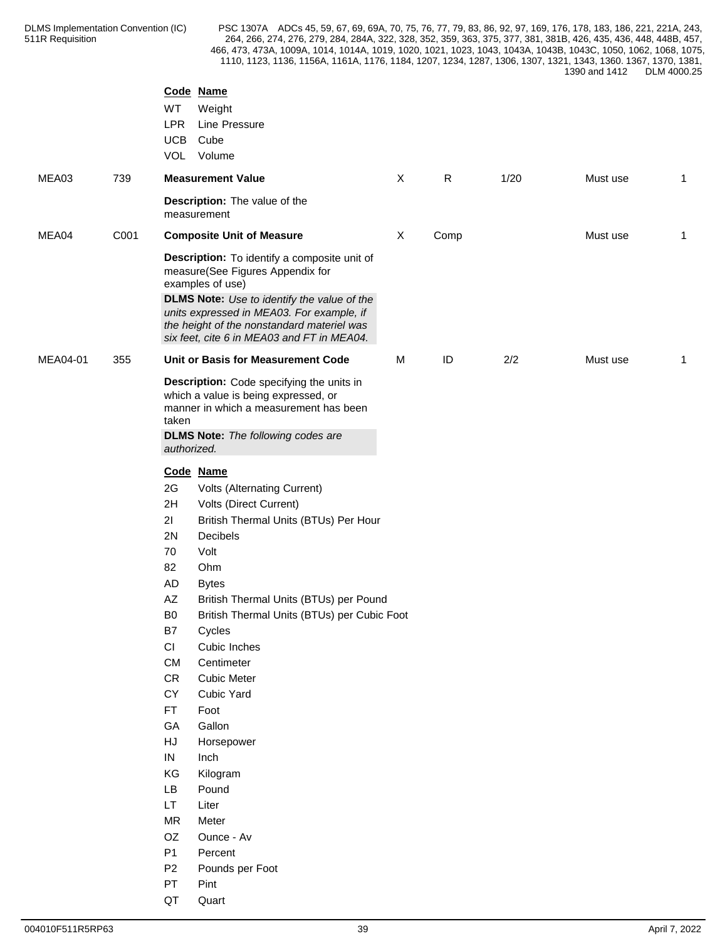| Code Name<br>WT<br>Weight<br><b>LPR</b><br>Line Pressure<br><b>UCB</b><br>Cube<br>VOL<br>Volume<br>$\mathsf{R}$<br>$\mathsf{X}$<br>1/20<br>MEA03<br>739<br><b>Measurement Value</b><br>Must use<br>$\mathbf{1}$<br><b>Description:</b> The value of the<br>measurement<br>MEA04<br>C001<br><b>Composite Unit of Measure</b><br>X<br>Must use<br>Comp<br>1<br>Description: To identify a composite unit of<br>measure(See Figures Appendix for<br>examples of use)<br>DLMS Note: Use to identify the value of the<br>units expressed in MEA03. For example, if<br>the height of the nonstandard materiel was<br>six feet, cite 6 in MEA03 and FT in MEA04.<br>$\sf ID$<br>MEA04-01<br>Unit or Basis for Measurement Code<br>2/2<br>355<br>М<br>Must use<br>$\overline{1}$<br>Description: Code specifying the units in<br>which a value is being expressed, or<br>manner in which a measurement has been<br>taken<br><b>DLMS Note:</b> The following codes are<br>authorized.<br>Code Name<br>2G<br>Volts (Alternating Current)<br>2H<br>Volts (Direct Current)<br>21<br>British Thermal Units (BTUs) Per Hour<br>2N<br>Decibels<br>70<br>Volt<br>82<br>Ohm<br>AD<br><b>Bytes</b><br>$\mathsf{A}\mathsf{Z}$<br>British Thermal Units (BTUs) per Pound<br>B <sub>0</sub><br>British Thermal Units (BTUs) per Cubic Foot<br>B7<br>Cycles<br>CI<br>Cubic Inches<br>CM<br>Centimeter<br>${\sf CR}$<br><b>Cubic Meter</b><br>CY<br>Cubic Yard<br>FT<br>Foot<br>GA<br>Gallon<br>HJ<br>Horsepower<br>IN<br>Inch<br>KG<br>Kilogram<br>LB<br>Pound<br>LT.<br>Liter<br><b>MR</b><br>Meter<br>OZ<br>Ounce - Av<br>P1<br>Percent<br>P <sub>2</sub><br>Pounds per Foot<br>PT<br>Pint |  |             |  |  |  |
|------------------------------------------------------------------------------------------------------------------------------------------------------------------------------------------------------------------------------------------------------------------------------------------------------------------------------------------------------------------------------------------------------------------------------------------------------------------------------------------------------------------------------------------------------------------------------------------------------------------------------------------------------------------------------------------------------------------------------------------------------------------------------------------------------------------------------------------------------------------------------------------------------------------------------------------------------------------------------------------------------------------------------------------------------------------------------------------------------------------------------------------------------------------------------------------------------------------------------------------------------------------------------------------------------------------------------------------------------------------------------------------------------------------------------------------------------------------------------------------------------------------------------------------------------------------------------------------------------------------------------------------------------------------------|--|-------------|--|--|--|
|                                                                                                                                                                                                                                                                                                                                                                                                                                                                                                                                                                                                                                                                                                                                                                                                                                                                                                                                                                                                                                                                                                                                                                                                                                                                                                                                                                                                                                                                                                                                                                                                                                                                        |  |             |  |  |  |
|                                                                                                                                                                                                                                                                                                                                                                                                                                                                                                                                                                                                                                                                                                                                                                                                                                                                                                                                                                                                                                                                                                                                                                                                                                                                                                                                                                                                                                                                                                                                                                                                                                                                        |  |             |  |  |  |
|                                                                                                                                                                                                                                                                                                                                                                                                                                                                                                                                                                                                                                                                                                                                                                                                                                                                                                                                                                                                                                                                                                                                                                                                                                                                                                                                                                                                                                                                                                                                                                                                                                                                        |  |             |  |  |  |
|                                                                                                                                                                                                                                                                                                                                                                                                                                                                                                                                                                                                                                                                                                                                                                                                                                                                                                                                                                                                                                                                                                                                                                                                                                                                                                                                                                                                                                                                                                                                                                                                                                                                        |  |             |  |  |  |
|                                                                                                                                                                                                                                                                                                                                                                                                                                                                                                                                                                                                                                                                                                                                                                                                                                                                                                                                                                                                                                                                                                                                                                                                                                                                                                                                                                                                                                                                                                                                                                                                                                                                        |  |             |  |  |  |
|                                                                                                                                                                                                                                                                                                                                                                                                                                                                                                                                                                                                                                                                                                                                                                                                                                                                                                                                                                                                                                                                                                                                                                                                                                                                                                                                                                                                                                                                                                                                                                                                                                                                        |  |             |  |  |  |
|                                                                                                                                                                                                                                                                                                                                                                                                                                                                                                                                                                                                                                                                                                                                                                                                                                                                                                                                                                                                                                                                                                                                                                                                                                                                                                                                                                                                                                                                                                                                                                                                                                                                        |  |             |  |  |  |
|                                                                                                                                                                                                                                                                                                                                                                                                                                                                                                                                                                                                                                                                                                                                                                                                                                                                                                                                                                                                                                                                                                                                                                                                                                                                                                                                                                                                                                                                                                                                                                                                                                                                        |  |             |  |  |  |
|                                                                                                                                                                                                                                                                                                                                                                                                                                                                                                                                                                                                                                                                                                                                                                                                                                                                                                                                                                                                                                                                                                                                                                                                                                                                                                                                                                                                                                                                                                                                                                                                                                                                        |  |             |  |  |  |
|                                                                                                                                                                                                                                                                                                                                                                                                                                                                                                                                                                                                                                                                                                                                                                                                                                                                                                                                                                                                                                                                                                                                                                                                                                                                                                                                                                                                                                                                                                                                                                                                                                                                        |  | QT<br>Quart |  |  |  |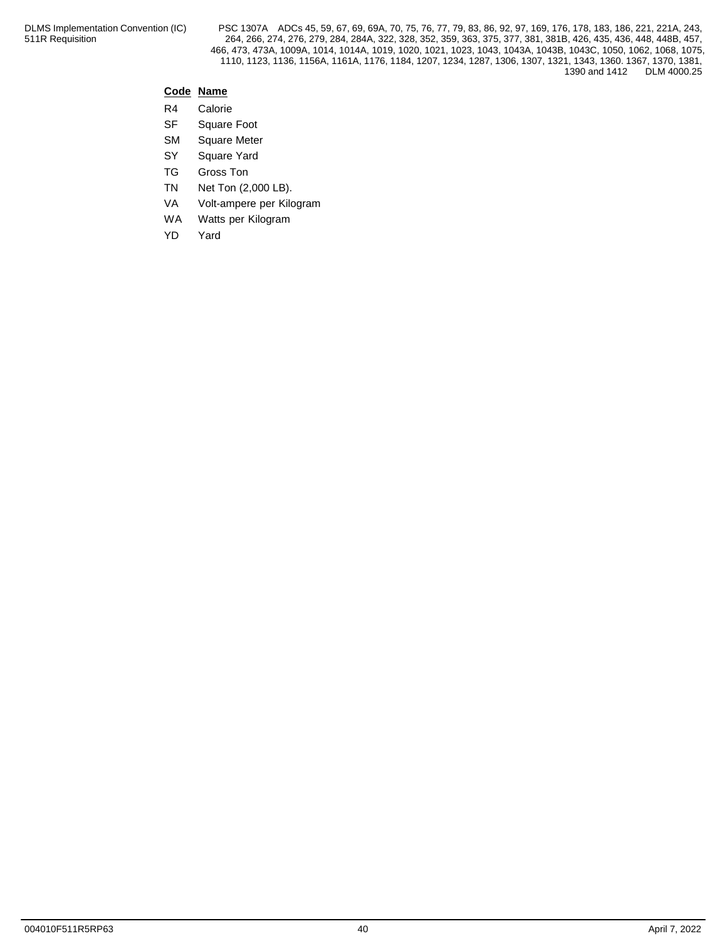## **Code Name**

- R4 Calorie
- SF Square Foot
- SM Square Meter
- SY Square Yard
- TG Gross Ton
- TN Net Ton (2,000 LB).
- VA Volt-ampere per Kilogram
- WA Watts per Kilogram
- YD Yard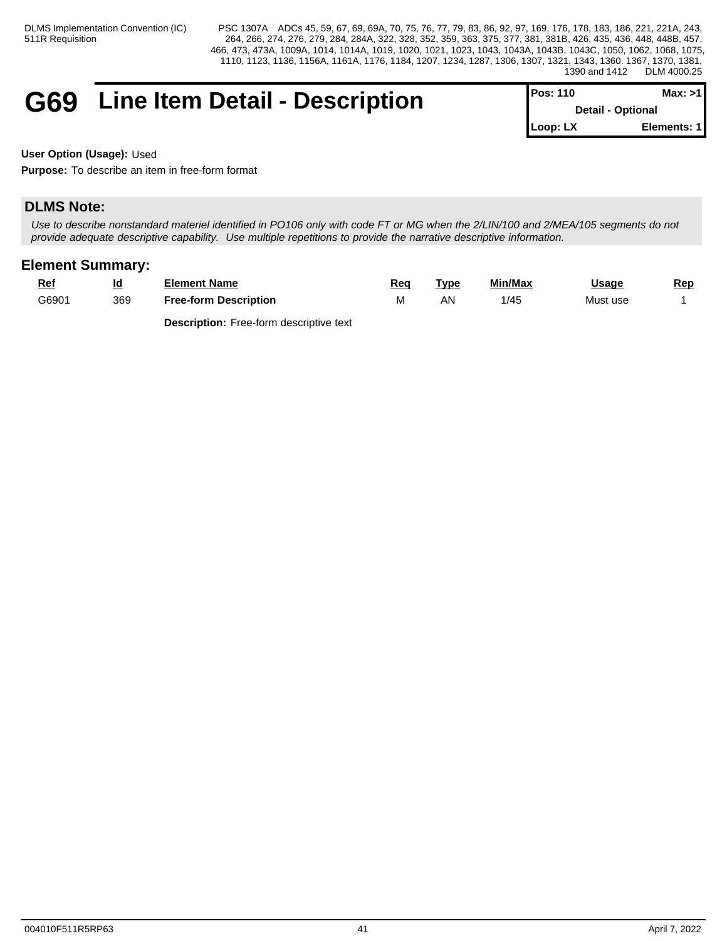## **G69** Line Item Detail - Description

| IPos: 110 | Max: >1                  |
|-----------|--------------------------|
|           | <b>Detail - Optional</b> |
| Loop: LX  | Elements: 11             |

**User Option (Usage):** Used

**Purpose:** To describe an item in free-form format

## **DLMS Note:**

*Use to describe nonstandard materiel identified in PO106 only with code FT or MG when the 2/LIN/100 and 2/MEA/105 segments do not provide adequate descriptive capability. Use multiple repetitions to provide the narrative descriptive information.*

## **Element Summary:**

| <u>Ref</u> | <u>ια</u> | Element Name                                  | Req       | Tvpe | Min/Max | <u>Usage</u> | <u>Rep</u> |
|------------|-----------|-----------------------------------------------|-----------|------|---------|--------------|------------|
| G6901      | 369       | <b>Free-form Description</b><br>$\sim$ $\sim$ | <b>IV</b> | AN   | 1/45    | Must use     |            |
|            |           |                                               |           |      |         |              |            |

**Description:** Free-form descriptive text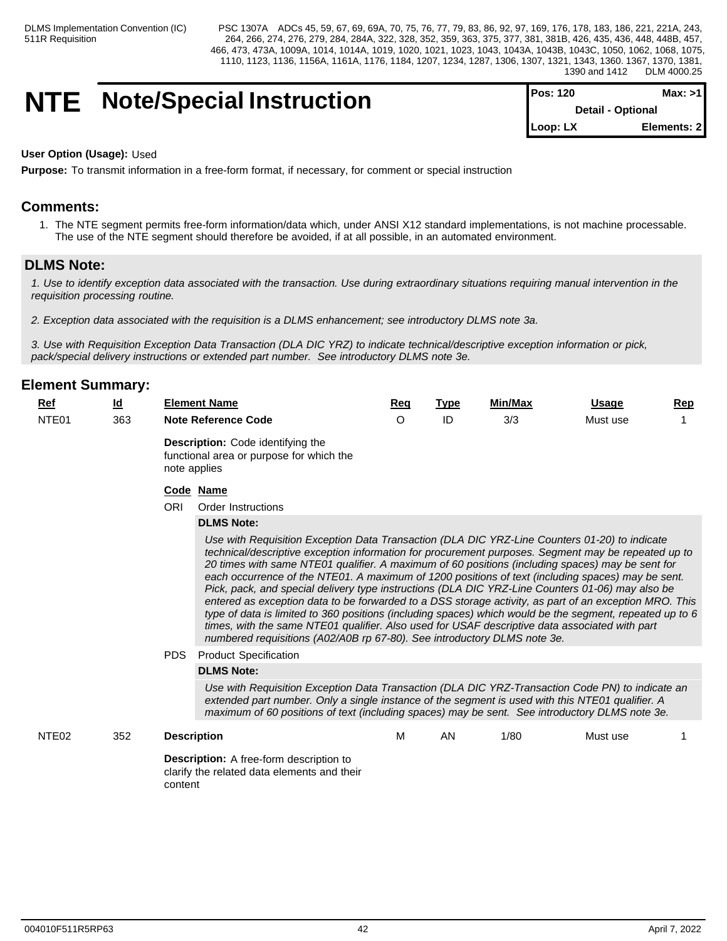## **NTE** Note/Special Instruction

| <b>IPos: 120</b> | Max: >1                  |  |
|------------------|--------------------------|--|
|                  | <b>Detail - Optional</b> |  |
| $Loop: LX$       | Elements: 2              |  |

#### **User Option (Usage):** Used

**Purpose:** To transmit information in a free-form format, if necessary, for comment or special instruction

## **Comments:**

1. The NTE segment permits free-form information/data which, under ANSI X12 standard implementations, is not machine processable. The use of the NTE segment should therefore be avoided, if at all possible, in an automated environment.

## **DLMS Note:**

*1. Use to identify exception data associated with the transaction. Use during extraordinary situations requiring manual intervention in the requisition processing routine.*

*2. Exception data associated with the requisition is a DLMS enhancement; see introductory DLMS note 3a.*

*3. Use with Requisition Exception Data Transaction (DLA DIC YRZ) to indicate technical/descriptive exception information or pick, pack/special delivery instructions or extended part number. See introductory DLMS note 3e.*

| NTE01<br>363<br>ID<br>3/3<br><b>Note Reference Code</b><br>$\circ$<br>Must use<br><b>Description:</b> Code identifying the<br>functional area or purpose for which the<br>note applies<br>Code Name<br><b>ORI</b><br>Order Instructions<br><b>DLMS Note:</b><br>Use with Requisition Exception Data Transaction (DLA DIC YRZ-Line Counters 01-20) to indicate<br>technical/descriptive exception information for procurement purposes. Segment may be repeated up to<br>20 times with same NTE01 qualifier. A maximum of 60 positions (including spaces) may be sent for<br>each occurrence of the NTE01. A maximum of 1200 positions of text (including spaces) may be sent.<br>Pick, pack, and special delivery type instructions (DLA DIC YRZ-Line Counters 01-06) may also be<br>entered as exception data to be forwarded to a DSS storage activity, as part of an exception MRO. This<br>type of data is limited to 360 positions (including spaces) which would be the segment, repeated up to 6<br>times, with the same NTE01 qualifier. Also used for USAF descriptive data associated with part<br>numbered requisitions (A02/A0B rp 67-80). See introductory DLMS note 3e.<br><b>PDS</b><br><b>Product Specification</b><br><b>DLMS Note:</b><br>Use with Requisition Exception Data Transaction (DLA DIC YRZ-Transaction Code PN) to indicate an<br>extended part number. Only a single instance of the segment is used with this NTE01 qualifier. A<br>maximum of 60 positions of text (including spaces) may be sent. See introductory DLMS note 3e.<br>M<br>1/80<br>NTE <sub>02</sub><br>352<br>AN<br><b>Description</b><br>Must use<br><b>Description:</b> A free-form description to<br>clarify the related data elements and their<br>content | <b>Ref</b> | $\underline{\mathsf{Id}}$ | <b>Element Name</b> | Req | <b>Type</b> | Min/Max | Usage | <b>Rep</b> |
|-----------------------------------------------------------------------------------------------------------------------------------------------------------------------------------------------------------------------------------------------------------------------------------------------------------------------------------------------------------------------------------------------------------------------------------------------------------------------------------------------------------------------------------------------------------------------------------------------------------------------------------------------------------------------------------------------------------------------------------------------------------------------------------------------------------------------------------------------------------------------------------------------------------------------------------------------------------------------------------------------------------------------------------------------------------------------------------------------------------------------------------------------------------------------------------------------------------------------------------------------------------------------------------------------------------------------------------------------------------------------------------------------------------------------------------------------------------------------------------------------------------------------------------------------------------------------------------------------------------------------------------------------------------------------------------------------------------------------------------------------------------------|------------|---------------------------|---------------------|-----|-------------|---------|-------|------------|
|                                                                                                                                                                                                                                                                                                                                                                                                                                                                                                                                                                                                                                                                                                                                                                                                                                                                                                                                                                                                                                                                                                                                                                                                                                                                                                                                                                                                                                                                                                                                                                                                                                                                                                                                                                 |            |                           |                     |     |             |         |       |            |
|                                                                                                                                                                                                                                                                                                                                                                                                                                                                                                                                                                                                                                                                                                                                                                                                                                                                                                                                                                                                                                                                                                                                                                                                                                                                                                                                                                                                                                                                                                                                                                                                                                                                                                                                                                 |            |                           |                     |     |             |         |       |            |
|                                                                                                                                                                                                                                                                                                                                                                                                                                                                                                                                                                                                                                                                                                                                                                                                                                                                                                                                                                                                                                                                                                                                                                                                                                                                                                                                                                                                                                                                                                                                                                                                                                                                                                                                                                 |            |                           |                     |     |             |         |       |            |
|                                                                                                                                                                                                                                                                                                                                                                                                                                                                                                                                                                                                                                                                                                                                                                                                                                                                                                                                                                                                                                                                                                                                                                                                                                                                                                                                                                                                                                                                                                                                                                                                                                                                                                                                                                 |            |                           |                     |     |             |         |       |            |
|                                                                                                                                                                                                                                                                                                                                                                                                                                                                                                                                                                                                                                                                                                                                                                                                                                                                                                                                                                                                                                                                                                                                                                                                                                                                                                                                                                                                                                                                                                                                                                                                                                                                                                                                                                 |            |                           |                     |     |             |         |       |            |
|                                                                                                                                                                                                                                                                                                                                                                                                                                                                                                                                                                                                                                                                                                                                                                                                                                                                                                                                                                                                                                                                                                                                                                                                                                                                                                                                                                                                                                                                                                                                                                                                                                                                                                                                                                 |            |                           |                     |     |             |         |       |            |
|                                                                                                                                                                                                                                                                                                                                                                                                                                                                                                                                                                                                                                                                                                                                                                                                                                                                                                                                                                                                                                                                                                                                                                                                                                                                                                                                                                                                                                                                                                                                                                                                                                                                                                                                                                 |            |                           |                     |     |             |         |       |            |
|                                                                                                                                                                                                                                                                                                                                                                                                                                                                                                                                                                                                                                                                                                                                                                                                                                                                                                                                                                                                                                                                                                                                                                                                                                                                                                                                                                                                                                                                                                                                                                                                                                                                                                                                                                 |            |                           |                     |     |             |         |       |            |
|                                                                                                                                                                                                                                                                                                                                                                                                                                                                                                                                                                                                                                                                                                                                                                                                                                                                                                                                                                                                                                                                                                                                                                                                                                                                                                                                                                                                                                                                                                                                                                                                                                                                                                                                                                 |            |                           |                     |     |             |         |       |            |
|                                                                                                                                                                                                                                                                                                                                                                                                                                                                                                                                                                                                                                                                                                                                                                                                                                                                                                                                                                                                                                                                                                                                                                                                                                                                                                                                                                                                                                                                                                                                                                                                                                                                                                                                                                 |            |                           |                     |     |             |         |       |            |
|                                                                                                                                                                                                                                                                                                                                                                                                                                                                                                                                                                                                                                                                                                                                                                                                                                                                                                                                                                                                                                                                                                                                                                                                                                                                                                                                                                                                                                                                                                                                                                                                                                                                                                                                                                 |            |                           |                     |     |             |         |       |            |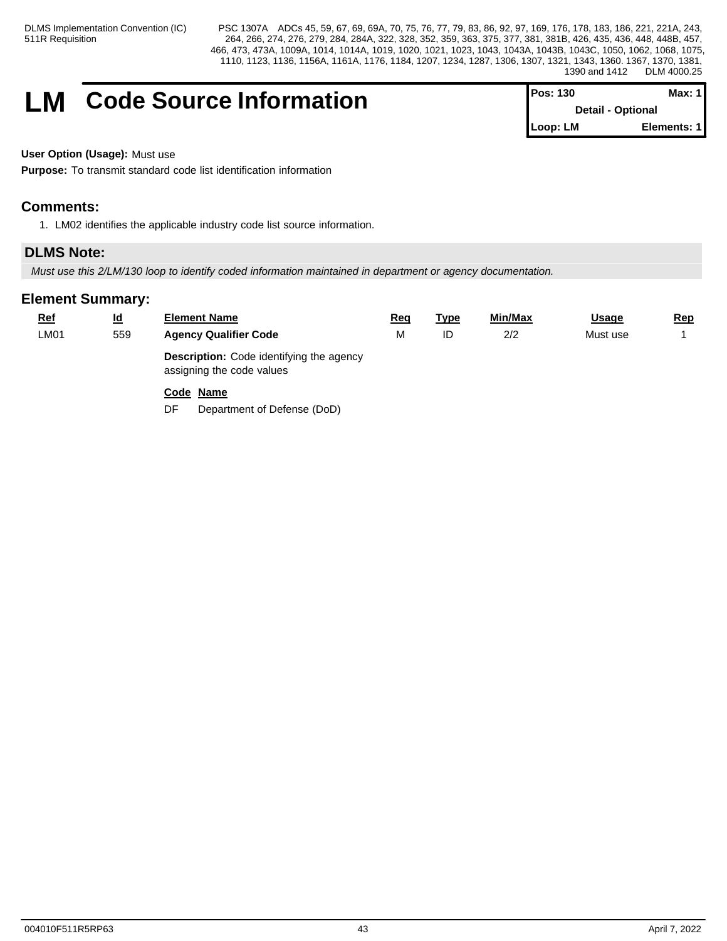## **LM** Code Source Information

| ∦Pos: 130 | Max: 1 I                 |
|-----------|--------------------------|
|           | <b>Detail - Optional</b> |
| Loop: LM  | Elements: 1              |

**User Option (Usage):** Must use

**Purpose:** To transmit standard code list identification information

## **Comments:**

1. LM02 identifies the applicable industry code list source information.

## **DLMS Note:**

*Must use this 2/LM/130 loop to identify coded information maintained in department or agency documentation.*

| <u>Ref</u> | $\underline{\mathsf{Id}}$ | <b>Element Name</b>                                                          | <u>Req</u> | <u>Type</u> | Min/Max | <b>Usage</b> | <u>Rep</u> |
|------------|---------------------------|------------------------------------------------------------------------------|------------|-------------|---------|--------------|------------|
| LM01       | 559                       | <b>Agency Qualifier Code</b>                                                 | M          | ID          | 2/2     | Must use     |            |
|            |                           | <b>Description:</b> Code identifying the agency<br>assigning the code values |            |             |         |              |            |
|            |                           | Code Name<br>DF<br>Department of Defense (DoD)                               |            |             |         |              |            |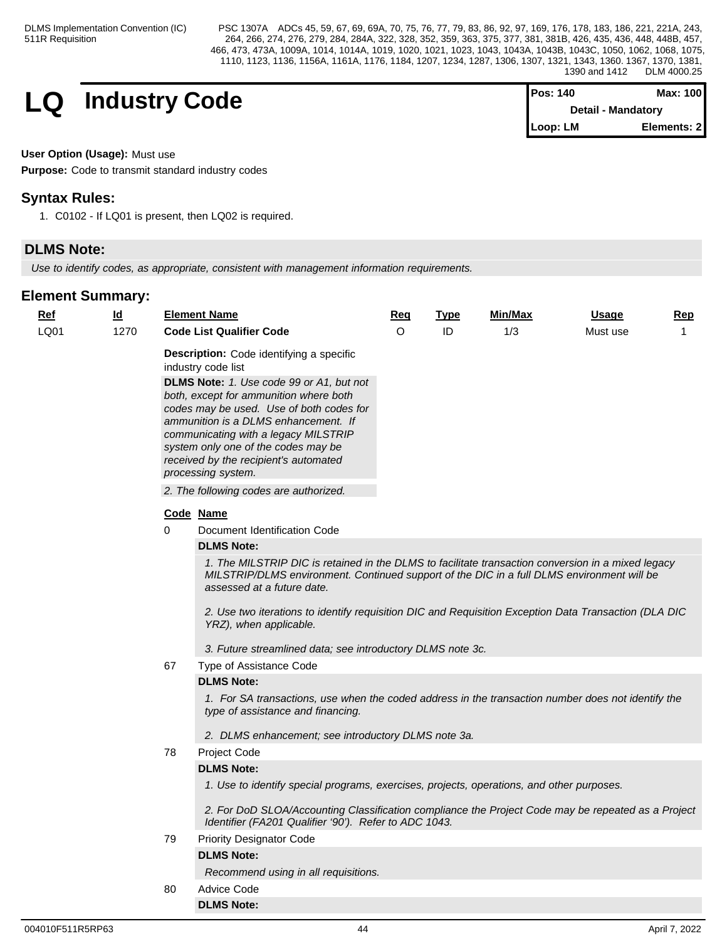$$
\begin{array}{c|c|c|c|c} \textbf{Industry Code} & & \textbf{Pos: 140} & \textbf{Max: 100} \\ \textbf{Detail - Mandatory} & & \textbf{Detail - Mandatory} \end{array}
$$

| <b>I</b> Pos: 140 | Max: 100                  |
|-------------------|---------------------------|
|                   | <b>Detail - Mandatory</b> |
| Loop: LM          | Elements: 2               |

## **User Option (Usage):** Must use

**Purpose:** Code to transmit standard industry codes

## **Syntax Rules:**

1. C0102 - If LQ01 is present, then LQ02 is required.

## **DLMS Note:**

*Use to identify codes, as appropriate, consistent with management information requirements.*

| Ref  | $\underline{\mathsf{Id}}$ |             | <b>Element Name</b>                                                                                                                                                                                                                                                                                                                                                                                                              | Req      | <b>Type</b> | Min/Max | <b>Usage</b> | <u>Rep</u>   |  |  |  |  |
|------|---------------------------|-------------|----------------------------------------------------------------------------------------------------------------------------------------------------------------------------------------------------------------------------------------------------------------------------------------------------------------------------------------------------------------------------------------------------------------------------------|----------|-------------|---------|--------------|--------------|--|--|--|--|
| LQ01 | 1270                      |             | <b>Code List Qualifier Code</b>                                                                                                                                                                                                                                                                                                                                                                                                  | $\Omega$ | ID          | 1/3     | Must use     | $\mathbf{1}$ |  |  |  |  |
|      |                           |             | Description: Code identifying a specific<br>industry code list<br>DLMS Note: 1. Use code 99 or A1, but not<br>both, except for ammunition where both<br>codes may be used. Use of both codes for<br>ammunition is a DLMS enhancement. If<br>communicating with a legacy MILSTRIP<br>system only one of the codes may be<br>received by the recipient's automated<br>processing system.<br>2. The following codes are authorized. |          |             |         |              |              |  |  |  |  |
|      |                           |             | Code Name                                                                                                                                                                                                                                                                                                                                                                                                                        |          |             |         |              |              |  |  |  |  |
|      |                           | $\mathbf 0$ | Document Identification Code                                                                                                                                                                                                                                                                                                                                                                                                     |          |             |         |              |              |  |  |  |  |
|      |                           |             | <b>DLMS Note:</b>                                                                                                                                                                                                                                                                                                                                                                                                                |          |             |         |              |              |  |  |  |  |
|      |                           |             | 1. The MILSTRIP DIC is retained in the DLMS to facilitate transaction conversion in a mixed legacy<br>MILSTRIP/DLMS environment. Continued support of the DIC in a full DLMS environment will be<br>assessed at a future date.<br>2. Use two iterations to identify requisition DIC and Requisition Exception Data Transaction (DLA DIC<br>YRZ), when applicable.                                                                |          |             |         |              |              |  |  |  |  |
|      |                           |             | 3. Future streamlined data; see introductory DLMS note 3c.                                                                                                                                                                                                                                                                                                                                                                       |          |             |         |              |              |  |  |  |  |
|      |                           | 67          | Type of Assistance Code                                                                                                                                                                                                                                                                                                                                                                                                          |          |             |         |              |              |  |  |  |  |
|      |                           |             | <b>DLMS Note:</b>                                                                                                                                                                                                                                                                                                                                                                                                                |          |             |         |              |              |  |  |  |  |
|      |                           |             | 1. For SA transactions, use when the coded address in the transaction number does not identify the<br>type of assistance and financing.                                                                                                                                                                                                                                                                                          |          |             |         |              |              |  |  |  |  |
|      |                           |             | 2. DLMS enhancement; see introductory DLMS note 3a.                                                                                                                                                                                                                                                                                                                                                                              |          |             |         |              |              |  |  |  |  |
|      |                           | 78          | Project Code                                                                                                                                                                                                                                                                                                                                                                                                                     |          |             |         |              |              |  |  |  |  |
|      |                           |             | <b>DLMS Note:</b>                                                                                                                                                                                                                                                                                                                                                                                                                |          |             |         |              |              |  |  |  |  |
|      |                           |             | 1. Use to identify special programs, exercises, projects, operations, and other purposes.                                                                                                                                                                                                                                                                                                                                        |          |             |         |              |              |  |  |  |  |
|      |                           |             | 2. For DoD SLOA/Accounting Classification compliance the Project Code may be repeated as a Project<br>Identifier (FA201 Qualifier '90'). Refer to ADC 1043.                                                                                                                                                                                                                                                                      |          |             |         |              |              |  |  |  |  |
|      |                           | 79          | <b>Priority Designator Code</b>                                                                                                                                                                                                                                                                                                                                                                                                  |          |             |         |              |              |  |  |  |  |
|      |                           |             | <b>DLMS Note:</b>                                                                                                                                                                                                                                                                                                                                                                                                                |          |             |         |              |              |  |  |  |  |
|      |                           |             | Recommend using in all requisitions.                                                                                                                                                                                                                                                                                                                                                                                             |          |             |         |              |              |  |  |  |  |
|      |                           | 80          | <b>Advice Code</b>                                                                                                                                                                                                                                                                                                                                                                                                               |          |             |         |              |              |  |  |  |  |
|      |                           |             | <b>DLMS Note:</b>                                                                                                                                                                                                                                                                                                                                                                                                                |          |             |         |              |              |  |  |  |  |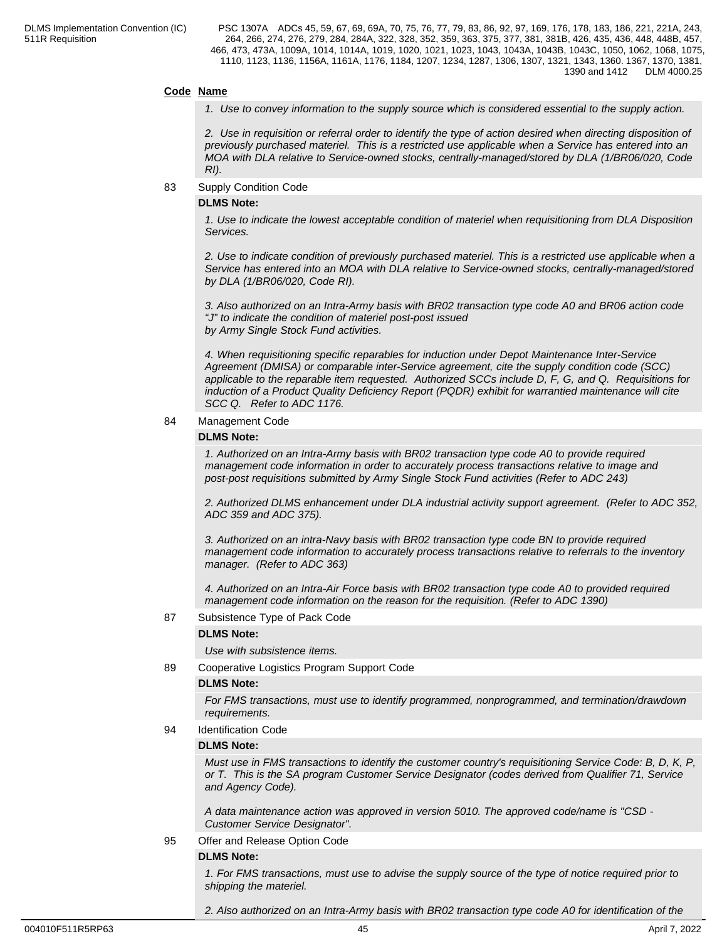#### **Code Name**

*1. Use to convey information to the supply source which is considered essential to the supply action.*

*2. Use in requisition or referral order to identify the type of action desired when directing disposition of previously purchased materiel. This is a restricted use applicable when a Service has entered into an MOA with DLA relative to Service-owned stocks, centrally-managed/stored by DLA (1/BR06/020, Code RI).* 

83 Supply Condition Code

#### **DLMS Note:**

*1. Use to indicate the lowest acceptable condition of materiel when requisitioning from DLA Disposition Services.*

*2. Use to indicate condition of previously purchased materiel. This is a restricted use applicable when a Service has entered into an MOA with DLA relative to Service-owned stocks, centrally-managed/stored by DLA (1/BR06/020, Code RI).*

*3. Also authorized on an Intra-Army basis with BR02 transaction type code A0 and BR06 action code "J" to indicate the condition of materiel post-post issued by Army Single Stock Fund activities.*

*4. When requisitioning specific reparables for induction under Depot Maintenance Inter-Service Agreement (DMISA) or comparable inter-Service agreement, cite the supply condition code (SCC) applicable to the reparable item requested. Authorized SCCs include D, F, G, and Q. Requisitions for induction of a Product Quality Deficiency Report (PQDR) exhibit for warrantied maintenance will cite SCC Q. Refer to ADC 1176.*

84 Management Code

#### **DLMS Note:**

*1. Authorized on an Intra-Army basis with BR02 transaction type code A0 to provide required management code information in order to accurately process transactions relative to image and post-post requisitions submitted by Army Single Stock Fund activities (Refer to ADC 243)*

*2. Authorized DLMS enhancement under DLA industrial activity support agreement. (Refer to ADC 352, ADC 359 and ADC 375).*

*3. Authorized on an intra-Navy basis with BR02 transaction type code BN to provide required management code information to accurately process transactions relative to referrals to the inventory manager. (Refer to ADC 363)*

*4. Authorized on an Intra-Air Force basis with BR02 transaction type code A0 to provided required management code information on the reason for the requisition. (Refer to ADC 1390)*

#### 87 Subsistence Type of Pack Code

#### **DLMS Note:**

*Use with subsistence items.*

89 Cooperative Logistics Program Support Code

#### **DLMS Note:**

*For FMS transactions, must use to identify programmed, nonprogrammed, and termination/drawdown requirements.*

94 Identification Code

#### **DLMS Note:**

*Must use in FMS transactions to identify the customer country's requisitioning Service Code: B, D, K, P, or T. This is the SA program Customer Service Designator (codes derived from Qualifier 71, Service and Agency Code).*

*A data maintenance action was approved in version 5010. The approved code/name is "CSD - Customer Service Designator".*

#### 95 Offer and Release Option Code

#### **DLMS Note:**

*1. For FMS transactions, must use to advise the supply source of the type of notice required prior to shipping the materiel.*

*2. Also authorized on an Intra-Army basis with BR02 transaction type code A0 for identification of the*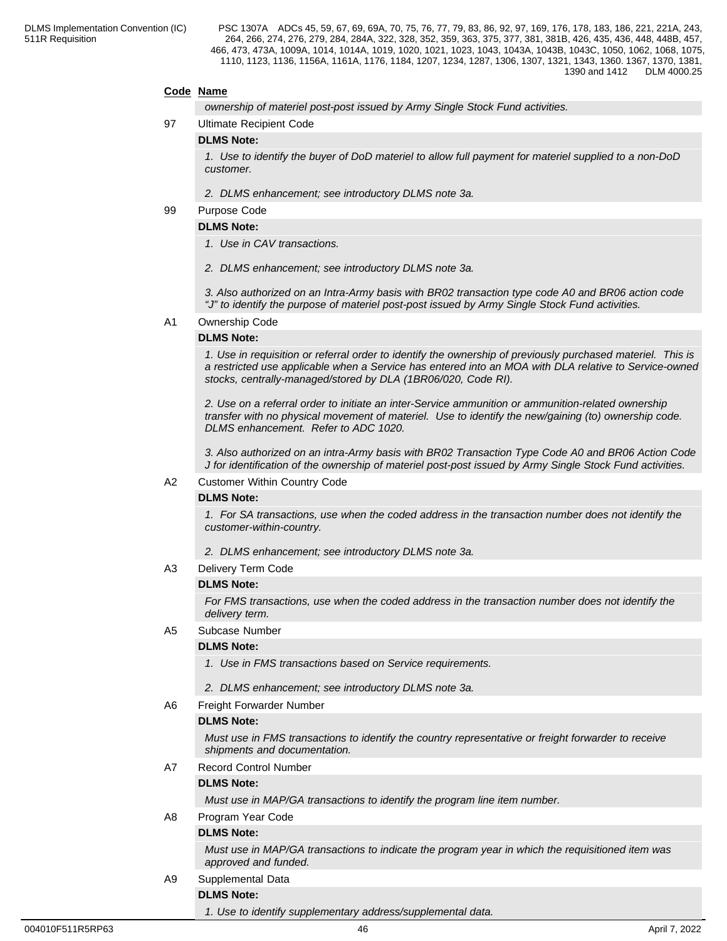## **Code Name**

*ownership of materiel post-post issued by Army Single Stock Fund activities.*

#### 97 Ultimate Recipient Code

#### **DLMS Note:**

*1. Use to identify the buyer of DoD materiel to allow full payment for materiel supplied to a non-DoD customer.*

*2. DLMS enhancement; see introductory DLMS note 3a.*

#### 99 Purpose Code

## **DLMS Note:**

- *1. Use in CAV transactions.*
- *2. DLMS enhancement; see introductory DLMS note 3a.*

*3. Also authorized on an Intra-Army basis with BR02 transaction type code A0 and BR06 action code "J" to identify the purpose of materiel post-post issued by Army Single Stock Fund activities.*

#### A1 Ownership Code

#### **DLMS Note:**

*1. Use in requisition or referral order to identify the ownership of previously purchased materiel. This is a restricted use applicable when a Service has entered into an MOA with DLA relative to Service-owned stocks, centrally-managed/stored by DLA (1BR06/020, Code RI).*

*2. Use on a referral order to initiate an inter-Service ammunition or ammunition-related ownership transfer with no physical movement of materiel. Use to identify the new/gaining (to) ownership code. DLMS enhancement. Refer to ADC 1020.*

*3. Also authorized on an intra-Army basis with BR02 Transaction Type Code A0 and BR06 Action Code J for identification of the ownership of materiel post-post issued by Army Single Stock Fund activities.*

#### A2 Customer Within Country Code

#### **DLMS Note:**

*1. For SA transactions, use when the coded address in the transaction number does not identify the customer-within-country.*

*2. DLMS enhancement; see introductory DLMS note 3a.*

A3 Delivery Term Code

#### **DLMS Note:**

*For FMS transactions, use when the coded address in the transaction number does not identify the delivery term.*

A5 Subcase Number

#### **DLMS Note:**

- *1. Use in FMS transactions based on Service requirements.*
- *2. DLMS enhancement; see introductory DLMS note 3a.*
- A6 Freight Forwarder Number

#### **DLMS Note:**

*Must use in FMS transactions to identify the country representative or freight forwarder to receive shipments and documentation.*

#### A7 Record Control Number

#### **DLMS Note:**

*Must use in MAP/GA transactions to identify the program line item number.*

#### A8 Program Year Code

## **DLMS Note:**

*Must use in MAP/GA transactions to indicate the program year in which the requisitioned item was approved and funded.*

A9 Supplemental Data

## **DLMS Note:**

*1. Use to identify supplementary address/supplemental data.*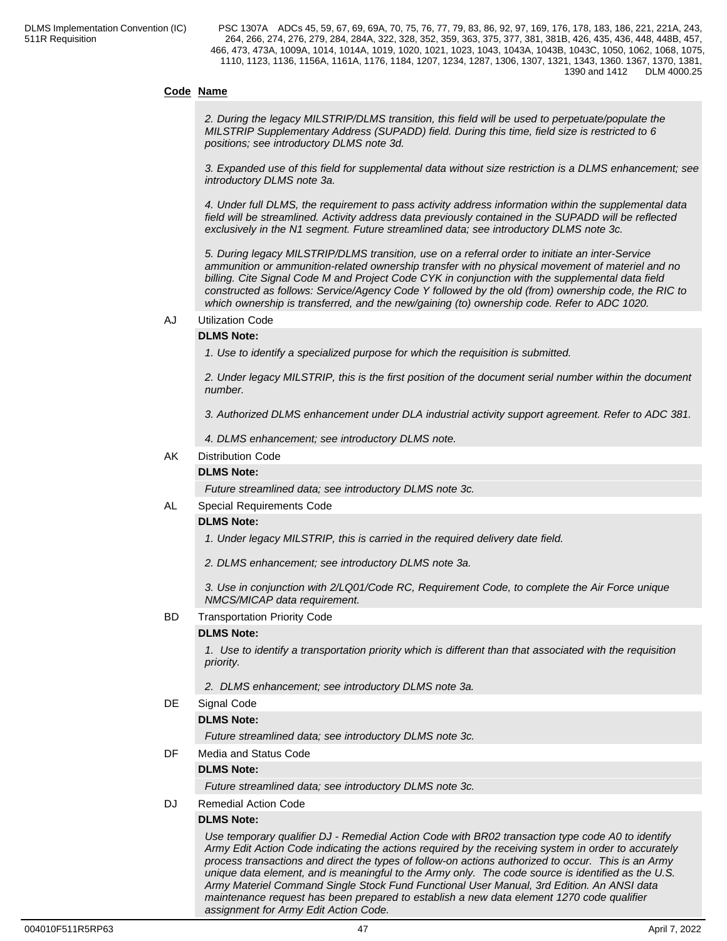## **Code Name**

*2. During the legacy MILSTRIP/DLMS transition, this field will be used to perpetuate/populate the MILSTRIP Supplementary Address (SUPADD) field. During this time, field size is restricted to 6 positions; see introductory DLMS note 3d.*

*3. Expanded use of this field for supplemental data without size restriction is a DLMS enhancement; see introductory DLMS note 3a.*

*4. Under full DLMS, the requirement to pass activity address information within the supplemental data field will be streamlined. Activity address data previously contained in the SUPADD will be reflected exclusively in the N1 segment. Future streamlined data; see introductory DLMS note 3c.*

*5. During legacy MILSTRIP/DLMS transition, use on a referral order to initiate an inter-Service ammunition or ammunition-related ownership transfer with no physical movement of materiel and no billing. Cite Signal Code M and Project Code CYK in conjunction with the supplemental data field constructed as follows: Service/Agency Code Y followed by the old (from) ownership code, the RIC to which ownership is transferred, and the new/gaining (to) ownership code. Refer to ADC 1020.*

#### AJ Utilization Code

### **DLMS Note:**

*1. Use to identify a specialized purpose for which the requisition is submitted.*

*2. Under legacy MILSTRIP, this is the first position of the document serial number within the document number.*

*3. Authorized DLMS enhancement under DLA industrial activity support agreement. Refer to ADC 381.*

*4. DLMS enhancement; see introductory DLMS note.*

#### AK Distribution Code

#### **DLMS Note:**

*Future streamlined data; see introductory DLMS note 3c.*

#### AL Special Requirements Code

#### **DLMS Note:**

*1. Under legacy MILSTRIP, this is carried in the required delivery date field.*

*2. DLMS enhancement; see introductory DLMS note 3a.*

*3. Use in conjunction with 2/LQ01/Code RC, Requirement Code, to complete the Air Force unique NMCS/MICAP data requirement.*

#### BD Transportation Priority Code

#### **DLMS Note:**

*1. Use to identify a transportation priority which is different than that associated with the requisition priority.*

*2. DLMS enhancement; see introductory DLMS note 3a.*

#### DE Signal Code

#### **DLMS Note:**

*Future streamlined data; see introductory DLMS note 3c.*

DF Media and Status Code

#### **DLMS Note:**

*Future streamlined data; see introductory DLMS note 3c.*

DJ Remedial Action Code

#### **DLMS Note:**

*Use temporary qualifier DJ - Remedial Action Code with BR02 transaction type code A0 to identify Army Edit Action Code indicating the actions required by the receiving system in order to accurately process transactions and direct the types of follow-on actions authorized to occur. This is an Army unique data element, and is meaningful to the Army only. The code source is identified as the U.S. Army Materiel Command Single Stock Fund Functional User Manual, 3rd Edition. An ANSI data maintenance request has been prepared to establish a new data element 1270 code qualifier assignment for Army Edit Action Code.*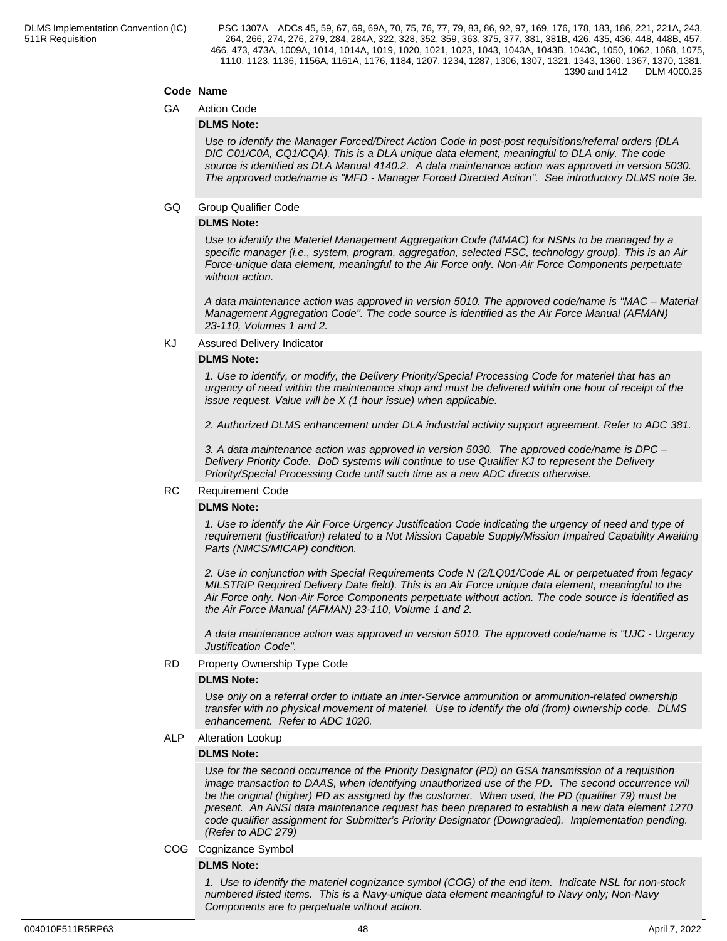## **Code Name**

#### GA Action Code

#### **DLMS Note:**

*Use to identify the Manager Forced/Direct Action Code in post-post requisitions/referral orders (DLA DIC C01/C0A, CQ1/CQA). This is a DLA unique data element, meaningful to DLA only. The code source is identified as DLA Manual 4140.2. A data maintenance action was approved in version 5030. The approved code/name is "MFD - Manager Forced Directed Action". See introductory DLMS note 3e.*

#### GQ Group Qualifier Code

#### **DLMS Note:**

*Use to identify the Materiel Management Aggregation Code (MMAC) for NSNs to be managed by a specific manager (i.e., system, program, aggregation, selected FSC, technology group). This is an Air Force-unique data element, meaningful to the Air Force only. Non-Air Force Components perpetuate without action.*

*A data maintenance action was approved in version 5010. The approved code/name is "MAC – Material Management Aggregation Code". The code source is identified as the Air Force Manual (AFMAN) 23-110, Volumes 1 and 2.*

KJ Assured Delivery Indicator

#### **DLMS Note:**

*1. Use to identify, or modify, the Delivery Priority/Special Processing Code for materiel that has an urgency of need within the maintenance shop and must be delivered within one hour of receipt of the issue request. Value will be X (1 hour issue) when applicable.*

*2. Authorized DLMS enhancement under DLA industrial activity support agreement. Refer to ADC 381.*

*3. A data maintenance action was approved in version 5030. The approved code/name is DPC – Delivery Priority Code. DoD systems will continue to use Qualifier KJ to represent the Delivery Priority/Special Processing Code until such time as a new ADC directs otherwise.*

#### RC Requirement Code

#### **DLMS Note:**

*1. Use to identify the Air Force Urgency Justification Code indicating the urgency of need and type of requirement (justification) related to a Not Mission Capable Supply/Mission Impaired Capability Awaiting Parts (NMCS/MICAP) condition.*

*2. Use in conjunction with Special Requirements Code N (2/LQ01/Code AL or perpetuated from legacy MILSTRIP Required Delivery Date field). This is an Air Force unique data element, meaningful to the Air Force only. Non-Air Force Components perpetuate without action. The code source is identified as the Air Force Manual (AFMAN) 23-110, Volume 1 and 2.*

*A data maintenance action was approved in version 5010. The approved code/name is "UJC - Urgency Justification Code".*

#### RD Property Ownership Type Code

#### **DLMS Note:**

*Use only on a referral order to initiate an inter-Service ammunition or ammunition-related ownership transfer with no physical movement of materiel. Use to identify the old (from) ownership code. DLMS enhancement. Refer to ADC 1020.*

#### ALP Alteration Lookup

#### **DLMS Note:**

*Use for the second occurrence of the Priority Designator (PD) on GSA transmission of a requisition image transaction to DAAS, when identifying unauthorized use of the PD. The second occurrence will be the original (higher) PD as assigned by the customer. When used, the PD (qualifier 79) must be present. An ANSI data maintenance request has been prepared to establish a new data element 1270 code qualifier assignment for Submitter's Priority Designator (Downgraded). Implementation pending. (Refer to ADC 279)*

#### COG Cognizance Symbol

#### **DLMS Note:**

*1. Use to identify the materiel cognizance symbol (COG) of the end item. Indicate NSL for non-stock numbered listed items. This is a Navy-unique data element meaningful to Navy only; Non-Navy Components are to perpetuate without action.*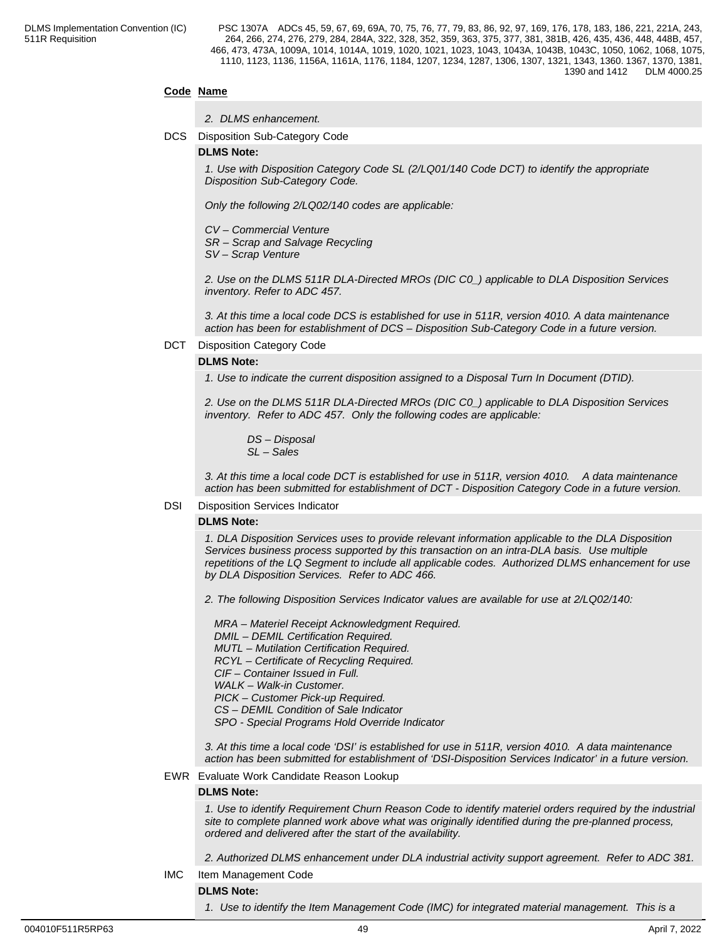### **Code Name**

- *2. DLMS enhancement.*
- DCS Disposition Sub-Category Code

#### **DLMS Note:**

*1. Use with Disposition Category Code SL (2/LQ01/140 Code DCT) to identify the appropriate Disposition Sub-Category Code.*

*Only the following 2/LQ02/140 codes are applicable:*

*CV – Commercial Venture*

*SR – Scrap and Salvage Recycling*

*SV – Scrap Venture*

*2. Use on the DLMS 511R DLA-Directed MROs (DIC C0\_) applicable to DLA Disposition Services inventory. Refer to ADC 457.*

*3. At this time a local code DCS is established for use in 511R, version 4010. A data maintenance action has been for establishment of DCS – Disposition Sub-Category Code in a future version.*

#### DCT Disposition Category Code

#### **DLMS Note:**

*1. Use to indicate the current disposition assigned to a Disposal Turn In Document (DTID).*

*2. Use on the DLMS 511R DLA-Directed MROs (DIC C0\_) applicable to DLA Disposition Services inventory. Refer to ADC 457. Only the following codes are applicable:*

 *DS – Disposal SL – Sales*

*3. At this time a local code DCT is established for use in 511R, version 4010. A data maintenance action has been submitted for establishment of DCT - Disposition Category Code in a future version.*

#### DSI Disposition Services Indicator

#### **DLMS Note:**

*1. DLA Disposition Services uses to provide relevant information applicable to the DLA Disposition Services business process supported by this transaction on an intra-DLA basis. Use multiple repetitions of the LQ Segment to include all applicable codes. Authorized DLMS enhancement for use by DLA Disposition Services. Refer to ADC 466.*

*2. The following Disposition Services Indicator values are available for use at 2/LQ02/140:*

 *MRA – Materiel Receipt Acknowledgment Required. DMIL – DEMIL Certification Required. MUTL – Mutilation Certification Required. RCYL – Certificate of Recycling Required. CIF – Container Issued in Full. WALK – Walk-in Customer. PICK – Customer Pick-up Required. CS – DEMIL Condition of Sale Indicator SPO - Special Programs Hold Override Indicator*

*3. At this time a local code 'DSI' is established for use in 511R, version 4010. A data maintenance action has been submitted for establishment of 'DSI-Disposition Services Indicator' in a future version.*

#### EWR Evaluate Work Candidate Reason Lookup

#### **DLMS Note:**

*1. Use to identify Requirement Churn Reason Code to identify materiel orders required by the industrial site to complete planned work above what was originally identified during the pre-planned process, ordered and delivered after the start of the availability.* 

*2. Authorized DLMS enhancement under DLA industrial activity support agreement. Refer to ADC 381.*

IMC Item Management Code

**DLMS Note:**

*1. Use to identify the Item Management Code (IMC) for integrated material management. This is a*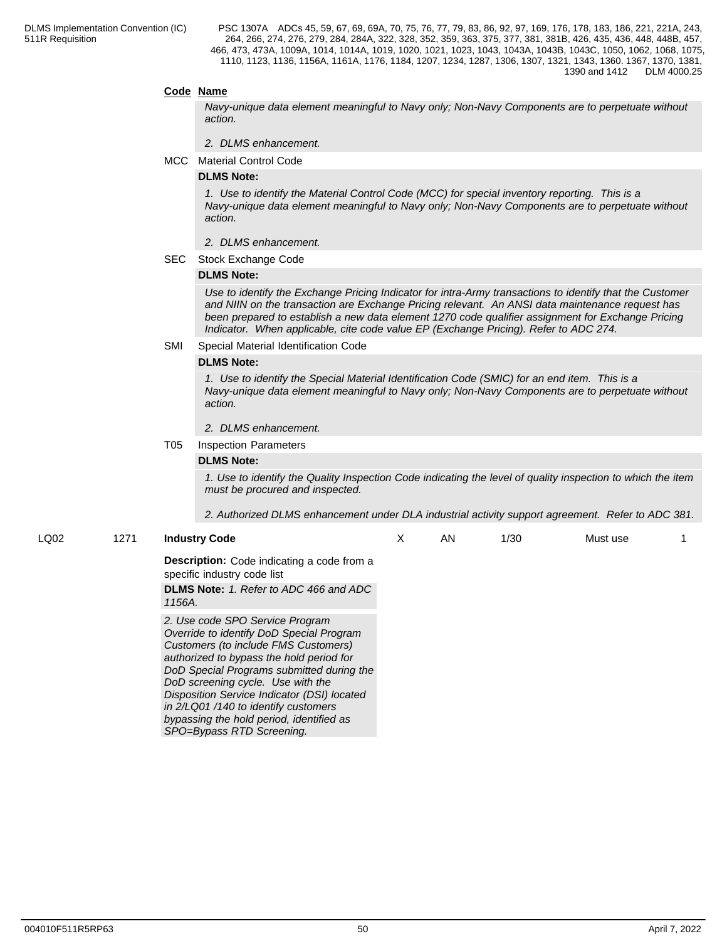#### **Code Name**

*Navy-unique data element meaningful to Navy only; Non-Navy Components are to perpetuate without action.*

- *2. DLMS enhancement.*
- MCC Material Control Code

#### **DLMS Note:**

*1. Use to identify the Material Control Code (MCC) for special inventory reporting. This is a Navy-unique data element meaningful to Navy only; Non-Navy Components are to perpetuate without action.*

- *2. DLMS enhancement.*
- SEC Stock Exchange Code

#### **DLMS Note:**

*Use to identify the Exchange Pricing Indicator for intra-Army transactions to identify that the Customer and NIIN on the transaction are Exchange Pricing relevant. An ANSI data maintenance request has been prepared to establish a new data element 1270 code qualifier assignment for Exchange Pricing Indicator. When applicable, cite code value EP (Exchange Pricing). Refer to ADC 274.*

#### SMI Special Material Identification Code

#### **DLMS Note:**

*1. Use to identify the Special Material Identification Code (SMIC) for an end item. This is a Navy-unique data element meaningful to Navy only; Non-Navy Components are to perpetuate without action.*

#### *2. DLMS enhancement.*

#### T05 Inspection Parameters

#### **DLMS Note:**

*1. Use to identify the Quality Inspection Code indicating the level of quality inspection to which the item must be procured and inspected.*

*2. Authorized DLMS enhancement under DLA industrial activity support agreement. Refer to ADC 381.*

#### LQ02 1271 **Industry Code**

X AN 1/30 Must use 1

**Description:** Code indicating a code from a specific industry code list

**DLMS Note:** *1. Refer to ADC 466 and ADC 1156A.*

*2. Use code SPO Service Program Override to identify DoD Special Program Customers (to include FMS Customers) authorized to bypass the hold period for DoD Special Programs submitted during the DoD screening cycle. Use with the Disposition Service Indicator (DSI) located in 2/LQ01 /140 to identify customers bypassing the hold period, identified as SPO=Bypass RTD Screening.*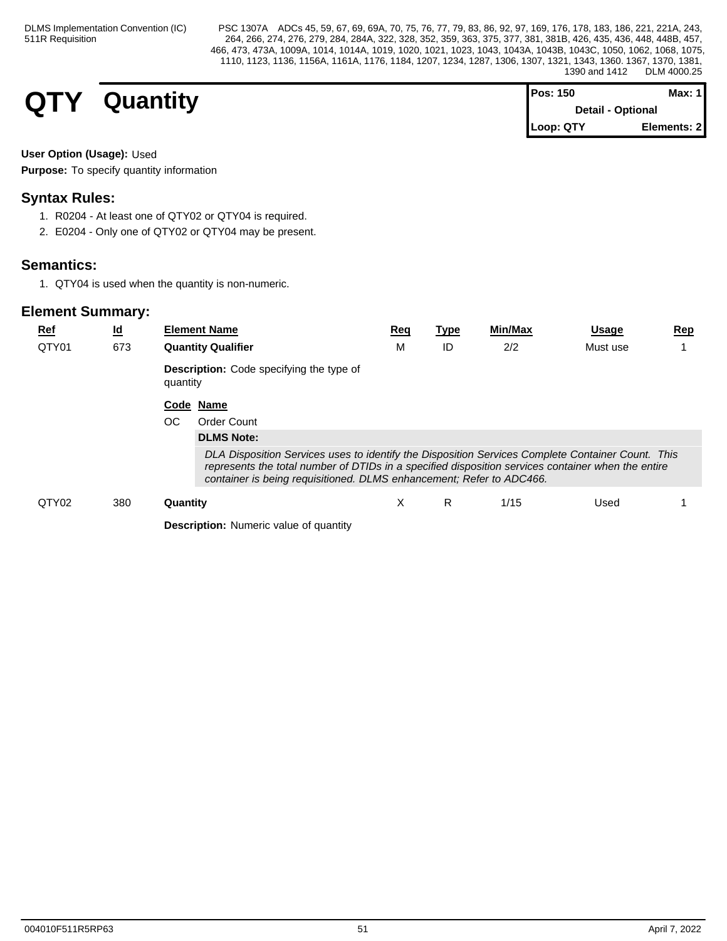| <b>QTY</b><br>$\overline{\phantom{a}}$ | Quantity | <b>Pos: 150</b>   | Max: $1$    |  |
|----------------------------------------|----------|-------------------|-------------|--|
|                                        |          | Detail - Optional |             |  |
|                                        |          | Loop: QTY         | Elements: 2 |  |

## **User Option (Usage):** Used

**Purpose:** To specify quantity information

## **Syntax Rules:**

- 1. R0204 At least one of QTY02 or QTY04 is required.
- 2. E0204 Only one of QTY02 or QTY04 may be present.

## **Semantics:**

1. QTY04 is used when the quantity is non-numeric.

| $Ref$<br>QTY01 | $\underline{\mathsf{Id}}$ | <b>Element Name</b>                                                                                                                                                                                                                                                                                  | Req | Type | Min/Max | <u>Usage</u> | <u>Rep</u> |
|----------------|---------------------------|------------------------------------------------------------------------------------------------------------------------------------------------------------------------------------------------------------------------------------------------------------------------------------------------------|-----|------|---------|--------------|------------|
|                | 673                       | <b>Quantity Qualifier</b><br><b>Description:</b> Code specifying the type of<br>quantity                                                                                                                                                                                                             | M   | ID   | 2/2     | Must use     |            |
|                |                           | Code Name<br>OC.<br><b>Order Count</b>                                                                                                                                                                                                                                                               |     |      |         |              |            |
|                |                           | <b>DLMS Note:</b><br>DLA Disposition Services uses to identify the Disposition Services Complete Container Count. This<br>represents the total number of DTIDs in a specified disposition services container when the entire<br>container is being requisitioned. DLMS enhancement; Refer to ADC466. |     |      |         |              |            |
| QTY02          | 380                       | Quantity                                                                                                                                                                                                                                                                                             | X   | R.   | 1/15    | Used         |            |
|                |                           | <b>Description:</b> Numeric value of quantity                                                                                                                                                                                                                                                        |     |      |         |              |            |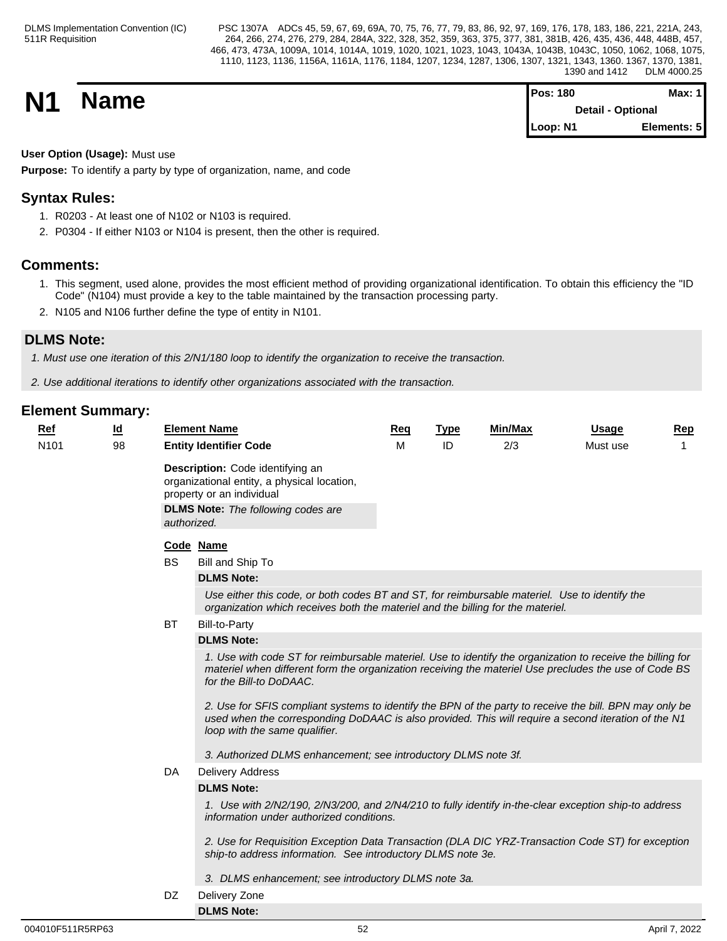**N1 Name Magnetic Max:** 1 **Magnetic Max:** 1 **Max:** 1 **Detail - Optional Loop: N1 Elements: 5**

## **User Option (Usage):** Must use

**Purpose:** To identify a party by type of organization, name, and code

## **Syntax Rules:**

- 1. R0203 At least one of N102 or N103 is required.
- 2. P0304 If either N103 or N104 is present, then the other is required.

## **Comments:**

- 1. This segment, used alone, provides the most efficient method of providing organizational identification. To obtain this efficiency the "ID Code" (N104) must provide a key to the table maintained by the transaction processing party.
- 2. N105 and N106 further define the type of entity in N101.

## **DLMS Note:**

*1. Must use one iteration of this 2/N1/180 loop to identify the organization to receive the transaction.*

*2. Use additional iterations to identify other organizations associated with the transaction.*

| $Ref$            | <u>ld</u> |           | <b>Element Name</b>                                                                                                                                                                                                                                                                                                                                                                                                                                              | <b>Req</b> | <b>Type</b> | Min/Max | <b>Usage</b> | Rep |
|------------------|-----------|-----------|------------------------------------------------------------------------------------------------------------------------------------------------------------------------------------------------------------------------------------------------------------------------------------------------------------------------------------------------------------------------------------------------------------------------------------------------------------------|------------|-------------|---------|--------------|-----|
| N <sub>101</sub> | 98        |           | <b>Entity Identifier Code</b>                                                                                                                                                                                                                                                                                                                                                                                                                                    | м          | ID          | 2/3     | Must use     |     |
|                  |           |           | Description: Code identifying an<br>organizational entity, a physical location,<br>property or an individual<br><b>DLMS Note:</b> The following codes are<br>authorized.                                                                                                                                                                                                                                                                                         |            |             |         |              |     |
|                  |           |           | Code Name                                                                                                                                                                                                                                                                                                                                                                                                                                                        |            |             |         |              |     |
|                  |           | <b>BS</b> | Bill and Ship To                                                                                                                                                                                                                                                                                                                                                                                                                                                 |            |             |         |              |     |
|                  |           |           | <b>DLMS Note:</b>                                                                                                                                                                                                                                                                                                                                                                                                                                                |            |             |         |              |     |
|                  |           |           | Use either this code, or both codes BT and ST, for reimbursable materiel. Use to identify the<br>organization which receives both the materiel and the billing for the materiel.                                                                                                                                                                                                                                                                                 |            |             |         |              |     |
|                  |           | BT        | <b>Bill-to-Party</b>                                                                                                                                                                                                                                                                                                                                                                                                                                             |            |             |         |              |     |
|                  |           |           | <b>DLMS Note:</b>                                                                                                                                                                                                                                                                                                                                                                                                                                                |            |             |         |              |     |
|                  |           |           | 1. Use with code ST for reimbursable materiel. Use to identify the organization to receive the billing for<br>materiel when different form the organization receiving the materiel Use precludes the use of Code BS<br>for the Bill-to DoDAAC.<br>2. Use for SFIS compliant systems to identify the BPN of the party to receive the bill. BPN may only be<br>used when the corresponding DoDAAC is also provided. This will require a second iteration of the N1 |            |             |         |              |     |
|                  |           |           | loop with the same qualifier.                                                                                                                                                                                                                                                                                                                                                                                                                                    |            |             |         |              |     |
|                  |           |           | 3. Authorized DLMS enhancement; see introductory DLMS note 3f.                                                                                                                                                                                                                                                                                                                                                                                                   |            |             |         |              |     |
|                  |           | DA        | <b>Delivery Address</b>                                                                                                                                                                                                                                                                                                                                                                                                                                          |            |             |         |              |     |
|                  |           |           | <b>DLMS Note:</b>                                                                                                                                                                                                                                                                                                                                                                                                                                                |            |             |         |              |     |
|                  |           |           | 1. Use with 2/N2/190, 2/N3/200, and 2/N4/210 to fully identify in-the-clear exception ship-to address<br>information under authorized conditions.                                                                                                                                                                                                                                                                                                                |            |             |         |              |     |
|                  |           |           | 2. Use for Requisition Exception Data Transaction (DLA DIC YRZ-Transaction Code ST) for exception<br>ship-to address information. See introductory DLMS note 3e.                                                                                                                                                                                                                                                                                                 |            |             |         |              |     |
|                  |           |           | 3. DLMS enhancement; see introductory DLMS note 3a.                                                                                                                                                                                                                                                                                                                                                                                                              |            |             |         |              |     |

- DZ Delivery Zone
- **DLMS Note:**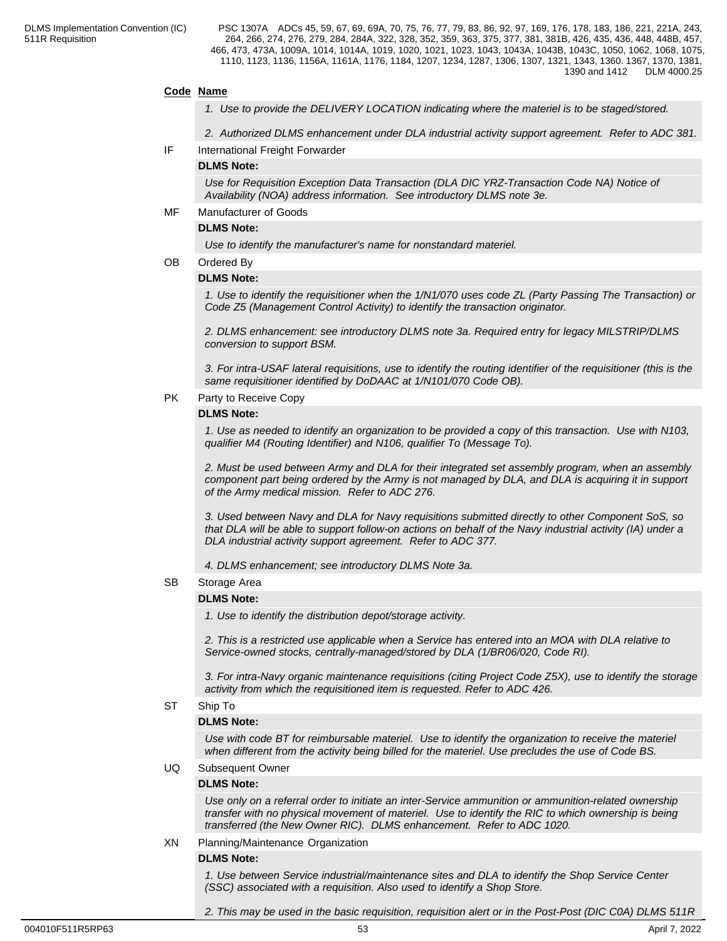#### **Code Name**

- *1. Use to provide the DELIVERY LOCATION indicating where the materiel is to be staged/stored.*
- *2. Authorized DLMS enhancement under DLA industrial activity support agreement. Refer to ADC 381.*
- IF International Freight Forwarder

#### **DLMS Note:**

*Use for Requisition Exception Data Transaction (DLA DIC YRZ-Transaction Code NA) Notice of Availability (NOA) address information. See introductory DLMS note 3e.*

#### MF Manufacturer of Goods

#### **DLMS Note:**

*Use to identify the manufacturer's name for nonstandard materiel.*

#### OB Ordered By

#### **DLMS Note:**

*1. Use to identify the requisitioner when the 1/N1/070 uses code ZL (Party Passing The Transaction) or Code Z5 (Management Control Activity) to identify the transaction originator.*

*2. DLMS enhancement: see introductory DLMS note 3a. Required entry for legacy MILSTRIP/DLMS conversion to support BSM.*

*3. For intra-USAF lateral requisitions, use to identify the routing identifier of the requisitioner (this is the same requisitioner identified by DoDAAC at 1/N101/070 Code OB).*

#### PK Party to Receive Copy

#### **DLMS Note:**

*1. Use as needed to identify an organization to be provided a copy of this transaction. Use with N103, qualifier M4 (Routing Identifier) and N106, qualifier To (Message To).*

*2. Must be used between Army and DLA for their integrated set assembly program, when an assembly component part being ordered by the Army is not managed by DLA, and DLA is acquiring it in support of the Army medical mission. Refer to ADC 276.*

*3. Used between Navy and DLA for Navy requisitions submitted directly to other Component SoS, so that DLA will be able to support follow-on actions on behalf of the Navy industrial activity (IA) under a DLA industrial activity support agreement. Refer to ADC 377.*

*4. DLMS enhancement; see introductory DLMS Note 3a.*

#### SB Storage Area

#### **DLMS Note:**

*1. Use to identify the distribution depot/storage activity.*

*2. This is a restricted use applicable when a Service has entered into an MOA with DLA relative to Service-owned stocks, centrally-managed/stored by DLA (1/BR06/020, Code RI).*

*3. For intra-Navy organic maintenance requisitions (citing Project Code Z5X), use to identify the storage activity from which the requisitioned item is requested. Refer to ADC 426.*

#### ST Ship To

#### **DLMS Note:**

*Use with code BT for reimbursable materiel. Use to identify the organization to receive the materiel when different from the activity being billed for the materiel. Use precludes the use of Code BS.*

#### UQ Subsequent Owner

#### **DLMS Note:**

*Use only on a referral order to initiate an inter-Service ammunition or ammunition-related ownership transfer with no physical movement of materiel. Use to identify the RIC to which ownership is being transferred (the New Owner RIC). DLMS enhancement. Refer to ADC 1020.*

#### XN Planning/Maintenance Organization

#### **DLMS Note:**

*1. Use between Service industrial/maintenance sites and DLA to identify the Shop Service Center (SSC) associated with a requisition. Also used to identify a Shop Store.*

*2. This may be used in the basic requisition, requisition alert or in the Post-Post (DIC C0A) DLMS 511R*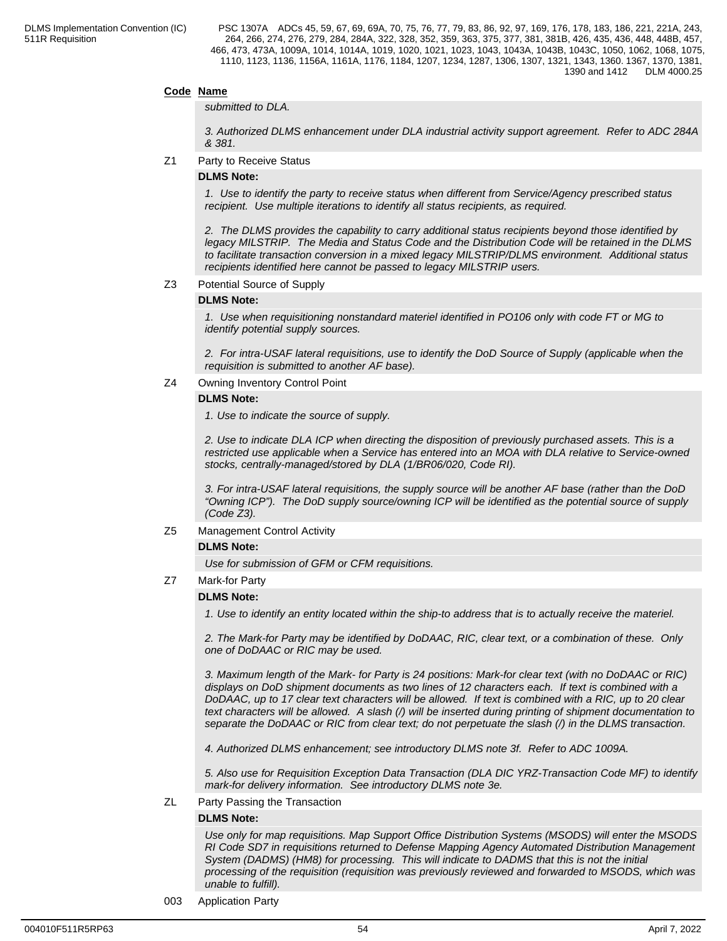### **Code Name**

#### *submitted to DLA.*

*3. Authorized DLMS enhancement under DLA industrial activity support agreement. Refer to ADC 284A & 381.*

Z1 Party to Receive Status

#### **DLMS Note:**

*1. Use to identify the party to receive status when different from Service/Agency prescribed status recipient. Use multiple iterations to identify all status recipients, as required.*

*2. The DLMS provides the capability to carry additional status recipients beyond those identified by legacy MILSTRIP. The Media and Status Code and the Distribution Code will be retained in the DLMS to facilitate transaction conversion in a mixed legacy MILSTRIP/DLMS environment. Additional status recipients identified here cannot be passed to legacy MILSTRIP users.*

#### Z3 Potential Source of Supply

#### **DLMS Note:**

*1. Use when requisitioning nonstandard materiel identified in PO106 only with code FT or MG to identify potential supply sources.*

*2. For intra-USAF lateral requisitions, use to identify the DoD Source of Supply (applicable when the requisition is submitted to another AF base).*

#### Z4 Owning Inventory Control Point

#### **DLMS Note:**

*1. Use to indicate the source of supply.*

*2. Use to indicate DLA ICP when directing the disposition of previously purchased assets. This is a restricted use applicable when a Service has entered into an MOA with DLA relative to Service-owned stocks, centrally-managed/stored by DLA (1/BR06/020, Code RI).*

 *3. For intra-USAF lateral requisitions, the supply source will be another AF base (rather than the DoD "Owning ICP"). The DoD supply source/owning ICP will be identified as the potential source of supply (Code Z3).*

Z5 Management Control Activity

#### **DLMS Note:**

*Use for submission of GFM or CFM requisitions.*

Z7 Mark-for Party

#### **DLMS Note:**

*1. Use to identify an entity located within the ship-to address that is to actually receive the materiel.*

*2. The Mark-for Party may be identified by DoDAAC, RIC, clear text, or a combination of these. Only one of DoDAAC or RIC may be used.*

*3. Maximum length of the Mark- for Party is 24 positions: Mark-for clear text (with no DoDAAC or RIC) displays on DoD shipment documents as two lines of 12 characters each. If text is combined with a DoDAAC, up to 17 clear text characters will be allowed. If text is combined with a RIC, up to 20 clear text characters will be allowed. A slash (/) will be inserted during printing of shipment documentation to separate the DoDAAC or RIC from clear text; do not perpetuate the slash (/) in the DLMS transaction.*

*4. Authorized DLMS enhancement; see introductory DLMS note 3f. Refer to ADC 1009A.*

*5. Also use for Requisition Exception Data Transaction (DLA DIC YRZ-Transaction Code MF) to identify mark-for delivery information. See introductory DLMS note 3e.*

ZL Party Passing the Transaction

#### **DLMS Note:**

*Use only for map requisitions. Map Support Office Distribution Systems (MSODS) will enter the MSODS RI Code SD7 in requisitions returned to Defense Mapping Agency Automated Distribution Management System (DADMS) (HM8) for processing. This will indicate to DADMS that this is not the initial processing of the requisition (requisition was previously reviewed and forwarded to MSODS, which was unable to fulfill).*

003 Application Party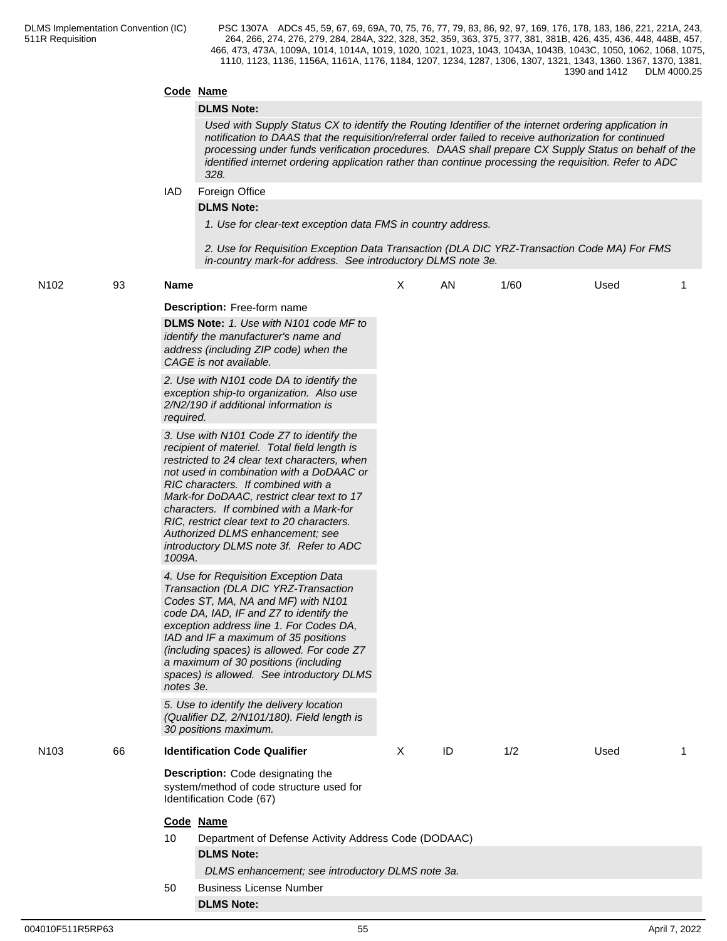### **Code Name**

#### **DLMS Note:**

*Used with Supply Status CX to identify the Routing Identifier of the internet ordering application in notification to DAAS that the requisition/referral order failed to receive authorization for continued processing under funds verification procedures. DAAS shall prepare CX Supply Status on behalf of the identified internet ordering application rather than continue processing the requisition. Refer to ADC 328.*

IAD Foreign Office

#### **DLMS Note:**

*1. Use for clear-text exception data FMS in country address.*

*2. Use for Requisition Exception Data Transaction (DLA DIC YRZ-Transaction Code MA) For FMS in-country mark-for address. See introductory DLMS note 3e.*

| N102 | 93 | <b>Name</b>                                                                                                                                                                                                                                                                                                                                                                                                                                                | X        | AN | 1/60 | Used | 1 |
|------|----|------------------------------------------------------------------------------------------------------------------------------------------------------------------------------------------------------------------------------------------------------------------------------------------------------------------------------------------------------------------------------------------------------------------------------------------------------------|----------|----|------|------|---|
|      |    | <b>Description:</b> Free-form name<br>DLMS Note: 1. Use with N101 code MF to<br>identify the manufacturer's name and<br>address (including ZIP code) when the<br>CAGE is not available.                                                                                                                                                                                                                                                                    |          |    |      |      |   |
|      |    | 2. Use with N101 code DA to identify the<br>exception ship-to organization. Also use<br>2/N2/190 if additional information is<br>required.                                                                                                                                                                                                                                                                                                                 |          |    |      |      |   |
|      |    | 3. Use with N101 Code Z7 to identify the<br>recipient of materiel. Total field length is<br>restricted to 24 clear text characters, when<br>not used in combination with a DoDAAC or<br>RIC characters. If combined with a<br>Mark-for DoDAAC, restrict clear text to 17<br>characters. If combined with a Mark-for<br>RIC, restrict clear text to 20 characters.<br>Authorized DLMS enhancement; see<br>introductory DLMS note 3f. Refer to ADC<br>1009A. |          |    |      |      |   |
|      |    | 4. Use for Requisition Exception Data<br>Transaction (DLA DIC YRZ-Transaction<br>Codes ST, MA, NA and MF) with N101<br>code DA, IAD, IF and Z7 to identify the<br>exception address line 1. For Codes DA,<br>IAD and IF a maximum of 35 positions<br>(including spaces) is allowed. For code Z7<br>a maximum of 30 positions (including<br>spaces) is allowed. See introductory DLMS<br>notes 3e.                                                          |          |    |      |      |   |
|      |    | 5. Use to identify the delivery location<br>(Qualifier DZ, 2/N101/180). Field length is<br>30 positions maximum.                                                                                                                                                                                                                                                                                                                                           |          |    |      |      |   |
| N103 | 66 | <b>Identification Code Qualifier</b>                                                                                                                                                                                                                                                                                                                                                                                                                       | $\times$ | ID | 1/2  | Used | 1 |
|      |    | Description: Code designating the<br>system/method of code structure used for<br>Identification Code (67)                                                                                                                                                                                                                                                                                                                                                  |          |    |      |      |   |
|      |    | Code Name                                                                                                                                                                                                                                                                                                                                                                                                                                                  |          |    |      |      |   |
|      |    | Department of Defense Activity Address Code (DODAAC)<br>10                                                                                                                                                                                                                                                                                                                                                                                                 |          |    |      |      |   |
|      |    | <b>DLMS Note:</b>                                                                                                                                                                                                                                                                                                                                                                                                                                          |          |    |      |      |   |
|      |    | DLMS enhancement; see introductory DLMS note 3a.                                                                                                                                                                                                                                                                                                                                                                                                           |          |    |      |      |   |
|      |    | <b>Business License Number</b><br>50                                                                                                                                                                                                                                                                                                                                                                                                                       |          |    |      |      |   |
|      |    | <b>DLMS Note:</b>                                                                                                                                                                                                                                                                                                                                                                                                                                          |          |    |      |      |   |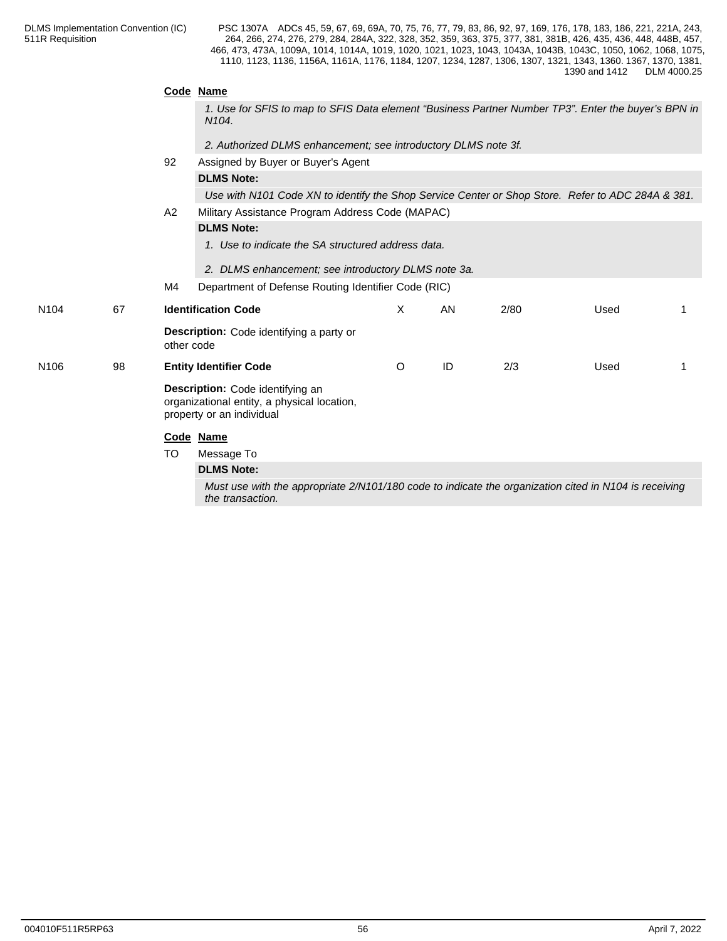|    |    | N <sub>104</sub> .                 |                                                                                                                                                                                                                                                                 |    |                                                                                                                                                                                                                      |                                                                |                                                                                                                                                                                                                                                                                                                   |  |  |
|----|----|------------------------------------|-----------------------------------------------------------------------------------------------------------------------------------------------------------------------------------------------------------------------------------------------------------------|----|----------------------------------------------------------------------------------------------------------------------------------------------------------------------------------------------------------------------|----------------------------------------------------------------|-------------------------------------------------------------------------------------------------------------------------------------------------------------------------------------------------------------------------------------------------------------------------------------------------------------------|--|--|
|    |    |                                    |                                                                                                                                                                                                                                                                 |    |                                                                                                                                                                                                                      |                                                                |                                                                                                                                                                                                                                                                                                                   |  |  |
|    | 92 | Assigned by Buyer or Buyer's Agent |                                                                                                                                                                                                                                                                 |    |                                                                                                                                                                                                                      |                                                                |                                                                                                                                                                                                                                                                                                                   |  |  |
|    |    | <b>DLMS Note:</b>                  |                                                                                                                                                                                                                                                                 |    |                                                                                                                                                                                                                      |                                                                |                                                                                                                                                                                                                                                                                                                   |  |  |
|    |    |                                    |                                                                                                                                                                                                                                                                 |    |                                                                                                                                                                                                                      |                                                                |                                                                                                                                                                                                                                                                                                                   |  |  |
|    | A2 |                                    |                                                                                                                                                                                                                                                                 |    |                                                                                                                                                                                                                      |                                                                |                                                                                                                                                                                                                                                                                                                   |  |  |
|    |    | <b>DLMS Note:</b>                  |                                                                                                                                                                                                                                                                 |    |                                                                                                                                                                                                                      |                                                                |                                                                                                                                                                                                                                                                                                                   |  |  |
|    |    |                                    |                                                                                                                                                                                                                                                                 |    |                                                                                                                                                                                                                      |                                                                |                                                                                                                                                                                                                                                                                                                   |  |  |
|    |    |                                    |                                                                                                                                                                                                                                                                 |    |                                                                                                                                                                                                                      |                                                                |                                                                                                                                                                                                                                                                                                                   |  |  |
|    | M4 |                                    |                                                                                                                                                                                                                                                                 |    |                                                                                                                                                                                                                      |                                                                |                                                                                                                                                                                                                                                                                                                   |  |  |
| 67 |    |                                    | $\times$                                                                                                                                                                                                                                                        | AN | 2/80                                                                                                                                                                                                                 | Used                                                           |                                                                                                                                                                                                                                                                                                                   |  |  |
|    |    |                                    |                                                                                                                                                                                                                                                                 |    |                                                                                                                                                                                                                      |                                                                |                                                                                                                                                                                                                                                                                                                   |  |  |
| 98 |    |                                    | $\circ$                                                                                                                                                                                                                                                         | ID | 2/3                                                                                                                                                                                                                  | Used                                                           | 1                                                                                                                                                                                                                                                                                                                 |  |  |
|    |    |                                    |                                                                                                                                                                                                                                                                 |    |                                                                                                                                                                                                                      |                                                                |                                                                                                                                                                                                                                                                                                                   |  |  |
|    |    |                                    |                                                                                                                                                                                                                                                                 |    |                                                                                                                                                                                                                      |                                                                |                                                                                                                                                                                                                                                                                                                   |  |  |
|    | TO | Message To                         |                                                                                                                                                                                                                                                                 |    |                                                                                                                                                                                                                      |                                                                |                                                                                                                                                                                                                                                                                                                   |  |  |
|    |    | <b>DLMS Note:</b>                  |                                                                                                                                                                                                                                                                 |    |                                                                                                                                                                                                                      |                                                                |                                                                                                                                                                                                                                                                                                                   |  |  |
|    |    | the transaction.                   |                                                                                                                                                                                                                                                                 |    |                                                                                                                                                                                                                      |                                                                |                                                                                                                                                                                                                                                                                                                   |  |  |
|    |    |                                    | Code Name<br><b>Identification Code</b><br>Description: Code identifying a party or<br>other code<br><b>Entity Identifier Code</b><br>Description: Code identifying an<br>organizational entity, a physical location,<br>property or an individual<br>Code Name |    | Military Assistance Program Address Code (MAPAC)<br>1. Use to indicate the SA structured address data.<br>2. DLMS enhancement; see introductory DLMS note 3a.<br>Department of Defense Routing Identifier Code (RIC) | 2. Authorized DLMS enhancement; see introductory DLMS note 3f. | 1. Use for SFIS to map to SFIS Data element "Business Partner Number TP3". Enter the buyer's BPN in<br>Use with N101 Code XN to identify the Shop Service Center or Shop Store. Refer to ADC 284A & 381.<br>Must use with the appropriate 2/N101/180 code to indicate the organization cited in N104 is receiving |  |  |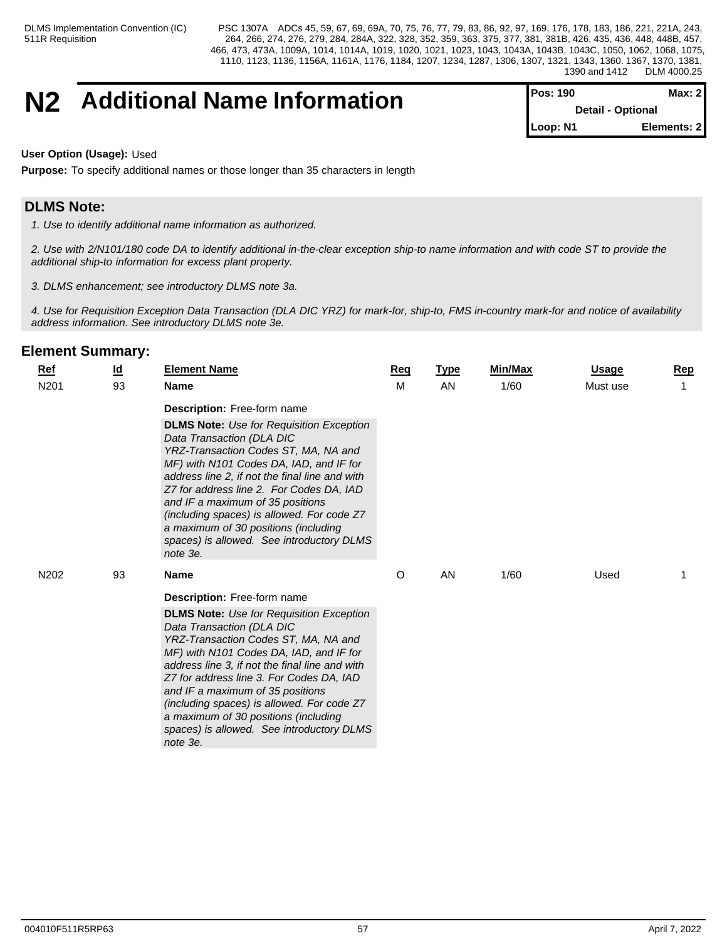## **N2 Additional Name Information Pos: 190 Max: 2 Max: 2**

**Detail - Optional Loop: N1 Elements: 2**

**User Option (Usage):** Used

**Purpose:** To specify additional names or those longer than 35 characters in length

## **DLMS Note:**

*1. Use to identify additional name information as authorized.*

*2. Use with 2/N101/180 code DA to identify additional in-the-clear exception ship-to name information and with code ST to provide the additional ship-to information for excess plant property.*

*3. DLMS enhancement; see introductory DLMS note 3a.*

*4. Use for Requisition Exception Data Transaction (DLA DIC YRZ) for mark-for, ship-to, FMS in-country mark-for and notice of availability address information. See introductory DLMS note 3e.*

| <b>Ref</b>       | <u>ld</u> | <b>Element Name</b>                                                                                                                                                                                                                                                                                                                                                                                                                                                                    | <b>Req</b> | <b>Type</b> | <b>Min/Max</b> | <b>Usage</b> | <b>Rep</b> |
|------------------|-----------|----------------------------------------------------------------------------------------------------------------------------------------------------------------------------------------------------------------------------------------------------------------------------------------------------------------------------------------------------------------------------------------------------------------------------------------------------------------------------------------|------------|-------------|----------------|--------------|------------|
| N <sub>201</sub> | 93        | <b>Name</b>                                                                                                                                                                                                                                                                                                                                                                                                                                                                            | М          | AN          | 1/60           | Must use     | 1          |
|                  |           | <b>Description:</b> Free-form name<br><b>DLMS Note:</b> Use for Requisition Exception<br>Data Transaction (DLA DIC<br>YRZ-Transaction Codes ST, MA, NA and<br>MF) with N101 Codes DA, IAD, and IF for<br>address line 2, if not the final line and with<br>Z7 for address line 2. For Codes DA, IAD<br>and IF a maximum of 35 positions<br>(including spaces) is allowed. For code Z7<br>a maximum of 30 positions (including<br>spaces) is allowed. See introductory DLMS<br>note 3e. |            |             |                |              |            |
| N202             | 93        | <b>Name</b>                                                                                                                                                                                                                                                                                                                                                                                                                                                                            | O          | AN          | 1/60           | Used         |            |
|                  |           | <b>Description:</b> Free-form name<br><b>DLMS Note:</b> Use for Requisition Exception<br>Data Transaction (DLA DIC<br>YRZ-Transaction Codes ST, MA, NA and<br>MF) with N101 Codes DA, IAD, and IF for<br>address line 3, if not the final line and with<br>Z7 for address line 3. For Codes DA, IAD<br>and IF a maximum of 35 positions<br>(including spaces) is allowed. For code Z7<br>a maximum of 30 positions (including<br>spaces) is allowed. See introductory DLMS<br>note 3e. |            |             |                |              |            |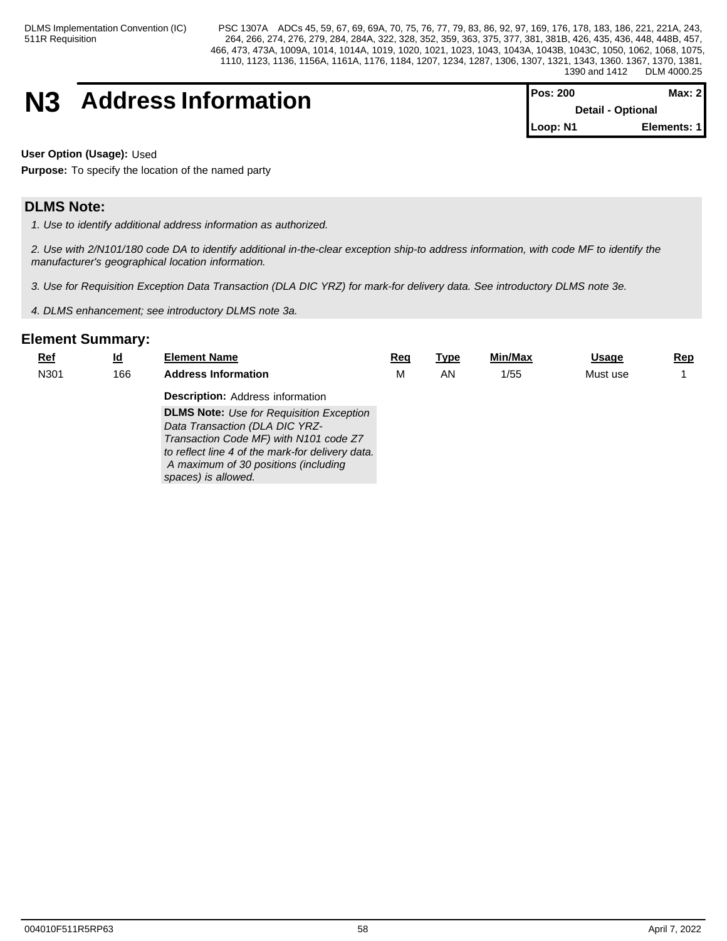## **N3** Address Information

| <b>Pos: 200</b> | Max: 2                   |  |
|-----------------|--------------------------|--|
|                 | <b>Detail - Optional</b> |  |
| Loop: N1        | Elements: 1              |  |

**User Option (Usage):** Used

**Purpose:** To specify the location of the named party

## **DLMS Note:**

*1. Use to identify additional address information as authorized.*

*2. Use with 2/N101/180 code DA to identify additional in-the-clear exception ship-to address information, with code MF to identify the manufacturer's geographical location information.*

*3. Use for Requisition Exception Data Transaction (DLA DIC YRZ) for mark-for delivery data. See introductory DLMS note 3e.*

*4. DLMS enhancement; see introductory DLMS note 3a.*

| <u>Ref</u> | <u>ld</u> | <b>Element Name</b>                              | Req | <u>Type</u> | Min/Max | <b>Usage</b> | <u>Rep</u> |
|------------|-----------|--------------------------------------------------|-----|-------------|---------|--------------|------------|
| N301       | 166       | <b>Address Information</b>                       | М   | AN          | 1/55    | Must use     |            |
|            |           | <b>Description: Address information</b>          |     |             |         |              |            |
|            |           | <b>DLMS Note:</b> Use for Requisition Exception  |     |             |         |              |            |
|            |           | Data Transaction (DLA DIC YRZ-                   |     |             |         |              |            |
|            |           | Transaction Code MF) with N101 code Z7           |     |             |         |              |            |
|            |           | to reflect line 4 of the mark-for delivery data. |     |             |         |              |            |
|            |           | A maximum of 30 positions (including             |     |             |         |              |            |
|            |           | spaces) is allowed.                              |     |             |         |              |            |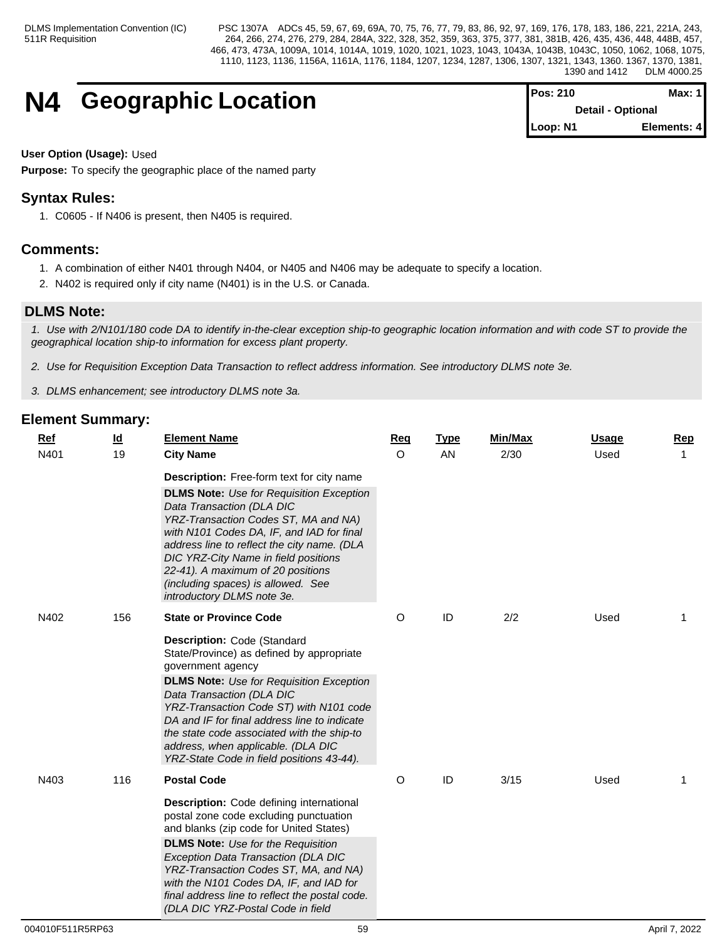## **N4 Geographic Location**

| Pos: 210 | Max: $1$                 |
|----------|--------------------------|
|          | <b>Detail - Optional</b> |
| Loop: N1 | Elements: 4              |

#### **User Option (Usage):** Used

**Purpose:** To specify the geographic place of the named party

## **Syntax Rules:**

1. C0605 - If N406 is present, then N405 is required.

## **Comments:**

- 1. A combination of either N401 through N404, or N405 and N406 may be adequate to specify a location.
- 2. N402 is required only if city name (N401) is in the U.S. or Canada.

## **DLMS Note:**

*1. Use with 2/N101/180 code DA to identify in-the-clear exception ship-to geographic location information and with code ST to provide the geographical location ship-to information for excess plant property.*

*2. Use for Requisition Exception Data Transaction to reflect address information. See introductory DLMS note 3e.*

*3. DLMS enhancement; see introductory DLMS note 3a.*

| Ref  | $\underline{\mathsf{Id}}$ | <b>Element Name</b>                                                                                                                                                                                                                                                                                                                                                                                       | Req     | <b>Type</b> | Min/Max | <b>Usage</b> | Rep            |
|------|---------------------------|-----------------------------------------------------------------------------------------------------------------------------------------------------------------------------------------------------------------------------------------------------------------------------------------------------------------------------------------------------------------------------------------------------------|---------|-------------|---------|--------------|----------------|
| N401 | 19                        | <b>City Name</b>                                                                                                                                                                                                                                                                                                                                                                                          | $\circ$ | AN          | 2/30    | Used         |                |
|      |                           | Description: Free-form text for city name                                                                                                                                                                                                                                                                                                                                                                 |         |             |         |              |                |
|      |                           | <b>DLMS Note:</b> Use for Requisition Exception<br>Data Transaction (DLA DIC<br>YRZ-Transaction Codes ST, MA and NA)<br>with N101 Codes DA, IF, and IAD for final<br>address line to reflect the city name. (DLA<br>DIC YRZ-City Name in field positions<br>22-41). A maximum of 20 positions<br>(including spaces) is allowed. See<br>introductory DLMS note 3e.                                         |         |             |         |              |                |
| N402 | 156                       | <b>State or Province Code</b>                                                                                                                                                                                                                                                                                                                                                                             | O       | ID          | 2/2     | Used         | 1              |
|      |                           | Description: Code (Standard<br>State/Province) as defined by appropriate<br>government agency<br><b>DLMS Note:</b> Use for Requisition Exception<br>Data Transaction (DLA DIC<br>YRZ-Transaction Code ST) with N101 code<br>DA and IF for final address line to indicate<br>the state code associated with the ship-to<br>address, when applicable. (DLA DIC<br>YRZ-State Code in field positions 43-44). |         |             |         |              |                |
| N403 | 116                       | <b>Postal Code</b>                                                                                                                                                                                                                                                                                                                                                                                        | O       | ID          | 3/15    | Used         | $\overline{1}$ |
|      |                           | Description: Code defining international<br>postal zone code excluding punctuation<br>and blanks (zip code for United States)<br><b>DLMS Note:</b> Use for the Requisition<br>Exception Data Transaction (DLA DIC<br>YRZ-Transaction Codes ST, MA, and NA)<br>with the N101 Codes DA, IF, and IAD for<br>final address line to reflect the postal code.<br>(DLA DIC YRZ-Postal Code in field              |         |             |         |              |                |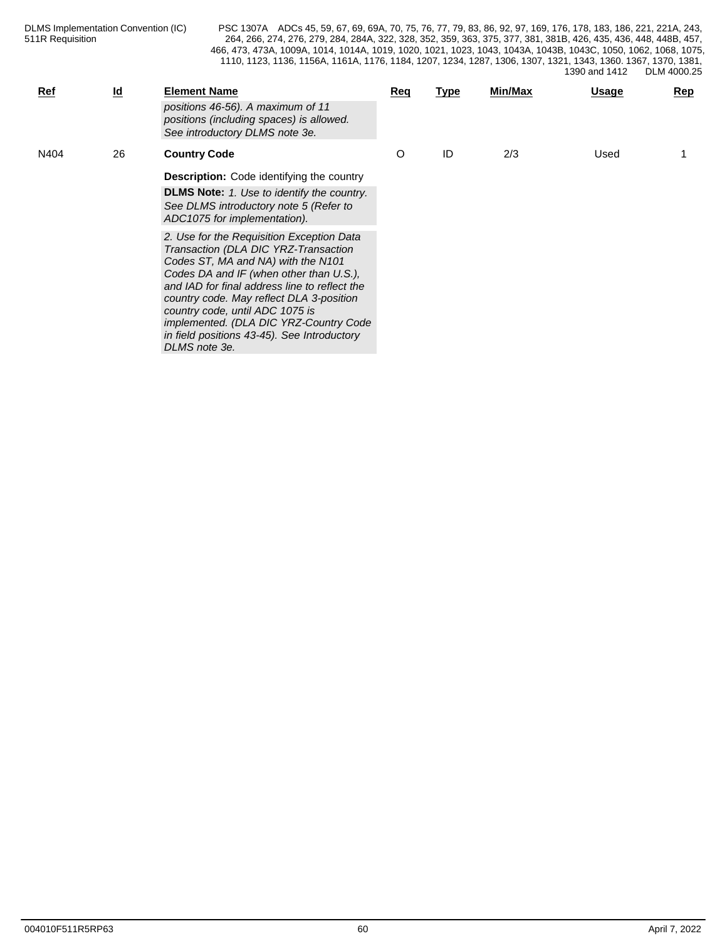| <b>Ref</b> | $\underline{\mathsf{Id}}$ | <b>Element Name</b><br>positions 46-56). A maximum of 11<br>positions (including spaces) is allowed.<br>See introductory DLMS note 3e.                                                                                                                                                                                                                                                                       | Req | <u>Type</u> | Min/Max | <b>Usage</b> | Rep |
|------------|---------------------------|--------------------------------------------------------------------------------------------------------------------------------------------------------------------------------------------------------------------------------------------------------------------------------------------------------------------------------------------------------------------------------------------------------------|-----|-------------|---------|--------------|-----|
| N404       | 26                        | <b>Country Code</b><br><b>Description:</b> Code identifying the country<br><b>DLMS Note:</b> 1. Use to identify the country.<br>See DLMS introductory note 5 (Refer to<br>ADC1075 for implementation).                                                                                                                                                                                                       | O   | ID          | 2/3     | Used         |     |
|            |                           | 2. Use for the Requisition Exception Data<br>Transaction (DLA DIC YRZ-Transaction<br>Codes ST, MA and NA) with the N101<br>Codes DA and IF (when other than U.S.),<br>and IAD for final address line to reflect the<br>country code. May reflect DLA 3-position<br>country code, until ADC 1075 is<br>implemented. (DLA DIC YRZ-Country Code<br>in field positions 43-45). See Introductory<br>DLMS note 3e. |     |             |         |              |     |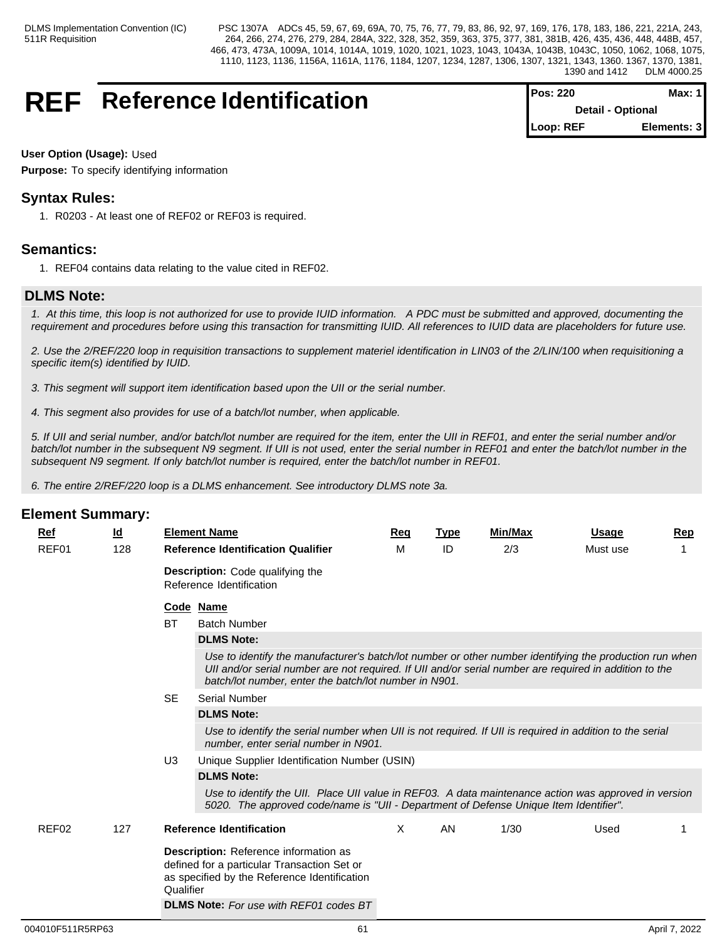## **REF** Reference Identification

| <b>IPos: 220</b>         | Max: 1 I    |  |
|--------------------------|-------------|--|
| <b>Detail - Optional</b> |             |  |
| Loop: REF                | Elements: 3 |  |

### **User Option (Usage):** Used

**Purpose:** To specify identifying information

## **Syntax Rules:**

1. R0203 - At least one of REF02 or REF03 is required.

## **Semantics:**

1. REF04 contains data relating to the value cited in REF02.

## **DLMS Note:**

*1. At this time, this loop is not authorized for use to provide IUID information. A PDC must be submitted and approved, documenting the requirement and procedures before using this transaction for transmitting IUID. All references to IUID data are placeholders for future use.*

*2. Use the 2/REF/220 loop in requisition transactions to supplement materiel identification in LIN03 of the 2/LIN/100 when requisitioning a specific item(s) identified by IUID.*

*3. This segment will support item identification based upon the UII or the serial number.*

*4. This segment also provides for use of a batch/lot number, when applicable.*

*5. If UII and serial number, and/or batch/lot number are required for the item, enter the UII in REF01, and enter the serial number and/or batch/lot number in the subsequent N9 segment. If UII is not used, enter the serial number in REF01 and enter the batch/lot number in the subsequent N9 segment. If only batch/lot number is required, enter the batch/lot number in REF01.*

*6. The entire 2/REF/220 loop is a DLMS enhancement. See introductory DLMS note 3a.*

| Ref   | $\underline{\mathsf{Id}}$ |           | <b>Element Name</b>                                                                                                                                                                                                                                                        | Req      | <b>Type</b> | <b>Min/Max</b> | <b>Usage</b> | Rep |  |  |  |
|-------|---------------------------|-----------|----------------------------------------------------------------------------------------------------------------------------------------------------------------------------------------------------------------------------------------------------------------------------|----------|-------------|----------------|--------------|-----|--|--|--|
| REF01 | 128                       |           | <b>Reference Identification Qualifier</b>                                                                                                                                                                                                                                  | м        | ID          | 2/3            | Must use     |     |  |  |  |
|       |                           |           | <b>Description:</b> Code qualifying the<br>Reference Identification                                                                                                                                                                                                        |          |             |                |              |     |  |  |  |
|       |                           |           | Code Name                                                                                                                                                                                                                                                                  |          |             |                |              |     |  |  |  |
|       |                           | BT        | <b>Batch Number</b>                                                                                                                                                                                                                                                        |          |             |                |              |     |  |  |  |
|       |                           |           | <b>DLMS Note:</b>                                                                                                                                                                                                                                                          |          |             |                |              |     |  |  |  |
|       |                           |           | Use to identify the manufacturer's batch/lot number or other number identifying the production run when<br>Ull and/or serial number are not required. If Ull and/or serial number are required in addition to the<br>batch/lot number, enter the batch/lot number in N901. |          |             |                |              |     |  |  |  |
|       |                           | <b>SE</b> | <b>Serial Number</b>                                                                                                                                                                                                                                                       |          |             |                |              |     |  |  |  |
|       |                           |           | <b>DLMS Note:</b>                                                                                                                                                                                                                                                          |          |             |                |              |     |  |  |  |
|       |                           |           | Use to identify the serial number when UII is not required. If UII is required in addition to the serial<br>number, enter serial number in N901.                                                                                                                           |          |             |                |              |     |  |  |  |
|       |                           | U3        | Unique Supplier Identification Number (USIN)                                                                                                                                                                                                                               |          |             |                |              |     |  |  |  |
|       |                           |           | <b>DLMS Note:</b>                                                                                                                                                                                                                                                          |          |             |                |              |     |  |  |  |
|       |                           |           | Use to identify the UII. Place UII value in REF03. A data maintenance action was approved in version<br>5020. The approved code/name is "UII - Department of Defense Unique Item Identifier".                                                                              |          |             |                |              |     |  |  |  |
| REF02 | 127                       |           | <b>Reference Identification</b>                                                                                                                                                                                                                                            | $\times$ | AN          | 1/30           | Used         |     |  |  |  |
|       |                           | Qualifier | Description: Reference information as<br>defined for a particular Transaction Set or<br>as specified by the Reference Identification                                                                                                                                       |          |             |                |              |     |  |  |  |
|       |                           |           | <b>DLMS Note:</b> For use with REF01 codes BT                                                                                                                                                                                                                              |          |             |                |              |     |  |  |  |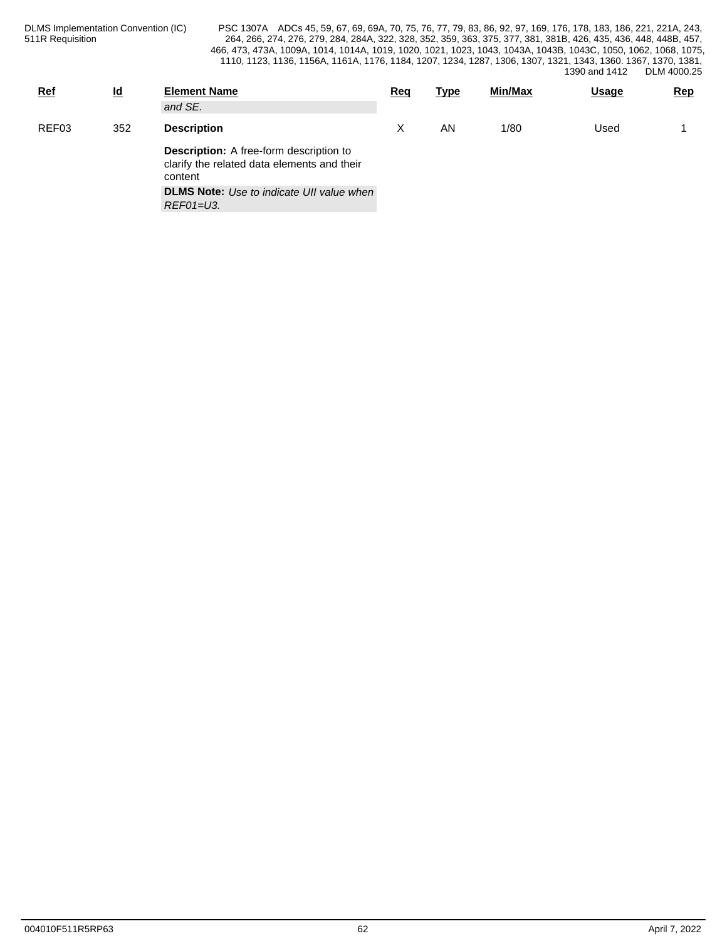| <b>Ref</b> | $\underline{\mathsf{Id}}$ | <b>Element Name</b><br>and SE.                                                                           | Req | <b>Type</b> | <b>Min/Max</b> | <u>Usage</u> | <b>Rep</b> |
|------------|---------------------------|----------------------------------------------------------------------------------------------------------|-----|-------------|----------------|--------------|------------|
| REF03      | 352                       | <b>Description</b>                                                                                       |     | AN          | 1/80           | Used         |            |
|            |                           | <b>Description:</b> A free-form description to<br>clarify the related data elements and their<br>content |     |             |                |              |            |
|            |                           | <b>DLMS Note:</b> Use to indicate UII value when<br>REF01=U3.                                            |     |             |                |              |            |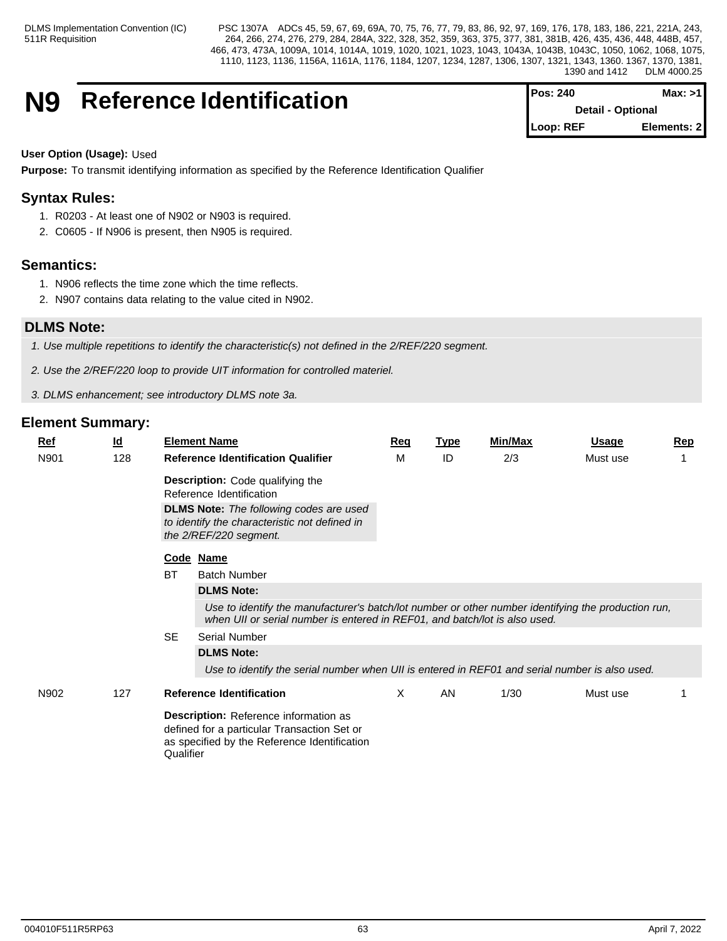## **N9** Reference Identification

| $Pos: 240$               | Max: > 11    |  |
|--------------------------|--------------|--|
| <b>Detail - Optional</b> |              |  |
| l Loop: REF              | Elements: 21 |  |

#### **User Option (Usage):** Used

**Purpose:** To transmit identifying information as specified by the Reference Identification Qualifier

## **Syntax Rules:**

- 1. R0203 At least one of N902 or N903 is required.
- 2. C0605 If N906 is present, then N905 is required.

## **Semantics:**

- 1. N906 reflects the time zone which the time reflects.
- 2. N907 contains data relating to the value cited in N902.

## **DLMS Note:**

*1. Use multiple repetitions to identify the characteristic(s) not defined in the 2/REF/220 segment.*

- *2. Use the 2/REF/220 loop to provide UIT information for controlled materiel.*
- *3. DLMS enhancement; see introductory DLMS note 3a.*

| <u>Ref</u> | $\underline{\mathsf{Id}}$ |           | <b>Element Name</b>                                                                                                                                                                                    | Req | <b>Type</b> | <b>Min/Max</b> | <u>Usage</u> | <b>Rep</b> |  |  |  |
|------------|---------------------------|-----------|--------------------------------------------------------------------------------------------------------------------------------------------------------------------------------------------------------|-----|-------------|----------------|--------------|------------|--|--|--|
| N901       | 128                       |           | <b>Reference Identification Qualifier</b>                                                                                                                                                              | M   | ID          | 2/3            | Must use     |            |  |  |  |
|            |                           |           | <b>Description:</b> Code qualifying the<br>Reference Identification<br><b>DLMS Note:</b> The following codes are used<br>to identify the characteristic not defined in<br>the 2/REF/220 segment.       |     |             |                |              |            |  |  |  |
|            |                           |           | Code Name                                                                                                                                                                                              |     |             |                |              |            |  |  |  |
|            |                           | BT        | <b>Batch Number</b>                                                                                                                                                                                    |     |             |                |              |            |  |  |  |
|            |                           |           | <b>DLMS Note:</b><br>Use to identify the manufacturer's batch/lot number or other number identifying the production run,<br>when UII or serial number is entered in REF01, and batch/lot is also used. |     |             |                |              |            |  |  |  |
|            |                           | <b>SE</b> | <b>Serial Number</b>                                                                                                                                                                                   |     |             |                |              |            |  |  |  |
|            |                           |           | <b>DLMS Note:</b>                                                                                                                                                                                      |     |             |                |              |            |  |  |  |
|            |                           |           | Use to identify the serial number when UII is entered in REF01 and serial number is also used.                                                                                                         |     |             |                |              |            |  |  |  |
| N902       | 127                       |           | <b>Reference Identification</b>                                                                                                                                                                        | X   | AN.         | 1/30           | Must use     |            |  |  |  |
|            |                           | Qualifier | Description: Reference information as<br>defined for a particular Transaction Set or<br>as specified by the Reference Identification                                                                   |     |             |                |              |            |  |  |  |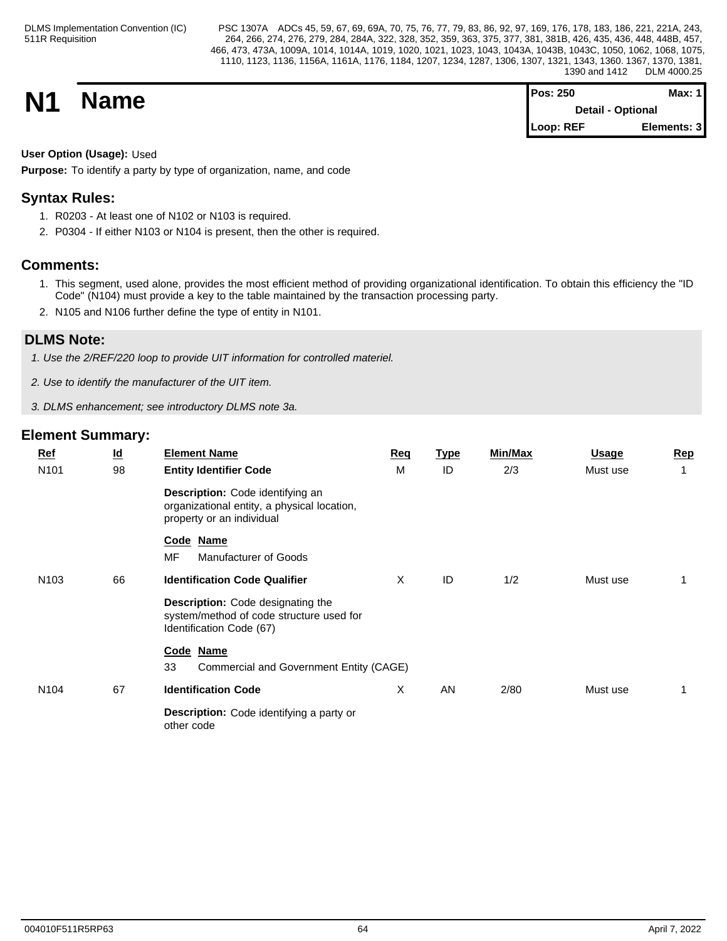| <b>N1</b> | <b>Name</b> | Pos: 250                 | Max: 1 <i>'</i> |  |
|-----------|-------------|--------------------------|-----------------|--|
|           |             | <b>Detail - Optional</b> |                 |  |
|           |             | $\triangle$ Loop: REF    | Elements: 3     |  |

## **User Option (Usage):** Used

**Purpose:** To identify a party by type of organization, name, and code

## **Syntax Rules:**

- 1. R0203 At least one of N102 or N103 is required.
- 2. P0304 If either N103 or N104 is present, then the other is required.

## **Comments:**

- 1. This segment, used alone, provides the most efficient method of providing organizational identification. To obtain this efficiency the "ID Code" (N104) must provide a key to the table maintained by the transaction processing party.
- 2. N105 and N106 further define the type of entity in N101.

## **DLMS Note:**

*1. Use the 2/REF/220 loop to provide UIT information for controlled materiel.*

- *2. Use to identify the manufacturer of the UIT item.*
- *3. DLMS enhancement; see introductory DLMS note 3a.*

| $Ref$<br>N101    | $\underline{\mathsf{Id}}$<br>98 | <b>Element Name</b><br><b>Entity Identifier Code</b>                                                             | Req<br>M | <u>Type</u><br>ID | <b>Min/Max</b><br>2/3 | <b>Usage</b><br>Must use | Rep |
|------------------|---------------------------------|------------------------------------------------------------------------------------------------------------------|----------|-------------------|-----------------------|--------------------------|-----|
|                  |                                 | Description: Code identifying an<br>organizational entity, a physical location,<br>property or an individual     |          |                   |                       |                          |     |
|                  |                                 | Code Name<br><b>MF</b><br>Manufacturer of Goods                                                                  |          |                   |                       |                          |     |
| N <sub>103</sub> | 66                              | <b>Identification Code Qualifier</b>                                                                             | X        | ID                | 1/2                   | Must use                 |     |
|                  |                                 | <b>Description:</b> Code designating the<br>system/method of code structure used for<br>Identification Code (67) |          |                   |                       |                          |     |
|                  |                                 | Code Name                                                                                                        |          |                   |                       |                          |     |
|                  |                                 | 33<br>Commercial and Government Entity (CAGE)                                                                    |          |                   |                       |                          |     |
| N <sub>104</sub> | 67                              | <b>Identification Code</b>                                                                                       | X        | AN                | 2/80                  | Must use                 |     |
|                  |                                 | Description: Code identifying a party or<br>other code                                                           |          |                   |                       |                          |     |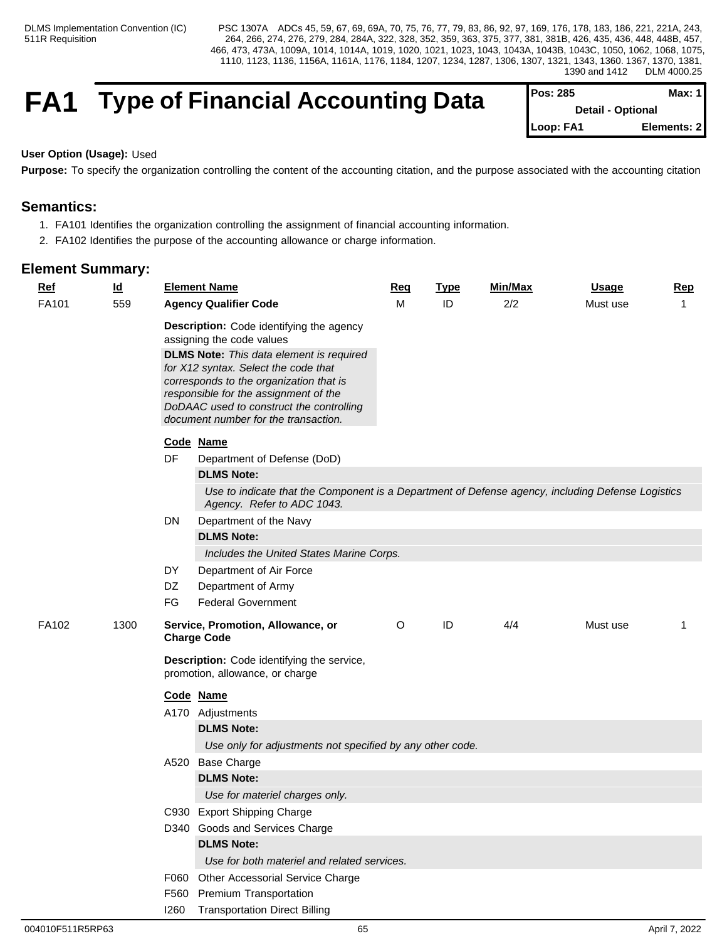## **FA1** Type of Financial Accounting Data

| IPos: 285                | Max: 1 I    |  |
|--------------------------|-------------|--|
| <b>Detail - Optional</b> |             |  |
| <b>ILoop: FA1</b>        | Elements: 2 |  |

### **User Option (Usage):** Used

Purpose: To specify the organization controlling the content of the accounting citation, and the purpose associated with the accounting citation

## **Semantics:**

- 1. FA101 Identifies the organization controlling the assignment of financial accounting information.
- 2. FA102 Identifies the purpose of the accounting allowance or charge information.

| $Ref$        | $\underline{\mathsf{Id}}$ |                              | <b>Element Name</b>                                                                                                                                                                                                                                                                                                                                                                  | Req     | <b>Type</b> | Min/Max | <b>Usage</b> | <b>Rep</b> |
|--------------|---------------------------|------------------------------|--------------------------------------------------------------------------------------------------------------------------------------------------------------------------------------------------------------------------------------------------------------------------------------------------------------------------------------------------------------------------------------|---------|-------------|---------|--------------|------------|
| FA101<br>559 |                           | <b>Agency Qualifier Code</b> |                                                                                                                                                                                                                                                                                                                                                                                      | M       | ID          | 2/2     | Must use     | -1         |
|              |                           | DF                           | Description: Code identifying the agency<br>assigning the code values<br><b>DLMS Note:</b> This data element is required<br>for X12 syntax. Select the code that<br>corresponds to the organization that is<br>responsible for the assignment of the<br>DoDAAC used to construct the controlling<br>document number for the transaction.<br>Code Name<br>Department of Defense (DoD) |         |             |         |              |            |
|              |                           |                              | <b>DLMS Note:</b>                                                                                                                                                                                                                                                                                                                                                                    |         |             |         |              |            |
|              |                           |                              | Use to indicate that the Component is a Department of Defense agency, including Defense Logistics<br>Agency. Refer to ADC 1043.                                                                                                                                                                                                                                                      |         |             |         |              |            |
|              |                           | DN                           | Department of the Navy                                                                                                                                                                                                                                                                                                                                                               |         |             |         |              |            |
|              |                           |                              | <b>DLMS Note:</b>                                                                                                                                                                                                                                                                                                                                                                    |         |             |         |              |            |
|              |                           |                              | Includes the United States Marine Corps.                                                                                                                                                                                                                                                                                                                                             |         |             |         |              |            |
|              |                           | DY                           | Department of Air Force                                                                                                                                                                                                                                                                                                                                                              |         |             |         |              |            |
|              |                           | DZ<br>FG                     | Department of Army<br><b>Federal Government</b>                                                                                                                                                                                                                                                                                                                                      |         |             |         |              |            |
|              | 1300                      |                              |                                                                                                                                                                                                                                                                                                                                                                                      |         |             |         |              |            |
| FA102        |                           |                              | Service, Promotion, Allowance, or<br><b>Charge Code</b>                                                                                                                                                                                                                                                                                                                              | $\circ$ | ID          | 4/4     | Must use     | -1         |
|              |                           |                              | Description: Code identifying the service,<br>promotion, allowance, or charge                                                                                                                                                                                                                                                                                                        |         |             |         |              |            |
|              |                           |                              | Code Name                                                                                                                                                                                                                                                                                                                                                                            |         |             |         |              |            |
|              |                           |                              | A170 Adjustments                                                                                                                                                                                                                                                                                                                                                                     |         |             |         |              |            |
|              |                           |                              | <b>DLMS Note:</b>                                                                                                                                                                                                                                                                                                                                                                    |         |             |         |              |            |
|              |                           |                              | Use only for adjustments not specified by any other code.                                                                                                                                                                                                                                                                                                                            |         |             |         |              |            |
|              |                           |                              | A520 Base Charge                                                                                                                                                                                                                                                                                                                                                                     |         |             |         |              |            |
|              |                           |                              | <b>DLMS Note:</b>                                                                                                                                                                                                                                                                                                                                                                    |         |             |         |              |            |
|              |                           |                              | Use for materiel charges only.                                                                                                                                                                                                                                                                                                                                                       |         |             |         |              |            |
|              |                           |                              | C930 Export Shipping Charge                                                                                                                                                                                                                                                                                                                                                          |         |             |         |              |            |
|              |                           |                              | D340 Goods and Services Charge                                                                                                                                                                                                                                                                                                                                                       |         |             |         |              |            |
|              |                           |                              | <b>DLMS Note:</b><br>Use for both materiel and related services.                                                                                                                                                                                                                                                                                                                     |         |             |         |              |            |
|              |                           |                              |                                                                                                                                                                                                                                                                                                                                                                                      |         |             |         |              |            |
|              |                           |                              | F060 Other Accessorial Service Charge<br>F560 Premium Transportation                                                                                                                                                                                                                                                                                                                 |         |             |         |              |            |
|              |                           |                              | <b>1260</b> Transportation Direct Billing                                                                                                                                                                                                                                                                                                                                            |         |             |         |              |            |
|              |                           |                              |                                                                                                                                                                                                                                                                                                                                                                                      |         |             |         |              |            |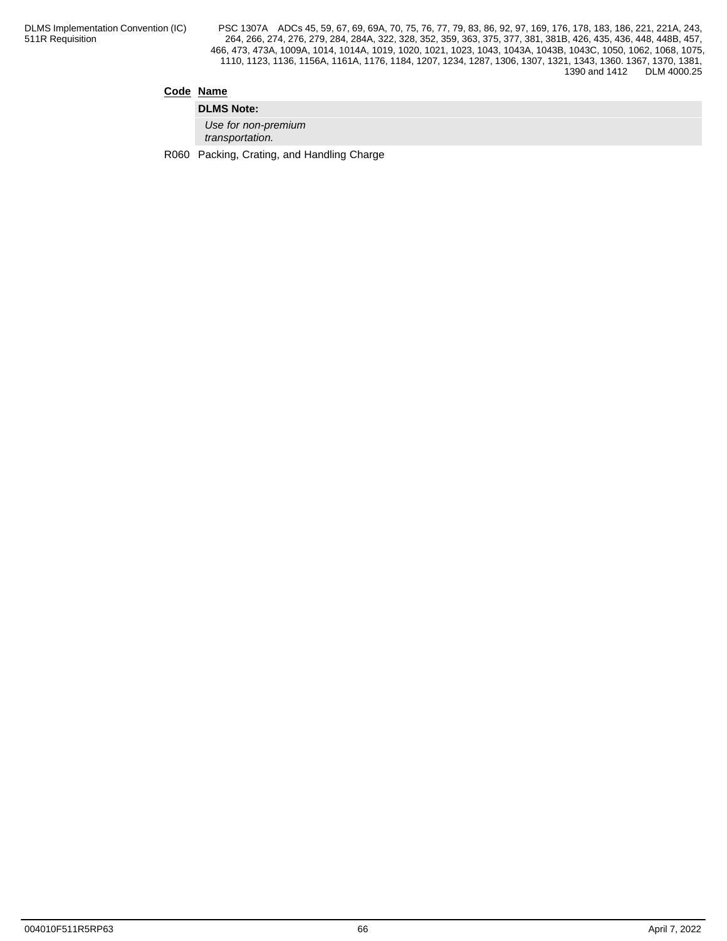## **Code Name**

**DLMS Note:** *Use for non-premium transportation.*

R060 Packing, Crating, and Handling Charge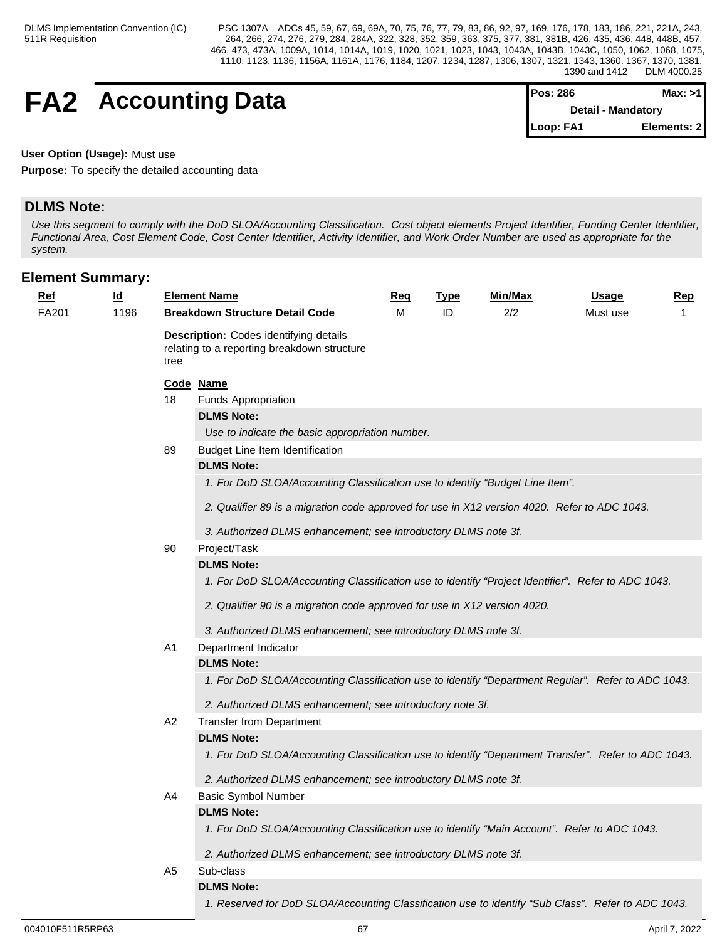## **FA2** Accounting Data

| <b>IPos: 286</b> | Max: >1                   |  |
|------------------|---------------------------|--|
|                  | <b>Detail - Mandatory</b> |  |
| Loop: FA1        | Elements: 2               |  |

**User Option (Usage):** Must use

**Purpose:** To specify the detailed accounting data

## **DLMS Note:**

*Use this segment to comply with the DoD SLOA/Accounting Classification. Cost object elements Project Identifier, Funding Center Identifier, Functional Area, Cost Element Code, Cost Center Identifier, Activity Identifier, and Work Order Number are used as appropriate for the system.*

| <u>Ref</u> | $\underline{\mathsf{Id}}$ |      | <b>Element Name</b>                                                                                 | <u>Req</u> | <u>Type</u> | <u>Min/Max</u> | <b>Usage</b> | <u>Rep</u>   |
|------------|---------------------------|------|-----------------------------------------------------------------------------------------------------|------------|-------------|----------------|--------------|--------------|
| FA201      | 1196                      |      | <b>Breakdown Structure Detail Code</b>                                                              | M          | ID          | 2/2            | Must use     | $\mathbf{1}$ |
|            |                           | tree | Description: Codes identifying details<br>relating to a reporting breakdown structure               |            |             |                |              |              |
|            |                           |      | Code Name                                                                                           |            |             |                |              |              |
|            |                           | 18   | Funds Appropriation                                                                                 |            |             |                |              |              |
|            |                           |      | <b>DLMS Note:</b>                                                                                   |            |             |                |              |              |
|            |                           |      | Use to indicate the basic appropriation number.                                                     |            |             |                |              |              |
|            |                           | 89   | Budget Line Item Identification                                                                     |            |             |                |              |              |
|            |                           |      | <b>DLMS Note:</b>                                                                                   |            |             |                |              |              |
|            |                           |      | 1. For DoD SLOA/Accounting Classification use to identify "Budget Line Item".                       |            |             |                |              |              |
|            |                           |      | 2. Qualifier 89 is a migration code approved for use in X12 version 4020. Refer to ADC 1043.        |            |             |                |              |              |
|            |                           |      | 3. Authorized DLMS enhancement; see introductory DLMS note 3f.                                      |            |             |                |              |              |
|            |                           | 90   | Project/Task                                                                                        |            |             |                |              |              |
|            |                           |      | <b>DLMS Note:</b>                                                                                   |            |             |                |              |              |
|            |                           |      | 1. For DoD SLOA/Accounting Classification use to identify "Project Identifier". Refer to ADC 1043.  |            |             |                |              |              |
|            |                           |      | 2. Qualifier 90 is a migration code approved for use in X12 version 4020.                           |            |             |                |              |              |
|            |                           |      | 3. Authorized DLMS enhancement; see introductory DLMS note 3f.                                      |            |             |                |              |              |
|            |                           | A1   | Department Indicator                                                                                |            |             |                |              |              |
|            |                           |      | <b>DLMS Note:</b>                                                                                   |            |             |                |              |              |
|            |                           |      | 1. For DoD SLOA/Accounting Classification use to identify "Department Regular". Refer to ADC 1043.  |            |             |                |              |              |
|            |                           |      | 2. Authorized DLMS enhancement; see introductory note 3f.                                           |            |             |                |              |              |
|            |                           | A2   | <b>Transfer from Department</b>                                                                     |            |             |                |              |              |
|            |                           |      | <b>DLMS Note:</b>                                                                                   |            |             |                |              |              |
|            |                           |      | 1. For DoD SLOA/Accounting Classification use to identify "Department Transfer". Refer to ADC 1043. |            |             |                |              |              |
|            |                           |      | 2. Authorized DLMS enhancement; see introductory DLMS note 3f.                                      |            |             |                |              |              |
|            |                           | A4   | <b>Basic Symbol Number</b>                                                                          |            |             |                |              |              |
|            |                           |      | <b>DLMS Note:</b>                                                                                   |            |             |                |              |              |
|            |                           |      | 1. For DoD SLOA/Accounting Classification use to identify "Main Account". Refer to ADC 1043.        |            |             |                |              |              |
|            |                           |      | 2. Authorized DLMS enhancement; see introductory DLMS note 3f.                                      |            |             |                |              |              |
|            |                           | A5   | Sub-class                                                                                           |            |             |                |              |              |
|            |                           |      | <b>DLMS Note:</b>                                                                                   |            |             |                |              |              |
|            |                           |      | 1. Reserved for DoD SLOA/Accounting Classification use to identify "Sub Class". Refer to ADC 1043.  |            |             |                |              |              |
|            |                           |      |                                                                                                     |            |             |                |              |              |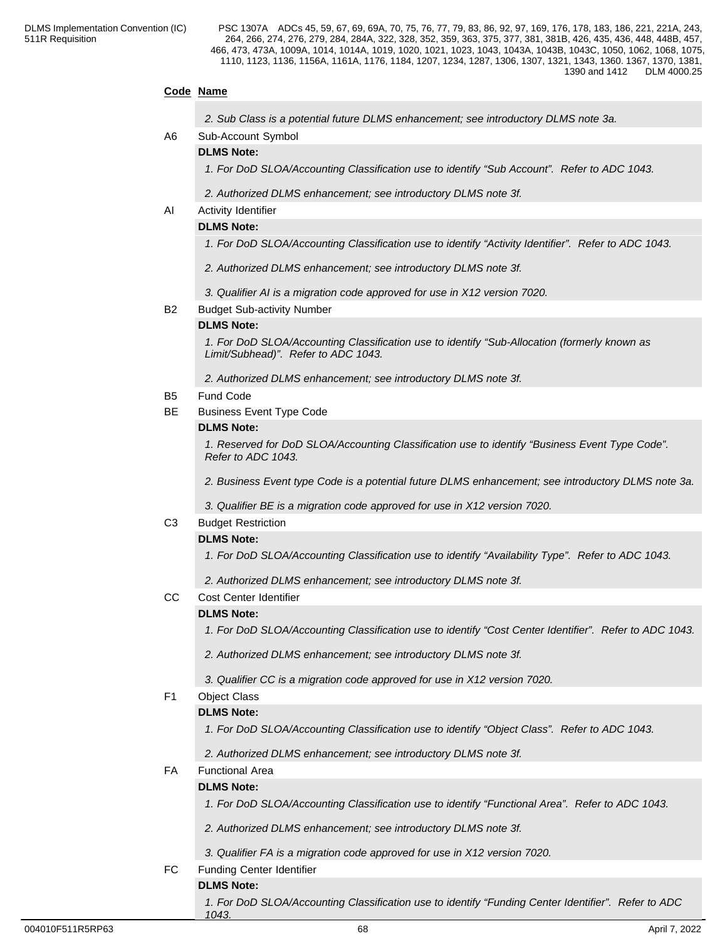## **Code Name**

| 2. Sub Class is a potential future DLMS enhancement; see introductory DLMS note 3a. |
|-------------------------------------------------------------------------------------|
|-------------------------------------------------------------------------------------|

## A6 Sub-Account Symbol

## **DLMS Note:**

*1. For DoD SLOA/Accounting Classification use to identify "Sub Account". Refer to ADC 1043.*

*2. Authorized DLMS enhancement; see introductory DLMS note 3f.*

#### AI Activity Identifier

#### **DLMS Note:**

*1. For DoD SLOA/Accounting Classification use to identify "Activity Identifier". Refer to ADC 1043.*

- *2. Authorized DLMS enhancement; see introductory DLMS note 3f.*
- *3. Qualifier AI is a migration code approved for use in X12 version 7020.*

#### B2 Budget Sub-activity Number

#### **DLMS Note:**

*1. For DoD SLOA/Accounting Classification use to identify "Sub-Allocation (formerly known as Limit/Subhead)". Refer to ADC 1043.*

*2. Authorized DLMS enhancement; see introductory DLMS note 3f.*

#### B5 Fund Code

BE Business Event Type Code

#### **DLMS Note:**

*1. Reserved for DoD SLOA/Accounting Classification use to identify "Business Event Type Code". Refer to ADC 1043.*

*2. Business Event type Code is a potential future DLMS enhancement; see introductory DLMS note 3a.*

*3. Qualifier BE is a migration code approved for use in X12 version 7020.*

#### C3 Budget Restriction

#### **DLMS Note:**

*1. For DoD SLOA/Accounting Classification use to identify "Availability Type". Refer to ADC 1043.*

*2. Authorized DLMS enhancement; see introductory DLMS note 3f.*

CC Cost Center Identifier

## **DLMS Note:**

*1. For DoD SLOA/Accounting Classification use to identify "Cost Center Identifier". Refer to ADC 1043.*

*2. Authorized DLMS enhancement; see introductory DLMS note 3f.*

*3. Qualifier CC is a migration code approved for use in X12 version 7020.*

#### F1 Object Class

#### **DLMS Note:**

*1. For DoD SLOA/Accounting Classification use to identify "Object Class". Refer to ADC 1043.*

*2. Authorized DLMS enhancement; see introductory DLMS note 3f.*

## FA Functional Area

#### **DLMS Note:**

*1. For DoD SLOA/Accounting Classification use to identify "Functional Area". Refer to ADC 1043.*

*2. Authorized DLMS enhancement; see introductory DLMS note 3f.*

*3. Qualifier FA is a migration code approved for use in X12 version 7020.*

FC Funding Center Identifier

### **DLMS Note:**

*1. For DoD SLOA/Accounting Classification use to identify "Funding Center Identifier". Refer to ADC 1043.*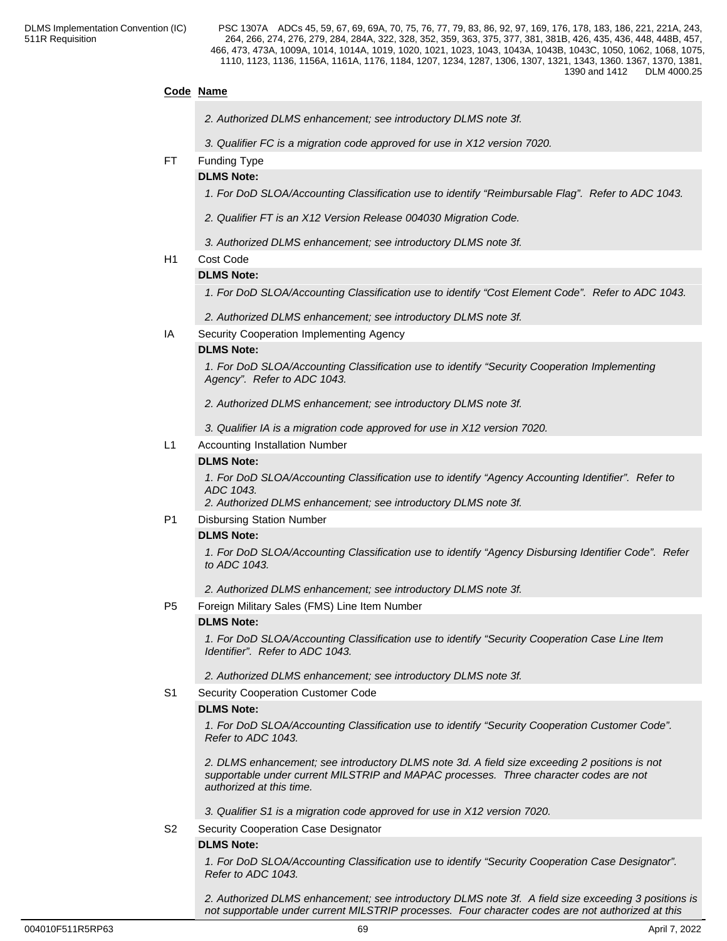## **Code Name**

- *2. Authorized DLMS enhancement; see introductory DLMS note 3f.*
- *3. Qualifier FC is a migration code approved for use in X12 version 7020.*
- FT Funding Type

#### **DLMS Note:**

*1. For DoD SLOA/Accounting Classification use to identify "Reimbursable Flag". Refer to ADC 1043.* 

- *2. Qualifier FT is an X12 Version Release 004030 Migration Code.*
- *3. Authorized DLMS enhancement; see introductory DLMS note 3f.*
- H1 Cost Code

#### **DLMS Note:**

*1. For DoD SLOA/Accounting Classification use to identify "Cost Element Code". Refer to ADC 1043.*

*2. Authorized DLMS enhancement; see introductory DLMS note 3f.*

IA Security Cooperation Implementing Agency

#### **DLMS Note:**

*1. For DoD SLOA/Accounting Classification use to identify "Security Cooperation Implementing Agency". Refer to ADC 1043.*

*2. Authorized DLMS enhancement; see introductory DLMS note 3f.*

*3. Qualifier IA is a migration code approved for use in X12 version 7020.*

L1 Accounting Installation Number

#### **DLMS Note:**

*1. For DoD SLOA/Accounting Classification use to identify "Agency Accounting Identifier". Refer to ADC 1043.*

*2. Authorized DLMS enhancement; see introductory DLMS note 3f.*

P1 Disbursing Station Number

#### **DLMS Note:**

*1. For DoD SLOA/Accounting Classification use to identify "Agency Disbursing Identifier Code". Refer to ADC 1043.*

*2. Authorized DLMS enhancement; see introductory DLMS note 3f.*

P5 Foreign Military Sales (FMS) Line Item Number

#### **DLMS Note:**

*1. For DoD SLOA/Accounting Classification use to identify "Security Cooperation Case Line Item Identifier". Refer to ADC 1043.*

*2. Authorized DLMS enhancement; see introductory DLMS note 3f.*

S1 Security Cooperation Customer Code

#### **DLMS Note:**

*1. For DoD SLOA/Accounting Classification use to identify "Security Cooperation Customer Code". Refer to ADC 1043.*

*2. DLMS enhancement; see introductory DLMS note 3d. A field size exceeding 2 positions is not supportable under current MILSTRIP and MAPAC processes. Three character codes are not authorized at this time.*

*3. Qualifier S1 is a migration code approved for use in X12 version 7020.*

S2 Security Cooperation Case Designator

#### **DLMS Note:**

*1. For DoD SLOA/Accounting Classification use to identify "Security Cooperation Case Designator". Refer to ADC 1043.*

*2. Authorized DLMS enhancement; see introductory DLMS note 3f. A field size exceeding 3 positions is not supportable under current MILSTRIP processes. Four character codes are not authorized at this*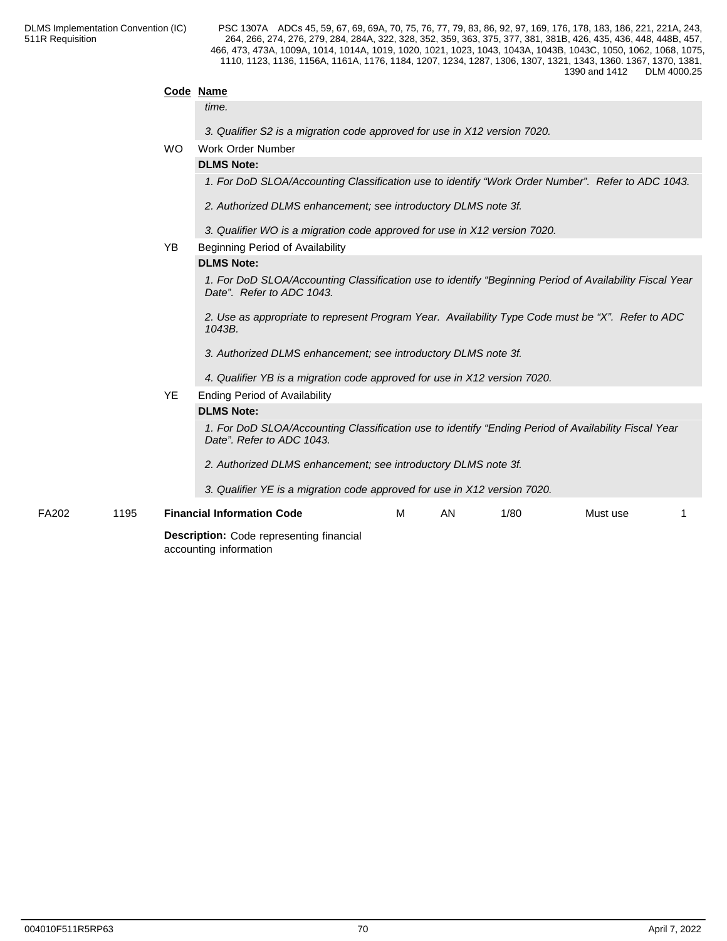|       |      | Code Name |                                                                                                                                      |
|-------|------|-----------|--------------------------------------------------------------------------------------------------------------------------------------|
|       |      |           | time.                                                                                                                                |
|       |      |           | 3. Qualifier S2 is a migration code approved for use in X12 version 7020.                                                            |
|       |      | <b>WO</b> | Work Order Number                                                                                                                    |
|       |      |           | <b>DLMS Note:</b>                                                                                                                    |
|       |      |           | 1. For DoD SLOA/Accounting Classification use to identify "Work Order Number". Refer to ADC 1043.                                    |
|       |      |           | 2. Authorized DLMS enhancement; see introductory DLMS note 3f.                                                                       |
|       |      |           | 3. Qualifier WO is a migration code approved for use in X12 version 7020.                                                            |
|       |      | <b>YB</b> | Beginning Period of Availability                                                                                                     |
|       |      |           | <b>DLMS Note:</b>                                                                                                                    |
|       |      |           | 1. For DoD SLOA/Accounting Classification use to identify "Beginning Period of Availability Fiscal Year<br>Date". Refer to ADC 1043. |
|       |      |           | 2. Use as appropriate to represent Program Year. Availability Type Code must be "X". Refer to ADC<br>1043B.                          |
|       |      |           | 3. Authorized DLMS enhancement; see introductory DLMS note 3f.                                                                       |
|       |      |           | 4. Qualifier YB is a migration code approved for use in X12 version 7020.                                                            |
|       |      | <b>YE</b> | <b>Ending Period of Availability</b>                                                                                                 |
|       |      |           | <b>DLMS Note:</b>                                                                                                                    |
|       |      |           | 1. For DoD SLOA/Accounting Classification use to identify "Ending Period of Availability Fiscal Year<br>Date". Refer to ADC 1043.    |
|       |      |           | 2. Authorized DLMS enhancement; see introductory DLMS note 3f.                                                                       |
|       |      |           | 3. Qualifier YE is a migration code approved for use in X12 version 7020.                                                            |
| FA202 | 1195 |           | <b>Financial Information Code</b><br>м<br>AN.<br>1/80<br>Must use                                                                    |
|       |      |           | <b>Description:</b> Code representing financial                                                                                      |
|       |      |           |                                                                                                                                      |

accounting information